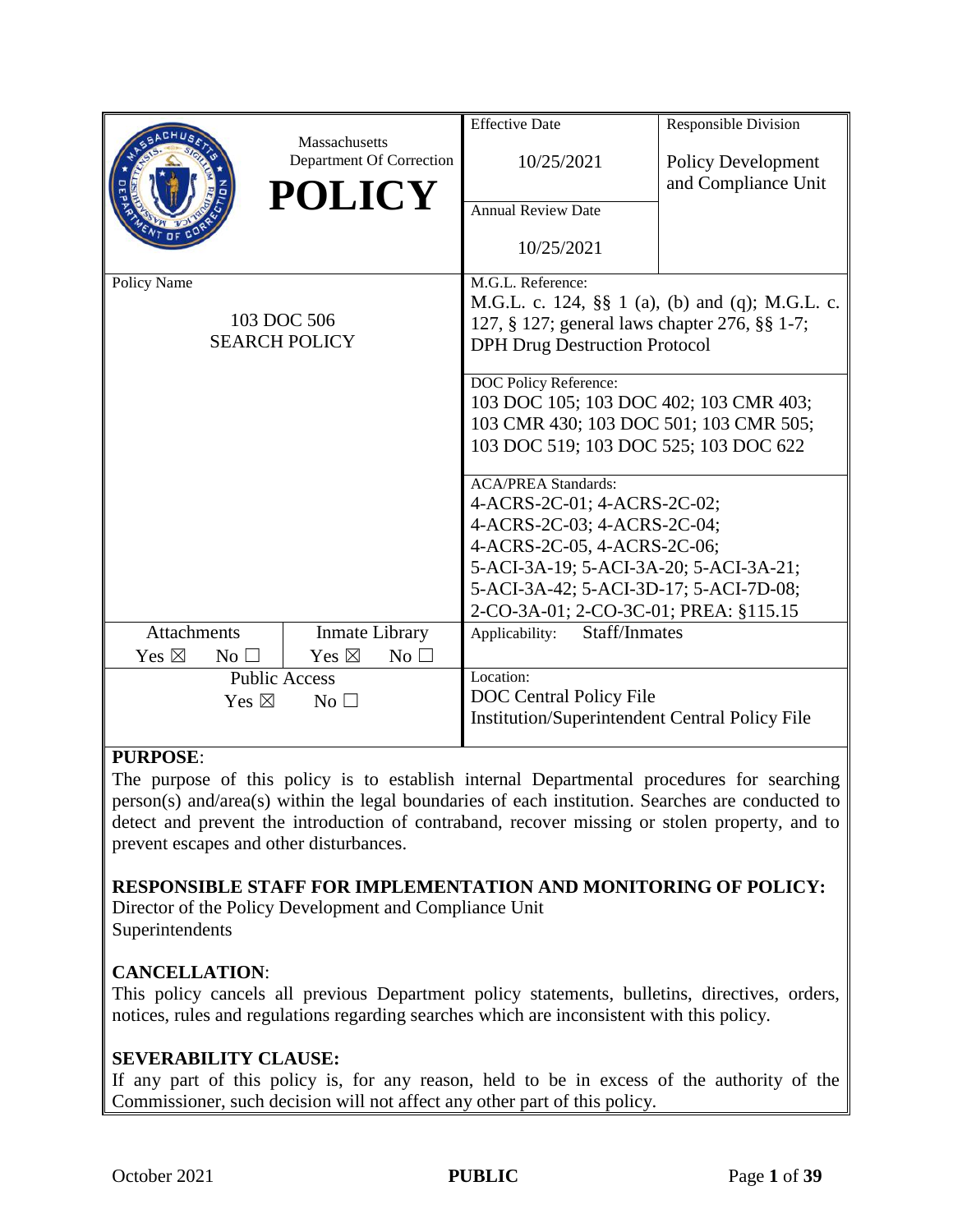|                                             |                |                                           | <b>Effective Date</b>                                 | Responsible Division                            |  |
|---------------------------------------------|----------------|-------------------------------------------|-------------------------------------------------------|-------------------------------------------------|--|
|                                             |                | Massachusetts<br>Department Of Correction | 10/25/2021                                            | <b>Policy Development</b>                       |  |
|                                             |                | <b>POLICY</b>                             |                                                       | and Compliance Unit                             |  |
|                                             |                |                                           | <b>Annual Review Date</b>                             |                                                 |  |
|                                             |                |                                           | 10/25/2021                                            |                                                 |  |
| Policy Name                                 |                |                                           | M.G.L. Reference:                                     |                                                 |  |
|                                             |                |                                           |                                                       | M.G.L. c. 124, §§ 1 (a), (b) and (q); M.G.L. c. |  |
|                                             |                | 103 DOC 506                               | 127, § 127; general laws chapter 276, §§ 1-7;         |                                                 |  |
|                                             |                | <b>SEARCH POLICY</b>                      | <b>DPH Drug Destruction Protocol</b>                  |                                                 |  |
|                                             |                |                                           | DOC Policy Reference:                                 |                                                 |  |
|                                             |                |                                           | 103 DOC 105; 103 DOC 402; 103 CMR 403;                |                                                 |  |
|                                             |                |                                           | 103 CMR 430; 103 DOC 501; 103 CMR 505;                |                                                 |  |
|                                             |                |                                           | 103 DOC 519; 103 DOC 525; 103 DOC 622                 |                                                 |  |
|                                             |                |                                           | <b>ACA/PREA Standards:</b>                            |                                                 |  |
|                                             |                |                                           | 4-ACRS-2C-01; 4-ACRS-2C-02;                           |                                                 |  |
|                                             |                |                                           | 4-ACRS-2C-03; 4-ACRS-2C-04;                           |                                                 |  |
|                                             |                |                                           | 4-ACRS-2C-05, 4-ACRS-2C-06;                           |                                                 |  |
|                                             |                |                                           | 5-ACI-3A-19; 5-ACI-3A-20; 5-ACI-3A-21;                |                                                 |  |
|                                             |                |                                           | 5-ACI-3A-42; 5-ACI-3D-17; 5-ACI-7D-08;                |                                                 |  |
|                                             |                |                                           | 2-CO-3A-01; 2-CO-3C-01; PREA: §115.15                 |                                                 |  |
| <b>Attachments</b><br><b>Inmate Library</b> |                | Applicability:<br>Staff/Inmates           |                                                       |                                                 |  |
| Yes $\boxtimes$                             | $No$ $\square$ | Yes $\boxtimes$<br>No $\square$           |                                                       |                                                 |  |
| <b>Public Access</b>                        |                |                                           | Location:                                             |                                                 |  |
| Yes $\boxtimes$<br>$No$ $\square$           |                |                                           | DOC Central Policy File                               |                                                 |  |
|                                             |                |                                           | <b>Institution/Superintendent Central Policy File</b> |                                                 |  |

### **PURPOSE**:

The purpose of this policy is to establish internal Departmental procedures for searching person(s) and/area(s) within the legal boundaries of each institution. Searches are conducted to detect and prevent the introduction of contraband, recover missing or stolen property, and to prevent escapes and other disturbances.

### **RESPONSIBLE STAFF FOR IMPLEMENTATION AND MONITORING OF POLICY:**

Director of the Policy Development and Compliance Unit Superintendents

### **CANCELLATION**:

This policy cancels all previous Department policy statements, bulletins, directives, orders, notices, rules and regulations regarding searches which are inconsistent with this policy.

### **SEVERABILITY CLAUSE:**

If any part of this policy is, for any reason, held to be in excess of the authority of the Commissioner, such decision will not affect any other part of this policy.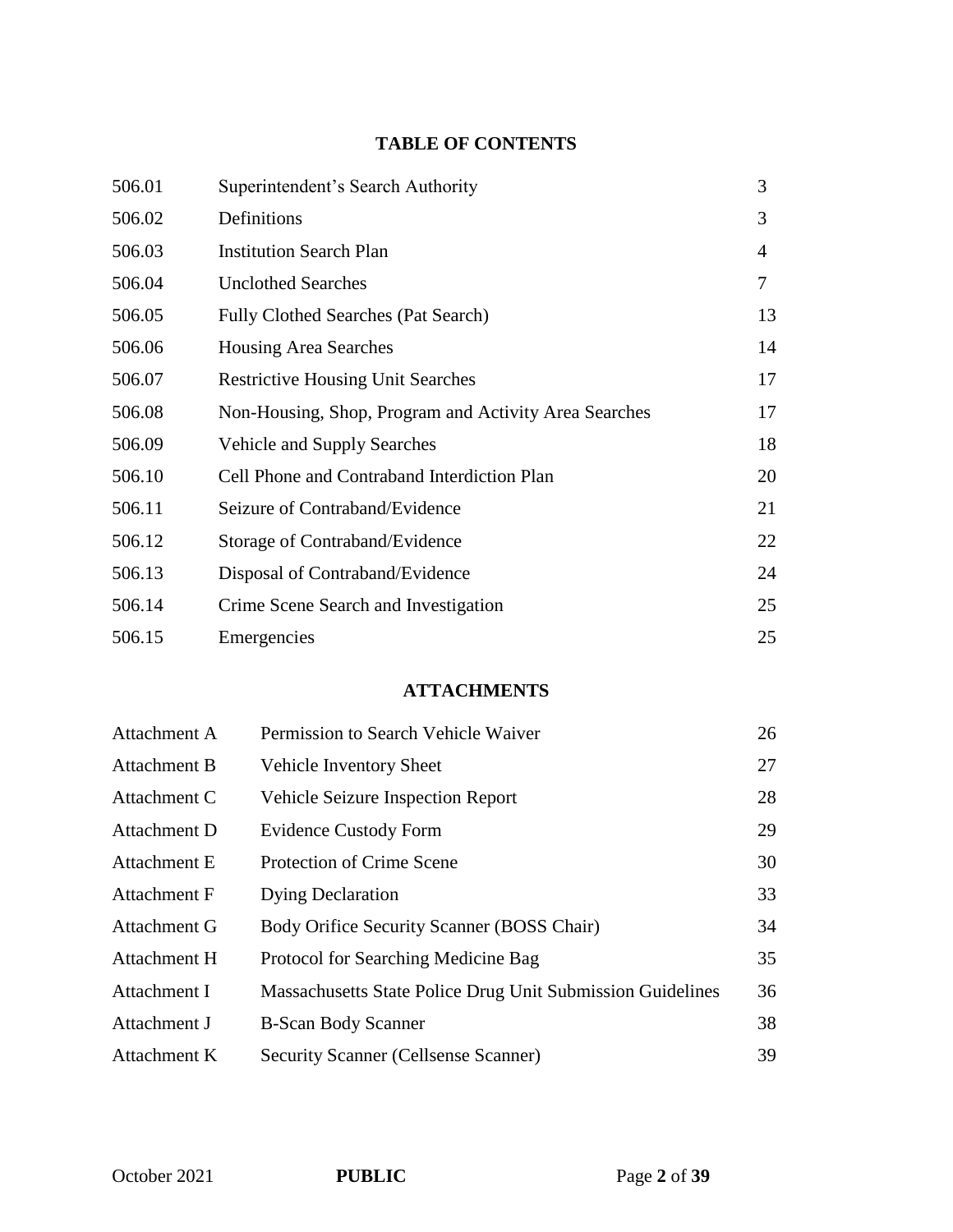# **TABLE OF CONTENTS**

| 506.01 | Superintendent's Search Authority                     | 3  |
|--------|-------------------------------------------------------|----|
| 506.02 | Definitions                                           | 3  |
| 506.03 | <b>Institution Search Plan</b>                        | 4  |
| 506.04 | <b>Unclothed Searches</b>                             | 7  |
| 506.05 | <b>Fully Clothed Searches (Pat Search)</b>            | 13 |
| 506.06 | <b>Housing Area Searches</b>                          | 14 |
| 506.07 | <b>Restrictive Housing Unit Searches</b>              | 17 |
| 506.08 | Non-Housing, Shop, Program and Activity Area Searches | 17 |
| 506.09 | Vehicle and Supply Searches                           | 18 |
| 506.10 | Cell Phone and Contraband Interdiction Plan           | 20 |
| 506.11 | Seizure of Contraband/Evidence                        | 21 |
| 506.12 | Storage of Contraband/Evidence                        | 22 |
| 506.13 | Disposal of Contraband/Evidence                       | 24 |
| 506.14 | Crime Scene Search and Investigation                  | 25 |
| 506.15 | Emergencies                                           | 25 |

### **ATTACHMENTS**

| Attachment A        | Permission to Search Vehicle Waiver                        | 26 |
|---------------------|------------------------------------------------------------|----|
| <b>Attachment B</b> | Vehicle Inventory Sheet                                    | 27 |
| Attachment C        | <b>Vehicle Seizure Inspection Report</b>                   | 28 |
| Attachment D        | <b>Evidence Custody Form</b>                               | 29 |
| Attachment E        | Protection of Crime Scene                                  | 30 |
| Attachment F        | <b>Dying Declaration</b>                                   | 33 |
| Attachment G        | Body Orifice Security Scanner (BOSS Chair)                 | 34 |
| Attachment H        | Protocol for Searching Medicine Bag                        | 35 |
| Attachment I        | Massachusetts State Police Drug Unit Submission Guidelines | 36 |
| Attachment J        | <b>B-Scan Body Scanner</b>                                 | 38 |
| Attachment K        | Security Scanner (Cellsense Scanner)                       | 39 |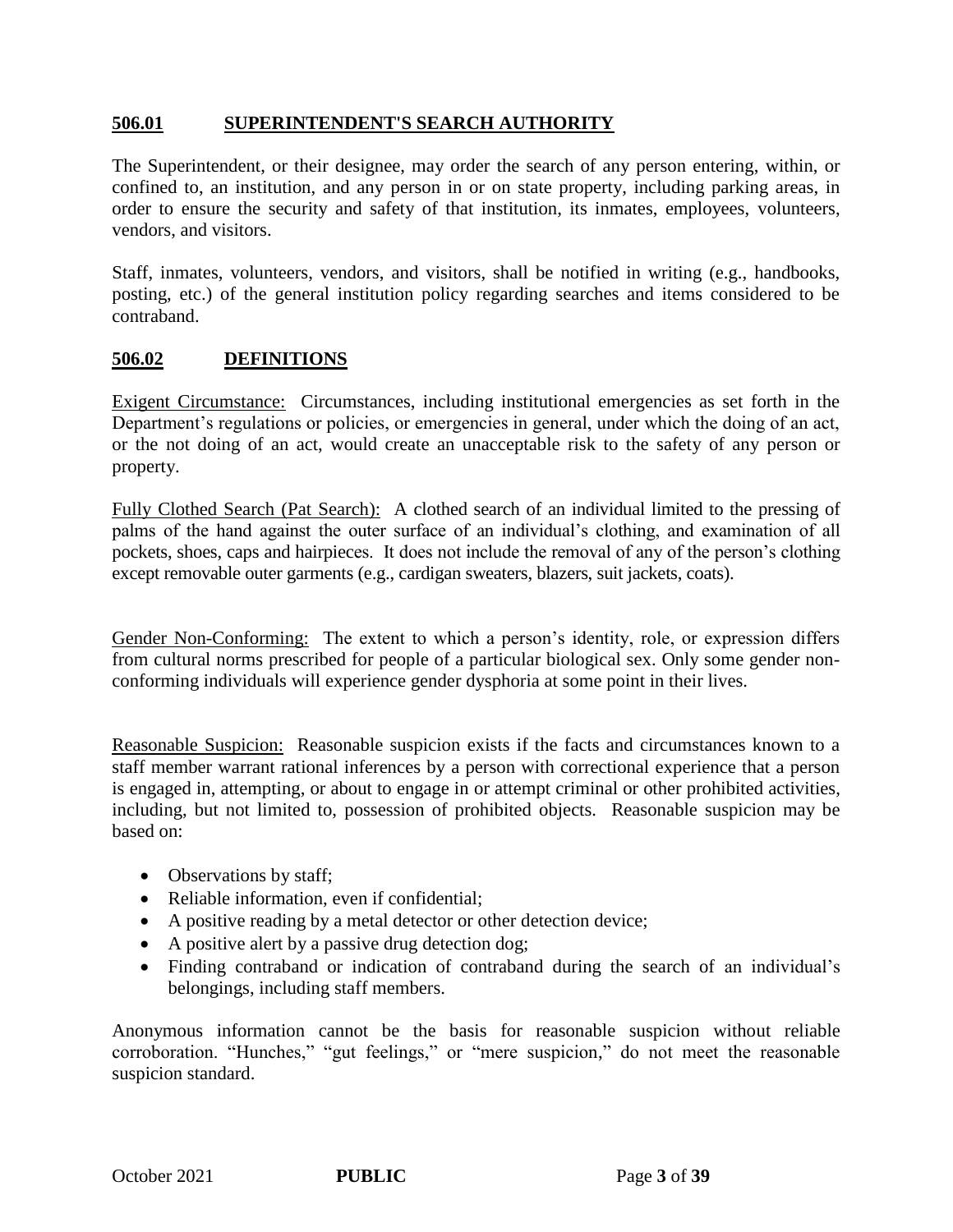### **506.01 SUPERINTENDENT'S SEARCH AUTHORITY**

The Superintendent, or their designee, may order the search of any person entering, within, or confined to, an institution, and any person in or on state property, including parking areas, in order to ensure the security and safety of that institution, its inmates, employees, volunteers, vendors, and visitors.

Staff, inmates, volunteers, vendors, and visitors, shall be notified in writing (e.g., handbooks, posting, etc.) of the general institution policy regarding searches and items considered to be contraband.

### **506.02 DEFINITIONS**

Exigent Circumstance: Circumstances, including institutional emergencies as set forth in the Department's regulations or policies, or emergencies in general, under which the doing of an act, or the not doing of an act, would create an unacceptable risk to the safety of any person or property.

Fully Clothed Search (Pat Search): A clothed search of an individual limited to the pressing of palms of the hand against the outer surface of an individual's clothing, and examination of all pockets, shoes, caps and hairpieces. It does not include the removal of any of the person's clothing except removable outer garments (e.g., cardigan sweaters, blazers, suit jackets, coats).

Gender Non-Conforming: The extent to which a person's identity, role, or expression differs from cultural norms prescribed for people of a particular biological sex. Only some gender nonconforming individuals will experience gender dysphoria at some point in their lives.

Reasonable Suspicion: Reasonable suspicion exists if the facts and circumstances known to a staff member warrant rational inferences by a person with correctional experience that a person is engaged in, attempting, or about to engage in or attempt criminal or other prohibited activities, including, but not limited to, possession of prohibited objects. Reasonable suspicion may be based on:

- Observations by staff;
- Reliable information, even if confidential;
- A positive reading by a metal detector or other detection device;
- A positive alert by a passive drug detection dog;
- Finding contraband or indication of contraband during the search of an individual's belongings, including staff members.

Anonymous information cannot be the basis for reasonable suspicion without reliable corroboration. "Hunches," "gut feelings," or "mere suspicion," do not meet the reasonable suspicion standard.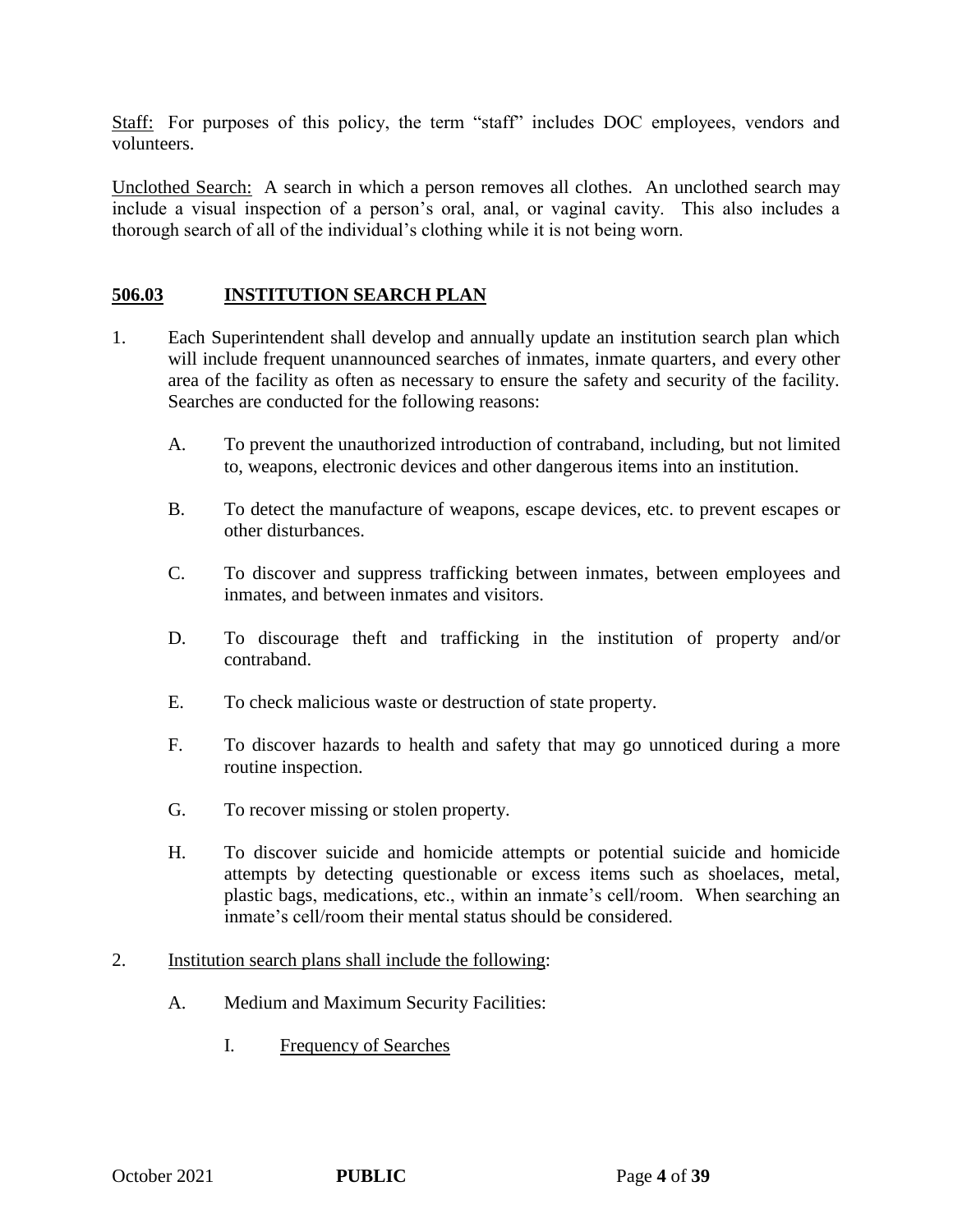Staff: For purposes of this policy, the term "staff" includes DOC employees, vendors and volunteers.

Unclothed Search: A search in which a person removes all clothes. An unclothed search may include a visual inspection of a person's oral, anal, or vaginal cavity. This also includes a thorough search of all of the individual's clothing while it is not being worn.

### **506.03 INSTITUTION SEARCH PLAN**

- 1. Each Superintendent shall develop and annually update an institution search plan which will include frequent unannounced searches of inmates, inmate quarters, and every other area of the facility as often as necessary to ensure the safety and security of the facility. Searches are conducted for the following reasons:
	- A. To prevent the unauthorized introduction of contraband, including, but not limited to, weapons, electronic devices and other dangerous items into an institution.
	- B. To detect the manufacture of weapons, escape devices, etc. to prevent escapes or other disturbances.
	- C. To discover and suppress trafficking between inmates, between employees and inmates, and between inmates and visitors.
	- D. To discourage theft and trafficking in the institution of property and/or contraband.
	- E. To check malicious waste or destruction of state property.
	- F. To discover hazards to health and safety that may go unnoticed during a more routine inspection.
	- G. To recover missing or stolen property.
	- H. To discover suicide and homicide attempts or potential suicide and homicide attempts by detecting questionable or excess items such as shoelaces, metal, plastic bags, medications, etc., within an inmate's cell/room. When searching an inmate's cell/room their mental status should be considered.
- 2. Institution search plans shall include the following:
	- A. Medium and Maximum Security Facilities:
		- I. Frequency of Searches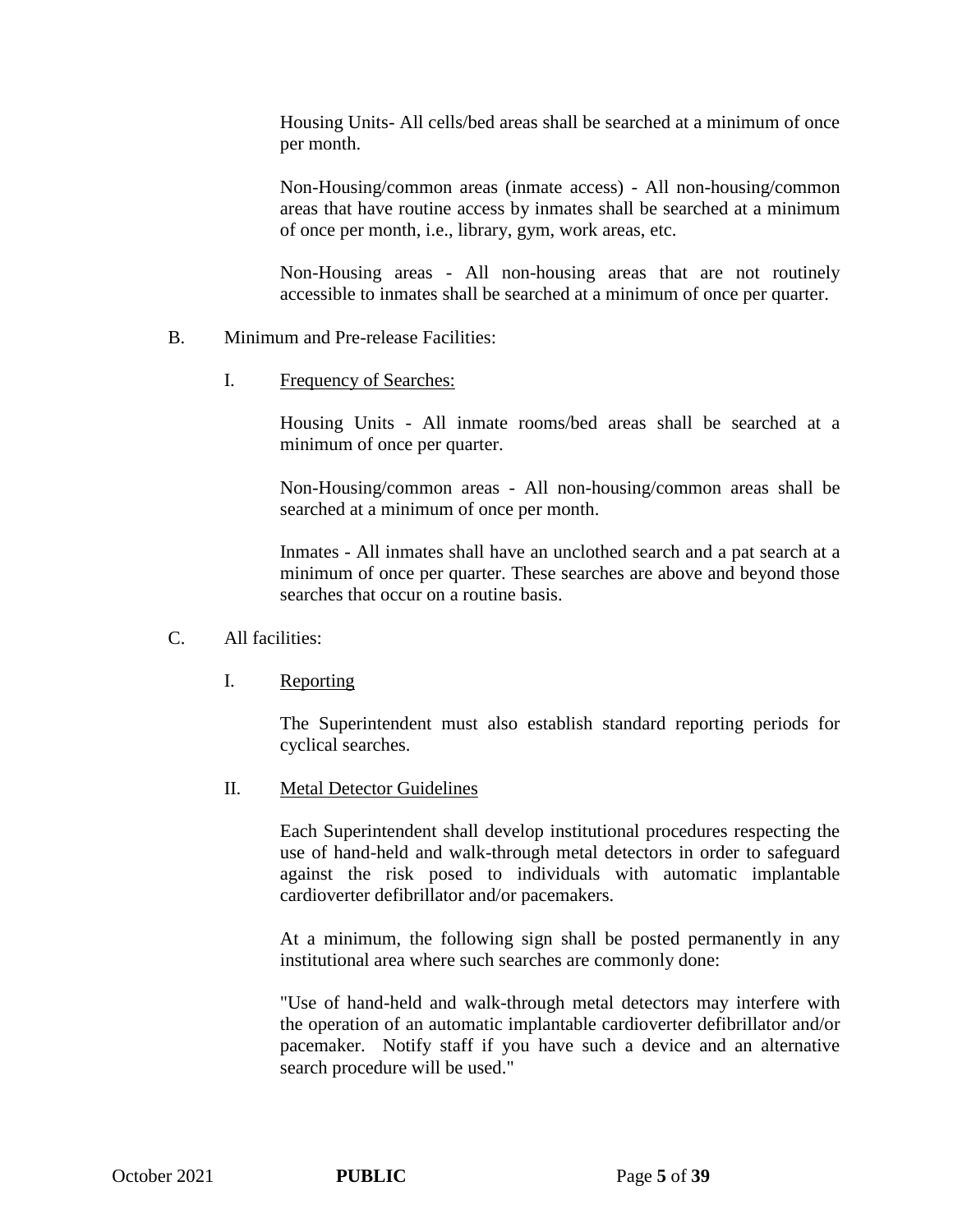Housing Units- All cells/bed areas shall be searched at a minimum of once per month.

Non-Housing/common areas (inmate access) - All non-housing/common areas that have routine access by inmates shall be searched at a minimum of once per month, i.e., library, gym, work areas, etc.

Non-Housing areas - All non-housing areas that are not routinely accessible to inmates shall be searched at a minimum of once per quarter.

- B. Minimum and Pre-release Facilities:
	- I. Frequency of Searches:

Housing Units - All inmate rooms/bed areas shall be searched at a minimum of once per quarter.

Non-Housing/common areas - All non-housing/common areas shall be searched at a minimum of once per month.

Inmates - All inmates shall have an unclothed search and a pat search at a minimum of once per quarter. These searches are above and beyond those searches that occur on a routine basis.

- C. All facilities:
	- I. Reporting

The Superintendent must also establish standard reporting periods for cyclical searches.

II. Metal Detector Guidelines

Each Superintendent shall develop institutional procedures respecting the use of hand-held and walk-through metal detectors in order to safeguard against the risk posed to individuals with automatic implantable cardioverter defibrillator and/or pacemakers.

At a minimum, the following sign shall be posted permanently in any institutional area where such searches are commonly done:

"Use of hand-held and walk-through metal detectors may interfere with the operation of an automatic implantable cardioverter defibrillator and/or pacemaker. Notify staff if you have such a device and an alternative search procedure will be used."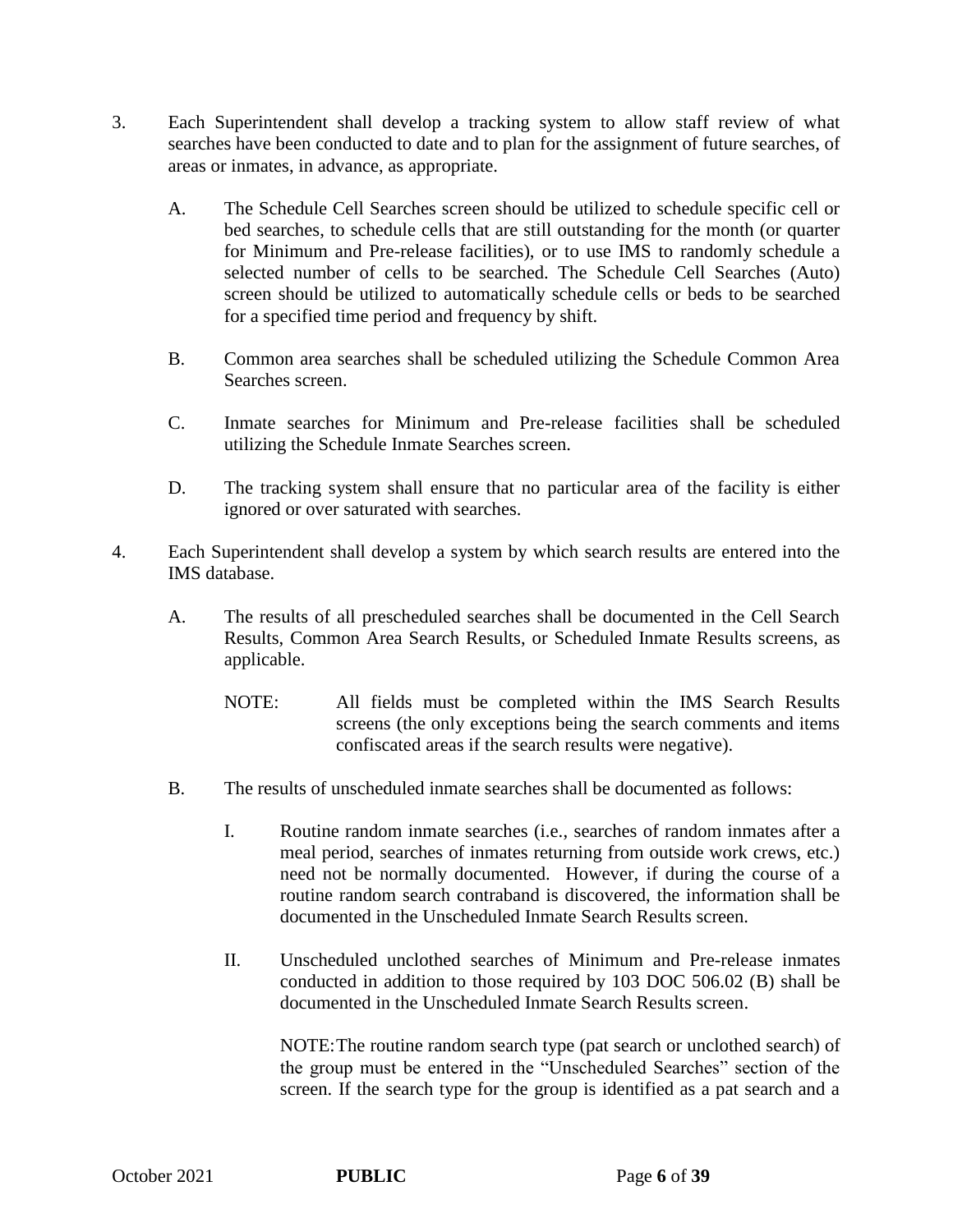- 3. Each Superintendent shall develop a tracking system to allow staff review of what searches have been conducted to date and to plan for the assignment of future searches, of areas or inmates, in advance, as appropriate.
	- A. The Schedule Cell Searches screen should be utilized to schedule specific cell or bed searches, to schedule cells that are still outstanding for the month (or quarter for Minimum and Pre-release facilities), or to use IMS to randomly schedule a selected number of cells to be searched. The Schedule Cell Searches (Auto) screen should be utilized to automatically schedule cells or beds to be searched for a specified time period and frequency by shift.
	- B. Common area searches shall be scheduled utilizing the Schedule Common Area Searches screen.
	- C. Inmate searches for Minimum and Pre-release facilities shall be scheduled utilizing the Schedule Inmate Searches screen.
	- D. The tracking system shall ensure that no particular area of the facility is either ignored or over saturated with searches.
- 4. Each Superintendent shall develop a system by which search results are entered into the IMS database.
	- A. The results of all prescheduled searches shall be documented in the Cell Search Results, Common Area Search Results, or Scheduled Inmate Results screens, as applicable.
		- NOTE: All fields must be completed within the IMS Search Results screens (the only exceptions being the search comments and items confiscated areas if the search results were negative).
	- B. The results of unscheduled inmate searches shall be documented as follows:
		- I. Routine random inmate searches (i.e., searches of random inmates after a meal period, searches of inmates returning from outside work crews, etc.) need not be normally documented. However, if during the course of a routine random search contraband is discovered, the information shall be documented in the Unscheduled Inmate Search Results screen.
		- II. Unscheduled unclothed searches of Minimum and Pre-release inmates conducted in addition to those required by 103 DOC 506.02 (B) shall be documented in the Unscheduled Inmate Search Results screen.

NOTE:The routine random search type (pat search or unclothed search) of the group must be entered in the "Unscheduled Searches" section of the screen. If the search type for the group is identified as a pat search and a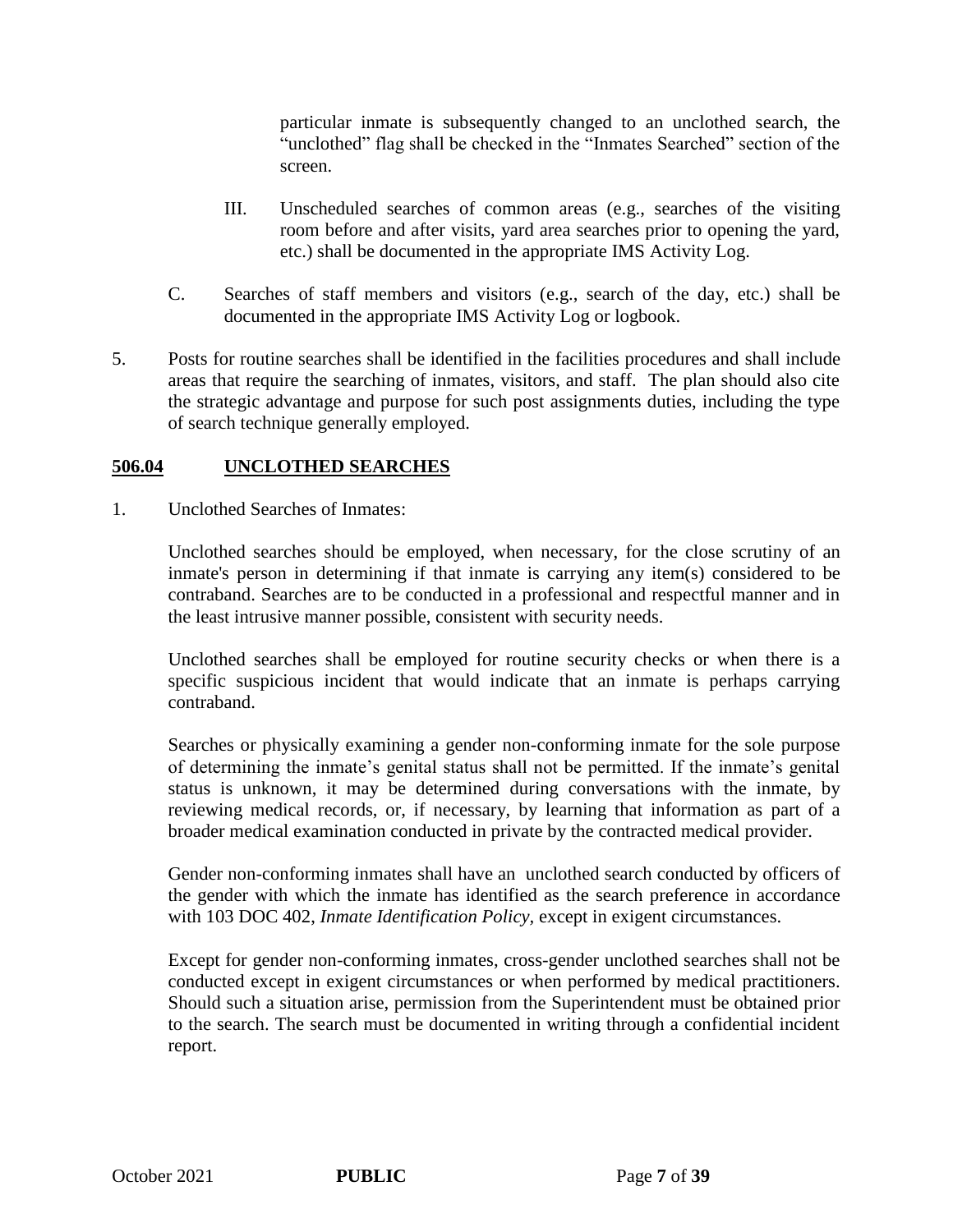particular inmate is subsequently changed to an unclothed search, the "unclothed" flag shall be checked in the "Inmates Searched" section of the screen.

- III. Unscheduled searches of common areas (e.g., searches of the visiting room before and after visits, yard area searches prior to opening the yard, etc.) shall be documented in the appropriate IMS Activity Log.
- C. Searches of staff members and visitors (e.g., search of the day, etc.) shall be documented in the appropriate IMS Activity Log or logbook.
- 5. Posts for routine searches shall be identified in the facilities procedures and shall include areas that require the searching of inmates, visitors, and staff. The plan should also cite the strategic advantage and purpose for such post assignments duties, including the type of search technique generally employed.

### **506.04 UNCLOTHED SEARCHES**

1. Unclothed Searches of Inmates:

Unclothed searches should be employed, when necessary, for the close scrutiny of an inmate's person in determining if that inmate is carrying any item(s) considered to be contraband. Searches are to be conducted in a professional and respectful manner and in the least intrusive manner possible, consistent with security needs.

Unclothed searches shall be employed for routine security checks or when there is a specific suspicious incident that would indicate that an inmate is perhaps carrying contraband.

Searches or physically examining a gender non-conforming inmate for the sole purpose of determining the inmate's genital status shall not be permitted. If the inmate's genital status is unknown, it may be determined during conversations with the inmate, by reviewing medical records, or, if necessary, by learning that information as part of a broader medical examination conducted in private by the contracted medical provider.

Gender non-conforming inmates shall have an unclothed search conducted by officers of the gender with which the inmate has identified as the search preference in accordance with 103 DOC 402, *Inmate Identification Policy,* except in exigent circumstances.

Except for gender non-conforming inmates, cross-gender unclothed searches shall not be conducted except in exigent circumstances or when performed by medical practitioners. Should such a situation arise, permission from the Superintendent must be obtained prior to the search. The search must be documented in writing through a confidential incident report.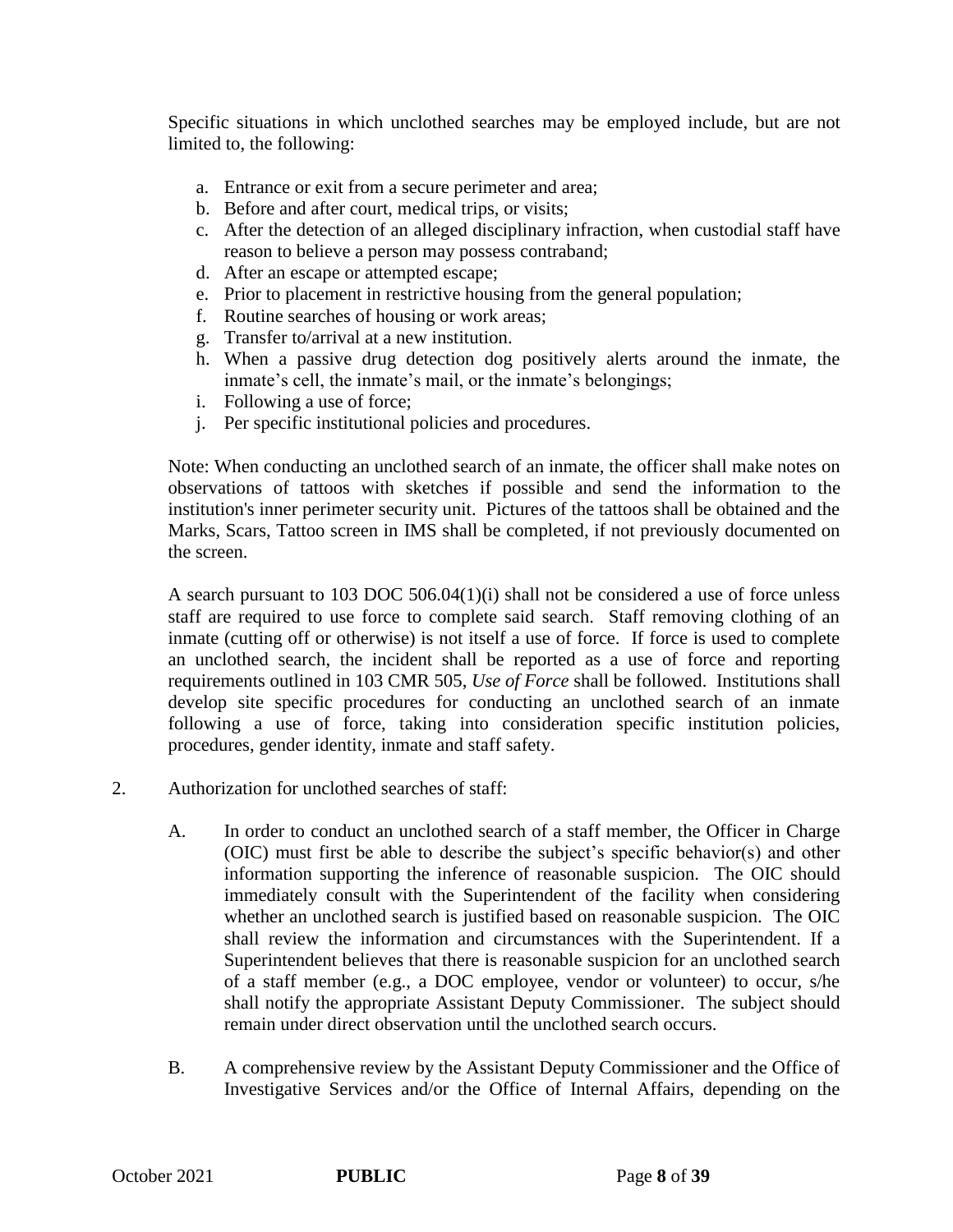Specific situations in which unclothed searches may be employed include, but are not limited to, the following:

- a. Entrance or exit from a secure perimeter and area;
- b. Before and after court, medical trips, or visits;
- c. After the detection of an alleged disciplinary infraction, when custodial staff have reason to believe a person may possess contraband;
- d. After an escape or attempted escape;
- e. Prior to placement in restrictive housing from the general population;
- f. Routine searches of housing or work areas;
- g. Transfer to/arrival at a new institution.
- h. When a passive drug detection dog positively alerts around the inmate, the inmate's cell, the inmate's mail, or the inmate's belongings;
- i. Following a use of force;
- j. Per specific institutional policies and procedures.

Note: When conducting an unclothed search of an inmate, the officer shall make notes on observations of tattoos with sketches if possible and send the information to the institution's inner perimeter security unit. Pictures of the tattoos shall be obtained and the Marks, Scars, Tattoo screen in IMS shall be completed, if not previously documented on the screen.

A search pursuant to 103 DOC 506.04(1)(i) shall not be considered a use of force unless staff are required to use force to complete said search. Staff removing clothing of an inmate (cutting off or otherwise) is not itself a use of force. If force is used to complete an unclothed search, the incident shall be reported as a use of force and reporting requirements outlined in 103 CMR 505, *Use of Force* shall be followed. Institutions shall develop site specific procedures for conducting an unclothed search of an inmate following a use of force, taking into consideration specific institution policies, procedures, gender identity, inmate and staff safety.

- 2. Authorization for unclothed searches of staff:
	- A. In order to conduct an unclothed search of a staff member, the Officer in Charge (OIC) must first be able to describe the subject's specific behavior(s) and other information supporting the inference of reasonable suspicion. The OIC should immediately consult with the Superintendent of the facility when considering whether an unclothed search is justified based on reasonable suspicion. The OIC shall review the information and circumstances with the Superintendent. If a Superintendent believes that there is reasonable suspicion for an unclothed search of a staff member (e.g., a DOC employee, vendor or volunteer) to occur, s/he shall notify the appropriate Assistant Deputy Commissioner. The subject should remain under direct observation until the unclothed search occurs.
	- B. A comprehensive review by the Assistant Deputy Commissioner and the Office of Investigative Services and/or the Office of Internal Affairs, depending on the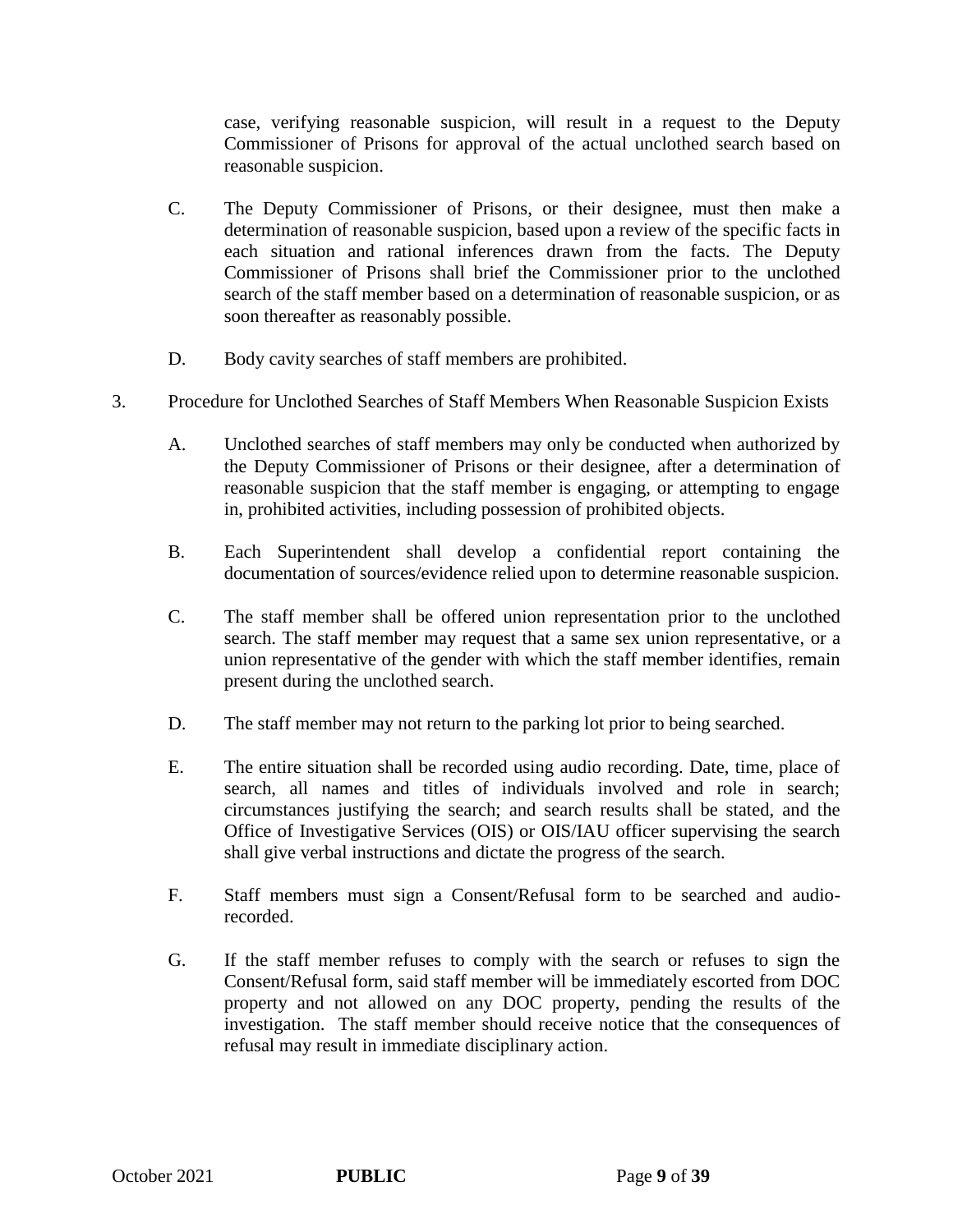case, verifying reasonable suspicion, will result in a request to the Deputy Commissioner of Prisons for approval of the actual unclothed search based on reasonable suspicion.

- C. The Deputy Commissioner of Prisons, or their designee, must then make a determination of reasonable suspicion, based upon a review of the specific facts in each situation and rational inferences drawn from the facts. The Deputy Commissioner of Prisons shall brief the Commissioner prior to the unclothed search of the staff member based on a determination of reasonable suspicion, or as soon thereafter as reasonably possible.
- D. Body cavity searches of staff members are prohibited.
- 3. Procedure for Unclothed Searches of Staff Members When Reasonable Suspicion Exists
	- A. Unclothed searches of staff members may only be conducted when authorized by the Deputy Commissioner of Prisons or their designee, after a determination of reasonable suspicion that the staff member is engaging, or attempting to engage in, prohibited activities, including possession of prohibited objects.
	- B. Each Superintendent shall develop a confidential report containing the documentation of sources/evidence relied upon to determine reasonable suspicion.
	- C. The staff member shall be offered union representation prior to the unclothed search. The staff member may request that a same sex union representative, or a union representative of the gender with which the staff member identifies, remain present during the unclothed search.
	- D. The staff member may not return to the parking lot prior to being searched.
	- E. The entire situation shall be recorded using audio recording. Date, time, place of search, all names and titles of individuals involved and role in search; circumstances justifying the search; and search results shall be stated, and the Office of Investigative Services (OIS) or OIS/IAU officer supervising the search shall give verbal instructions and dictate the progress of the search.
	- F. Staff members must sign a Consent/Refusal form to be searched and audiorecorded.
	- G. If the staff member refuses to comply with the search or refuses to sign the Consent/Refusal form, said staff member will be immediately escorted from DOC property and not allowed on any DOC property, pending the results of the investigation. The staff member should receive notice that the consequences of refusal may result in immediate disciplinary action.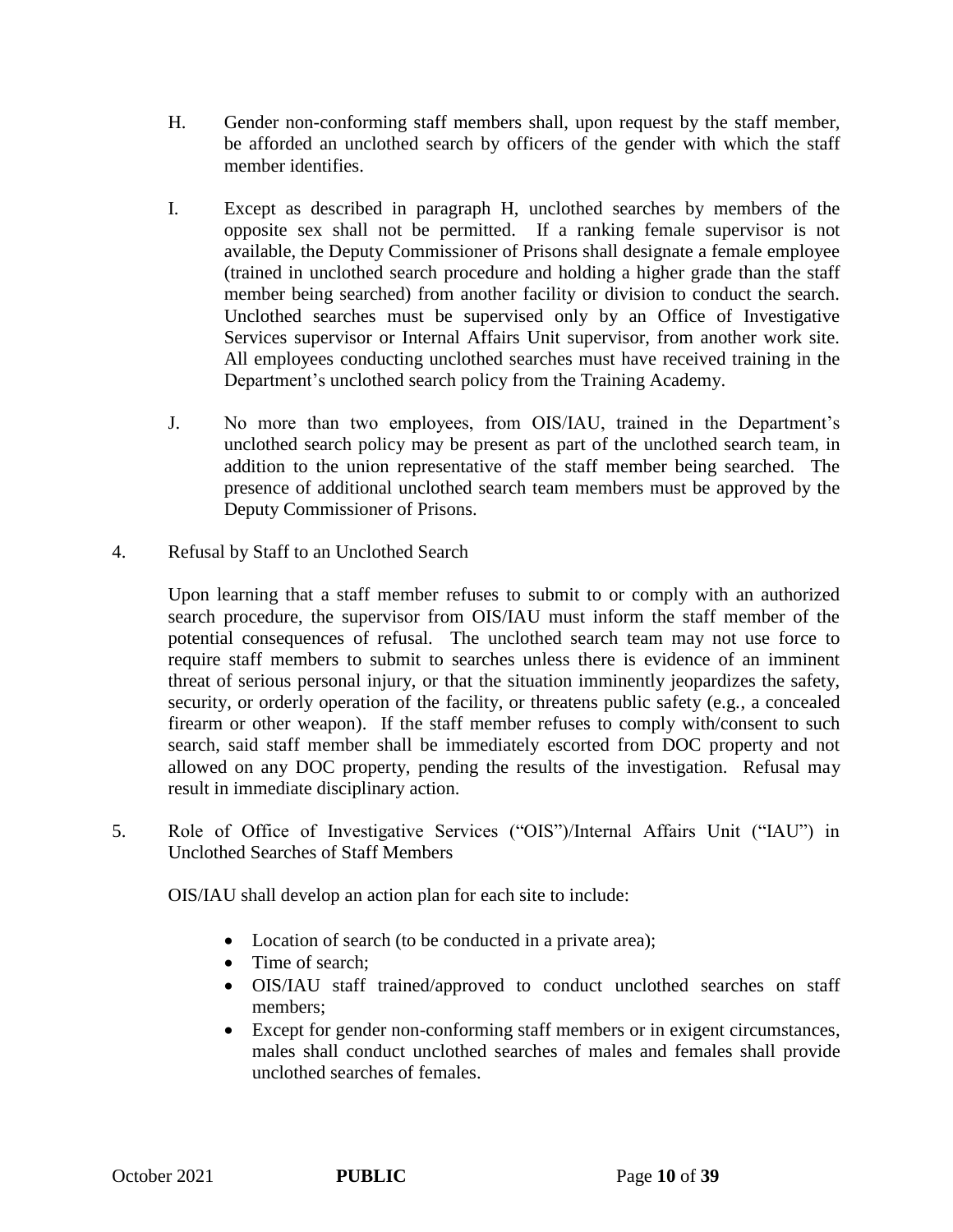- H. Gender non-conforming staff members shall, upon request by the staff member, be afforded an unclothed search by officers of the gender with which the staff member identifies.
- I. Except as described in paragraph H, unclothed searches by members of the opposite sex shall not be permitted. If a ranking female supervisor is not available, the Deputy Commissioner of Prisons shall designate a female employee (trained in unclothed search procedure and holding a higher grade than the staff member being searched) from another facility or division to conduct the search. Unclothed searches must be supervised only by an Office of Investigative Services supervisor or Internal Affairs Unit supervisor, from another work site. All employees conducting unclothed searches must have received training in the Department's unclothed search policy from the Training Academy.
- J. No more than two employees, from OIS/IAU, trained in the Department's unclothed search policy may be present as part of the unclothed search team, in addition to the union representative of the staff member being searched. The presence of additional unclothed search team members must be approved by the Deputy Commissioner of Prisons.
- 4. Refusal by Staff to an Unclothed Search

Upon learning that a staff member refuses to submit to or comply with an authorized search procedure, the supervisor from OIS/IAU must inform the staff member of the potential consequences of refusal. The unclothed search team may not use force to require staff members to submit to searches unless there is evidence of an imminent threat of serious personal injury, or that the situation imminently jeopardizes the safety, security, or orderly operation of the facility, or threatens public safety (e.g., a concealed firearm or other weapon). If the staff member refuses to comply with/consent to such search, said staff member shall be immediately escorted from DOC property and not allowed on any DOC property, pending the results of the investigation. Refusal may result in immediate disciplinary action.

5. Role of Office of Investigative Services ("OIS")/Internal Affairs Unit ("IAU") in Unclothed Searches of Staff Members

OIS/IAU shall develop an action plan for each site to include:

- Location of search (to be conducted in a private area);
- Time of search;
- OIS/IAU staff trained/approved to conduct unclothed searches on staff members;
- Except for gender non-conforming staff members or in exigent circumstances, males shall conduct unclothed searches of males and females shall provide unclothed searches of females.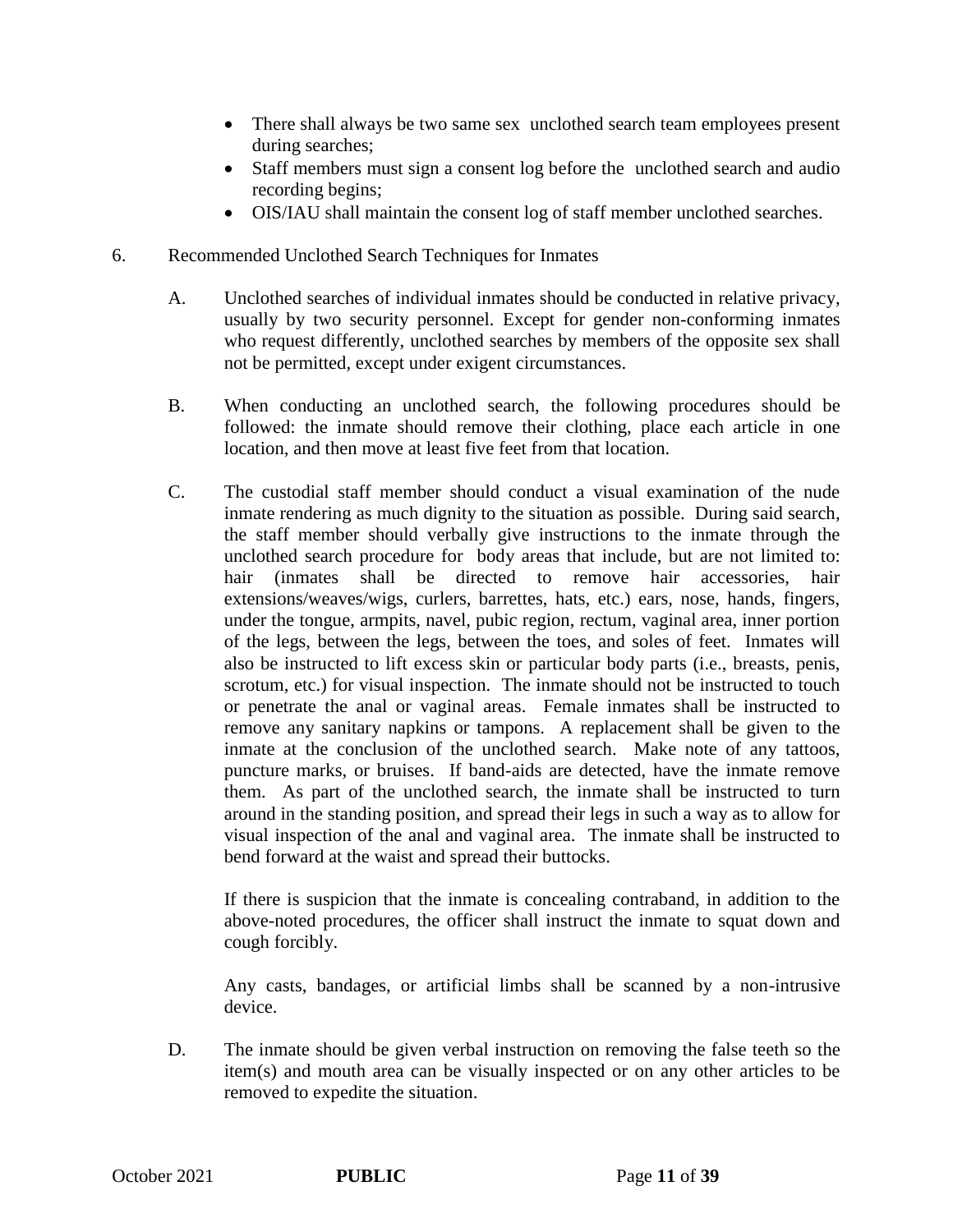- There shall always be two same sex unclothed search team employees present during searches;
- Staff members must sign a consent log before the unclothed search and audio recording begins;
- OIS/IAU shall maintain the consent log of staff member unclothed searches.
- 6. Recommended Unclothed Search Techniques for Inmates
	- A. Unclothed searches of individual inmates should be conducted in relative privacy, usually by two security personnel. Except for gender non-conforming inmates who request differently, unclothed searches by members of the opposite sex shall not be permitted, except under exigent circumstances.
	- B. When conducting an unclothed search, the following procedures should be followed: the inmate should remove their clothing, place each article in one location, and then move at least five feet from that location.
	- C. The custodial staff member should conduct a visual examination of the nude inmate rendering as much dignity to the situation as possible. During said search, the staff member should verbally give instructions to the inmate through the unclothed search procedure for body areas that include, but are not limited to: hair (inmates shall be directed to remove hair accessories, hair extensions/weaves/wigs, curlers, barrettes, hats, etc.) ears, nose, hands, fingers, under the tongue, armpits, navel, pubic region, rectum, vaginal area, inner portion of the legs, between the legs, between the toes, and soles of feet. Inmates will also be instructed to lift excess skin or particular body parts (i.e., breasts, penis, scrotum, etc.) for visual inspection. The inmate should not be instructed to touch or penetrate the anal or vaginal areas. Female inmates shall be instructed to remove any sanitary napkins or tampons. A replacement shall be given to the inmate at the conclusion of the unclothed search. Make note of any tattoos, puncture marks, or bruises. If band-aids are detected, have the inmate remove them. As part of the unclothed search, the inmate shall be instructed to turn around in the standing position, and spread their legs in such a way as to allow for visual inspection of the anal and vaginal area. The inmate shall be instructed to bend forward at the waist and spread their buttocks.

If there is suspicion that the inmate is concealing contraband, in addition to the above-noted procedures, the officer shall instruct the inmate to squat down and cough forcibly.

Any casts, bandages, or artificial limbs shall be scanned by a non-intrusive device.

D. The inmate should be given verbal instruction on removing the false teeth so the item(s) and mouth area can be visually inspected or on any other articles to be removed to expedite the situation.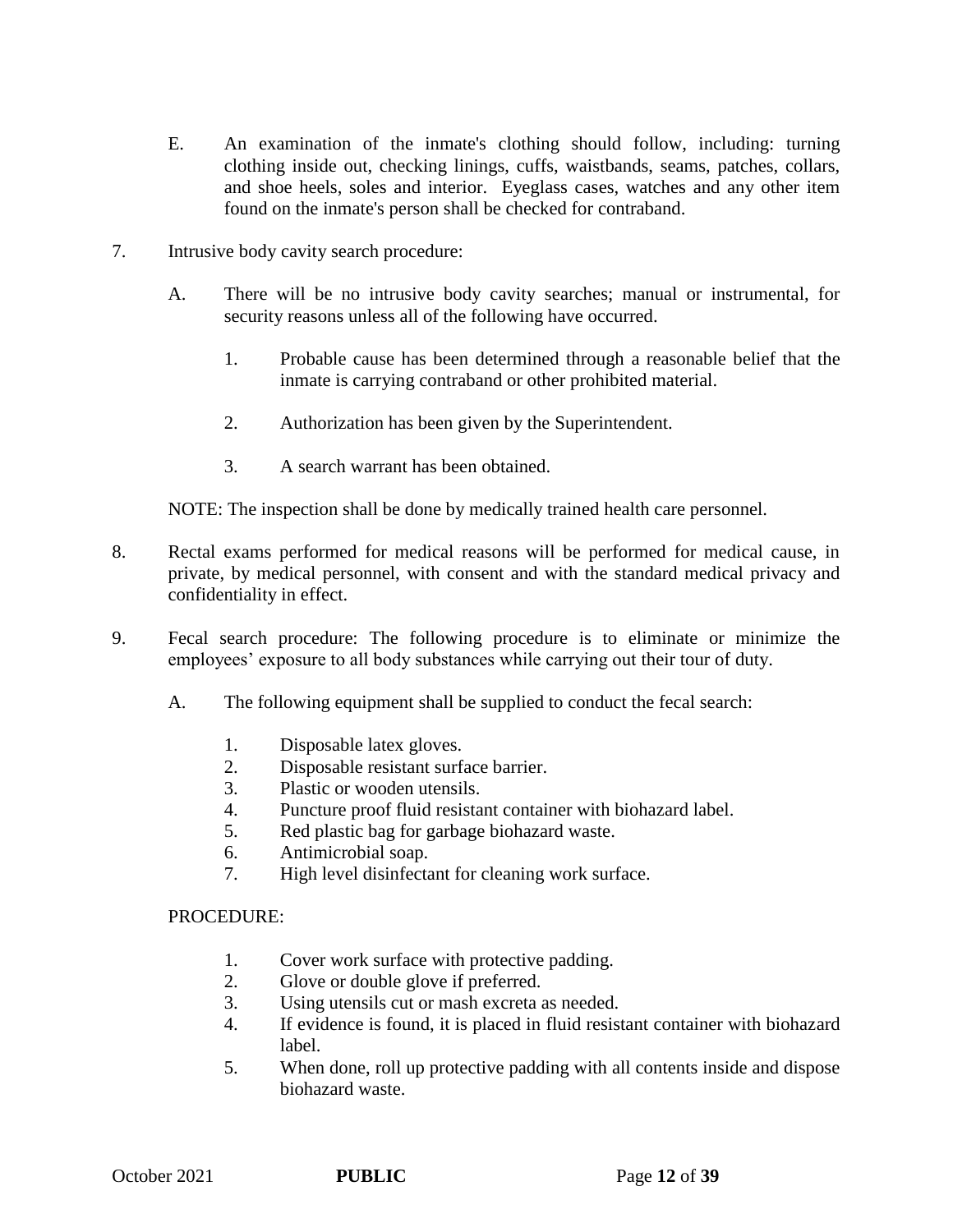- E. An examination of the inmate's clothing should follow, including: turning clothing inside out, checking linings, cuffs, waistbands, seams, patches, collars, and shoe heels, soles and interior. Eyeglass cases, watches and any other item found on the inmate's person shall be checked for contraband.
- 7. Intrusive body cavity search procedure:
	- A. There will be no intrusive body cavity searches; manual or instrumental, for security reasons unless all of the following have occurred.
		- 1. Probable cause has been determined through a reasonable belief that the inmate is carrying contraband or other prohibited material.
		- 2. Authorization has been given by the Superintendent.
		- 3. A search warrant has been obtained.

NOTE: The inspection shall be done by medically trained health care personnel.

- 8. Rectal exams performed for medical reasons will be performed for medical cause, in private, by medical personnel, with consent and with the standard medical privacy and confidentiality in effect.
- 9. Fecal search procedure: The following procedure is to eliminate or minimize the employees' exposure to all body substances while carrying out their tour of duty.
	- A. The following equipment shall be supplied to conduct the fecal search:
		- 1. Disposable latex gloves.
		- 2. Disposable resistant surface barrier.
		- 3. Plastic or wooden utensils.
		- 4. Puncture proof fluid resistant container with biohazard label.
		- 5. Red plastic bag for garbage biohazard waste.
		- 6. Antimicrobial soap.
		- 7. High level disinfectant for cleaning work surface.

### PROCEDURE:

- 1. Cover work surface with protective padding.
- 2. Glove or double glove if preferred.
- 3. Using utensils cut or mash excreta as needed.
- 4. If evidence is found, it is placed in fluid resistant container with biohazard label.
- 5. When done, roll up protective padding with all contents inside and dispose biohazard waste.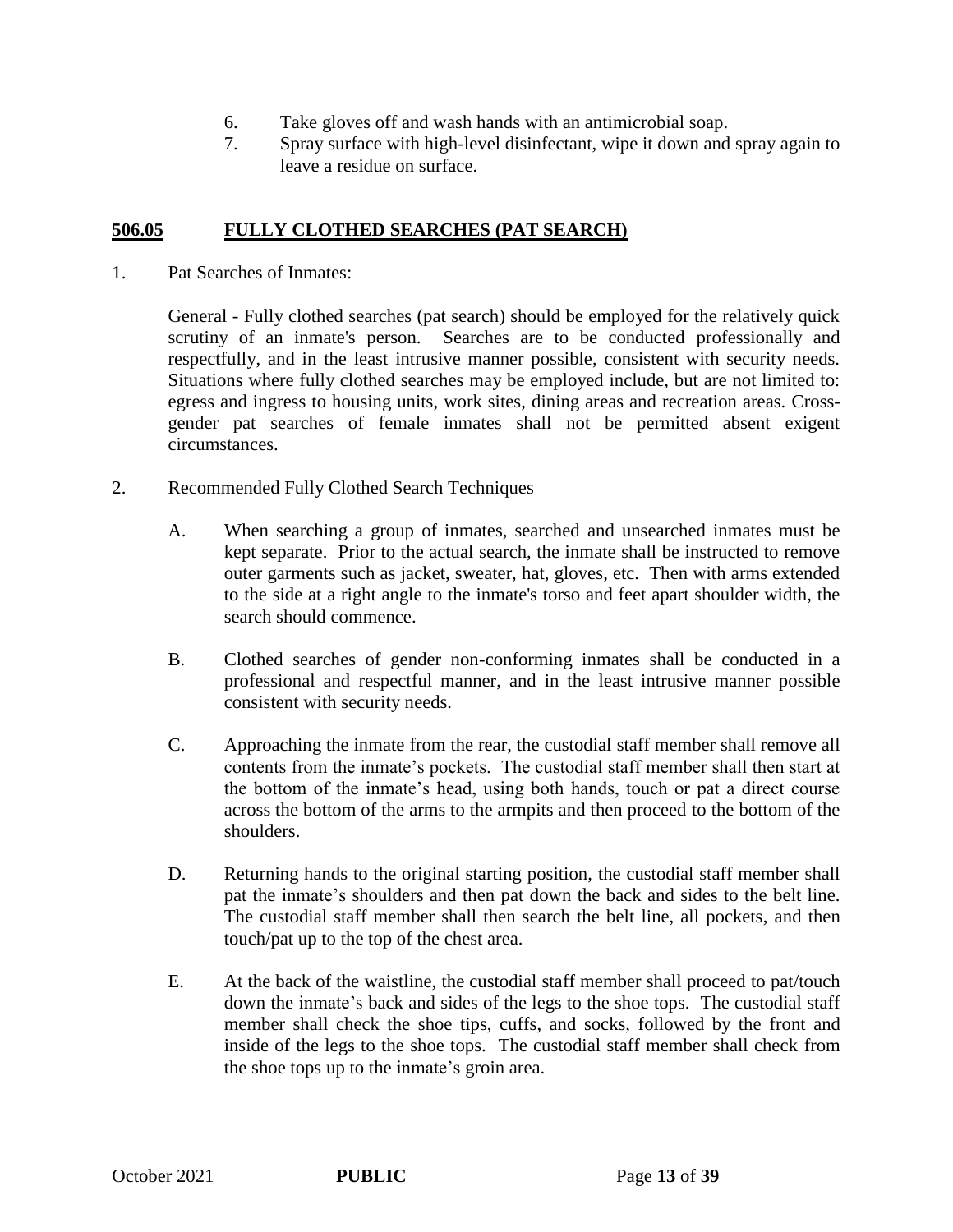- 6. Take gloves off and wash hands with an antimicrobial soap.
- 7. Spray surface with high-level disinfectant, wipe it down and spray again to leave a residue on surface.

### **506.05 FULLY CLOTHED SEARCHES (PAT SEARCH)**

1. Pat Searches of Inmates:

General - Fully clothed searches (pat search) should be employed for the relatively quick scrutiny of an inmate's person. Searches are to be conducted professionally and respectfully, and in the least intrusive manner possible, consistent with security needs. Situations where fully clothed searches may be employed include, but are not limited to: egress and ingress to housing units, work sites, dining areas and recreation areas. Crossgender pat searches of female inmates shall not be permitted absent exigent circumstances.

- 2. Recommended Fully Clothed Search Techniques
	- A. When searching a group of inmates, searched and unsearched inmates must be kept separate. Prior to the actual search, the inmate shall be instructed to remove outer garments such as jacket, sweater, hat, gloves, etc. Then with arms extended to the side at a right angle to the inmate's torso and feet apart shoulder width, the search should commence.
	- B. Clothed searches of gender non-conforming inmates shall be conducted in a professional and respectful manner, and in the least intrusive manner possible consistent with security needs.
	- C. Approaching the inmate from the rear, the custodial staff member shall remove all contents from the inmate's pockets. The custodial staff member shall then start at the bottom of the inmate's head, using both hands, touch or pat a direct course across the bottom of the arms to the armpits and then proceed to the bottom of the shoulders.
	- D. Returning hands to the original starting position, the custodial staff member shall pat the inmate's shoulders and then pat down the back and sides to the belt line. The custodial staff member shall then search the belt line, all pockets, and then touch/pat up to the top of the chest area.
	- E. At the back of the waistline, the custodial staff member shall proceed to pat/touch down the inmate's back and sides of the legs to the shoe tops. The custodial staff member shall check the shoe tips, cuffs, and socks, followed by the front and inside of the legs to the shoe tops. The custodial staff member shall check from the shoe tops up to the inmate's groin area.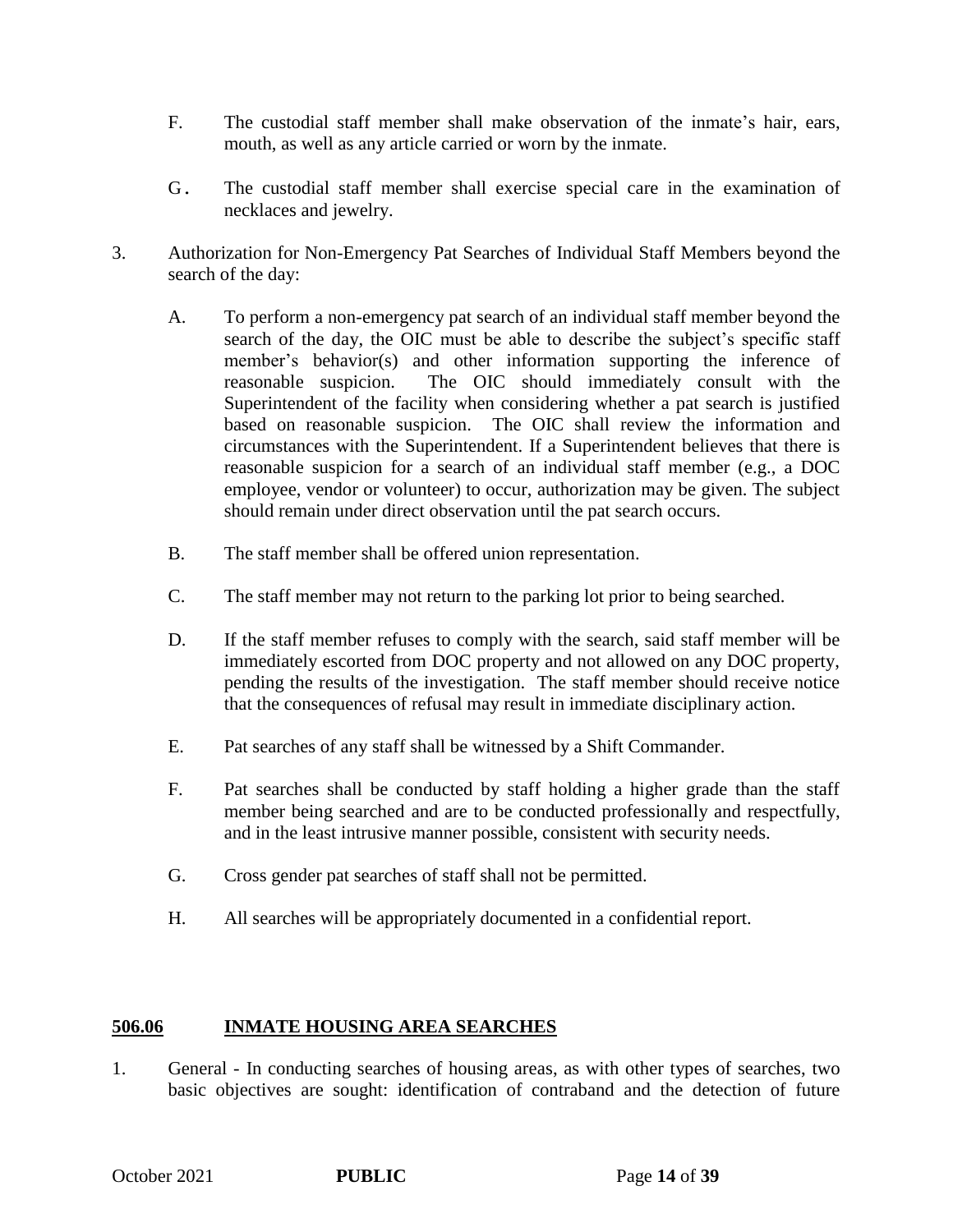- F. The custodial staff member shall make observation of the inmate's hair, ears, mouth, as well as any article carried or worn by the inmate.
- G. The custodial staff member shall exercise special care in the examination of necklaces and jewelry.
- 3. Authorization for Non-Emergency Pat Searches of Individual Staff Members beyond the search of the day:
	- A. To perform a non-emergency pat search of an individual staff member beyond the search of the day, the OIC must be able to describe the subject's specific staff member's behavior(s) and other information supporting the inference of reasonable suspicion. The OIC should immediately consult with the Superintendent of the facility when considering whether a pat search is justified based on reasonable suspicion. The OIC shall review the information and circumstances with the Superintendent. If a Superintendent believes that there is reasonable suspicion for a search of an individual staff member (e.g., a DOC employee, vendor or volunteer) to occur, authorization may be given. The subject should remain under direct observation until the pat search occurs.
	- B. The staff member shall be offered union representation.
	- C. The staff member may not return to the parking lot prior to being searched.
	- D. If the staff member refuses to comply with the search, said staff member will be immediately escorted from DOC property and not allowed on any DOC property, pending the results of the investigation. The staff member should receive notice that the consequences of refusal may result in immediate disciplinary action.
	- E. Pat searches of any staff shall be witnessed by a Shift Commander.
	- F. Pat searches shall be conducted by staff holding a higher grade than the staff member being searched and are to be conducted professionally and respectfully, and in the least intrusive manner possible, consistent with security needs.
	- G. Cross gender pat searches of staff shall not be permitted.
	- H. All searches will be appropriately documented in a confidential report.

### **506.06 INMATE HOUSING AREA SEARCHES**

1. General - In conducting searches of housing areas, as with other types of searches, two basic objectives are sought: identification of contraband and the detection of future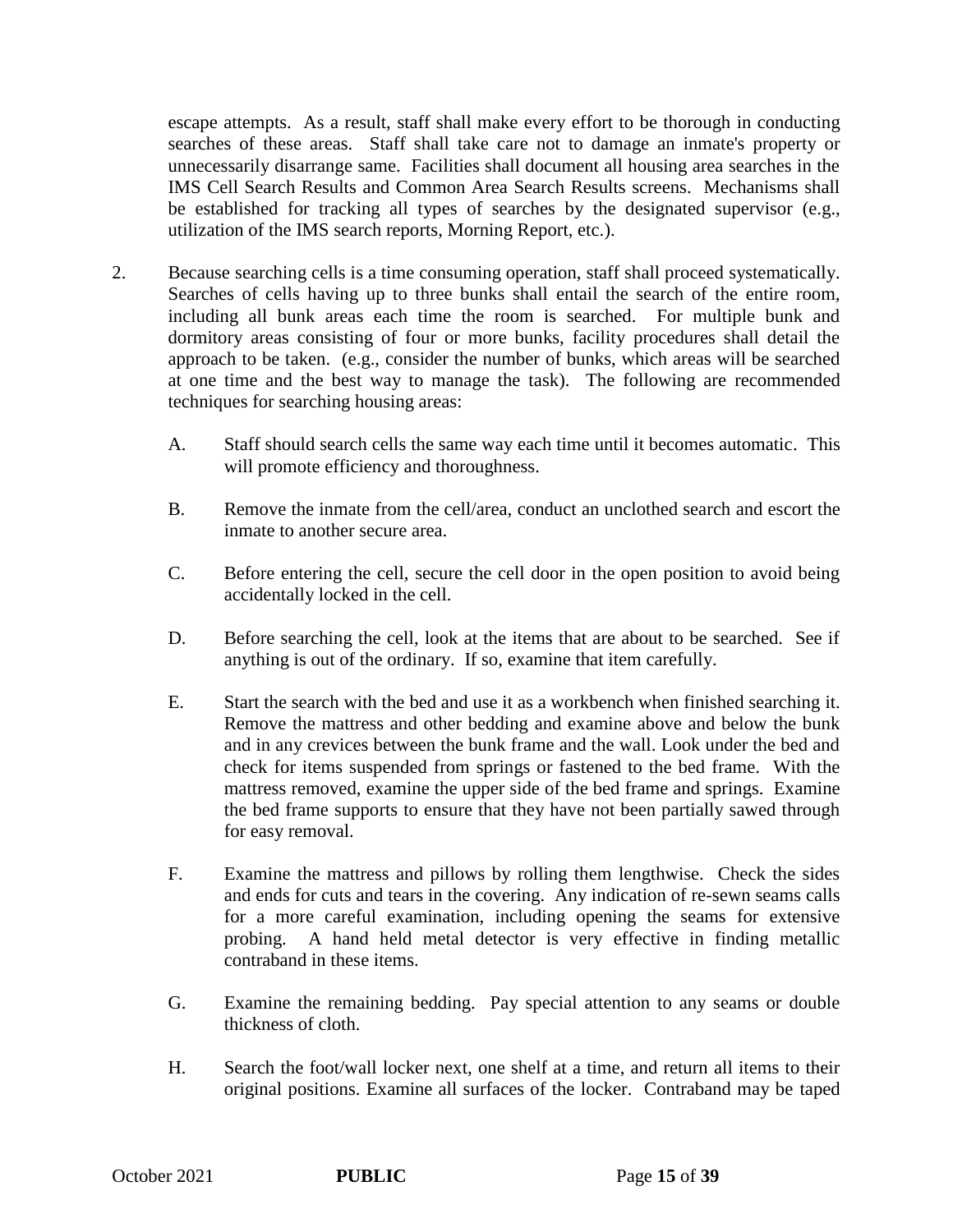escape attempts. As a result, staff shall make every effort to be thorough in conducting searches of these areas. Staff shall take care not to damage an inmate's property or unnecessarily disarrange same. Facilities shall document all housing area searches in the IMS Cell Search Results and Common Area Search Results screens. Mechanisms shall be established for tracking all types of searches by the designated supervisor (e.g., utilization of the IMS search reports, Morning Report, etc.).

- 2. Because searching cells is a time consuming operation, staff shall proceed systematically. Searches of cells having up to three bunks shall entail the search of the entire room, including all bunk areas each time the room is searched. For multiple bunk and dormitory areas consisting of four or more bunks, facility procedures shall detail the approach to be taken. (e.g., consider the number of bunks, which areas will be searched at one time and the best way to manage the task). The following are recommended techniques for searching housing areas:
	- A. Staff should search cells the same way each time until it becomes automatic. This will promote efficiency and thoroughness.
	- B. Remove the inmate from the cell/area, conduct an unclothed search and escort the inmate to another secure area.
	- C. Before entering the cell, secure the cell door in the open position to avoid being accidentally locked in the cell.
	- D. Before searching the cell, look at the items that are about to be searched. See if anything is out of the ordinary. If so, examine that item carefully.
	- E. Start the search with the bed and use it as a workbench when finished searching it. Remove the mattress and other bedding and examine above and below the bunk and in any crevices between the bunk frame and the wall. Look under the bed and check for items suspended from springs or fastened to the bed frame. With the mattress removed, examine the upper side of the bed frame and springs. Examine the bed frame supports to ensure that they have not been partially sawed through for easy removal.
	- F. Examine the mattress and pillows by rolling them lengthwise. Check the sides and ends for cuts and tears in the covering. Any indication of re-sewn seams calls for a more careful examination, including opening the seams for extensive probing. A hand held metal detector is very effective in finding metallic contraband in these items.
	- G. Examine the remaining bedding. Pay special attention to any seams or double thickness of cloth.
	- H. Search the foot/wall locker next, one shelf at a time, and return all items to their original positions. Examine all surfaces of the locker. Contraband may be taped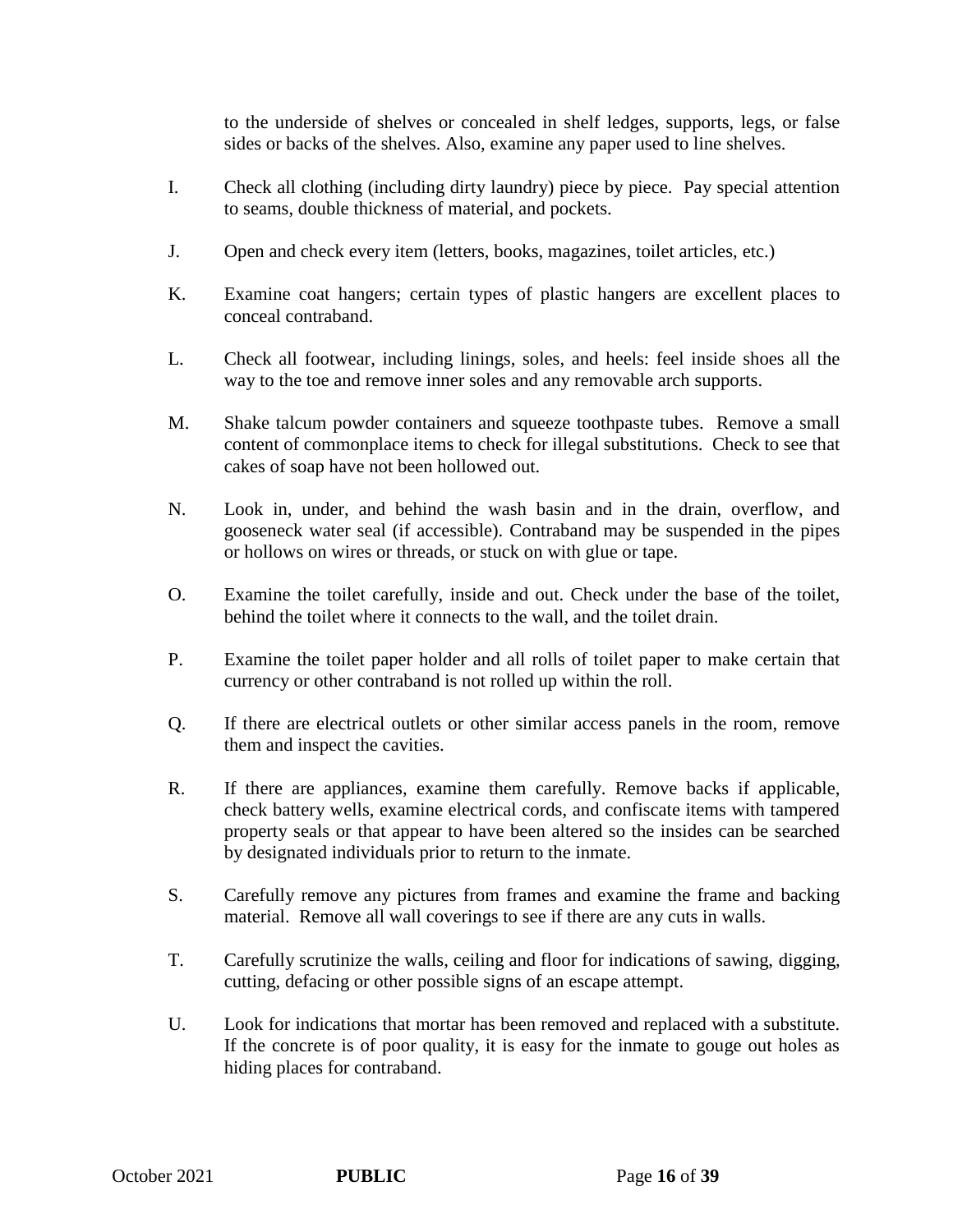to the underside of shelves or concealed in shelf ledges, supports, legs, or false sides or backs of the shelves. Also, examine any paper used to line shelves.

- I. Check all clothing (including dirty laundry) piece by piece. Pay special attention to seams, double thickness of material, and pockets.
- J. Open and check every item (letters, books, magazines, toilet articles, etc.)
- K. Examine coat hangers; certain types of plastic hangers are excellent places to conceal contraband.
- L. Check all footwear, including linings, soles, and heels: feel inside shoes all the way to the toe and remove inner soles and any removable arch supports.
- M. Shake talcum powder containers and squeeze toothpaste tubes. Remove a small content of commonplace items to check for illegal substitutions. Check to see that cakes of soap have not been hollowed out.
- N. Look in, under, and behind the wash basin and in the drain, overflow, and gooseneck water seal (if accessible). Contraband may be suspended in the pipes or hollows on wires or threads, or stuck on with glue or tape.
- O. Examine the toilet carefully, inside and out. Check under the base of the toilet, behind the toilet where it connects to the wall, and the toilet drain.
- P. Examine the toilet paper holder and all rolls of toilet paper to make certain that currency or other contraband is not rolled up within the roll.
- Q. If there are electrical outlets or other similar access panels in the room, remove them and inspect the cavities.
- R. If there are appliances, examine them carefully. Remove backs if applicable, check battery wells, examine electrical cords, and confiscate items with tampered property seals or that appear to have been altered so the insides can be searched by designated individuals prior to return to the inmate.
- S. Carefully remove any pictures from frames and examine the frame and backing material. Remove all wall coverings to see if there are any cuts in walls.
- T. Carefully scrutinize the walls, ceiling and floor for indications of sawing, digging, cutting, defacing or other possible signs of an escape attempt.
- U. Look for indications that mortar has been removed and replaced with a substitute. If the concrete is of poor quality, it is easy for the inmate to gouge out holes as hiding places for contraband.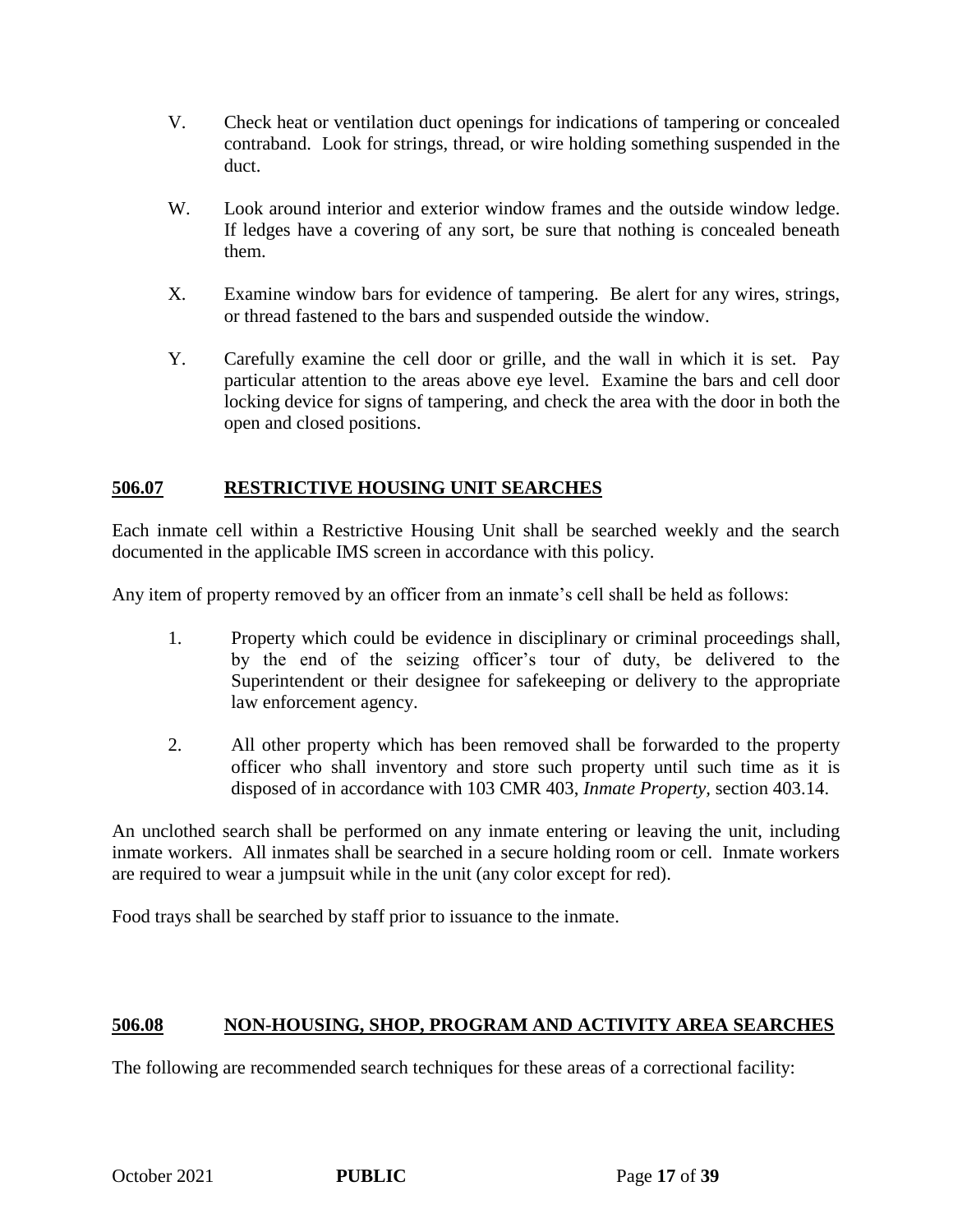- V. Check heat or ventilation duct openings for indications of tampering or concealed contraband. Look for strings, thread, or wire holding something suspended in the duct.
- W. Look around interior and exterior window frames and the outside window ledge. If ledges have a covering of any sort, be sure that nothing is concealed beneath them.
- X. Examine window bars for evidence of tampering. Be alert for any wires, strings, or thread fastened to the bars and suspended outside the window.
- Y. Carefully examine the cell door or grille, and the wall in which it is set. Pay particular attention to the areas above eye level. Examine the bars and cell door locking device for signs of tampering, and check the area with the door in both the open and closed positions.

# **506.07 RESTRICTIVE HOUSING UNIT SEARCHES**

Each inmate cell within a Restrictive Housing Unit shall be searched weekly and the search documented in the applicable IMS screen in accordance with this policy.

Any item of property removed by an officer from an inmate's cell shall be held as follows:

- 1. Property which could be evidence in disciplinary or criminal proceedings shall, by the end of the seizing officer's tour of duty, be delivered to the Superintendent or their designee for safekeeping or delivery to the appropriate law enforcement agency.
- 2. All other property which has been removed shall be forwarded to the property officer who shall inventory and store such property until such time as it is disposed of in accordance with 103 CMR 403, *Inmate Property,* section 403.14.

An unclothed search shall be performed on any inmate entering or leaving the unit, including inmate workers. All inmates shall be searched in a secure holding room or cell. Inmate workers are required to wear a jumpsuit while in the unit (any color except for red).

Food trays shall be searched by staff prior to issuance to the inmate.

# **506.08 NON-HOUSING, SHOP, PROGRAM AND ACTIVITY AREA SEARCHES**

The following are recommended search techniques for these areas of a correctional facility: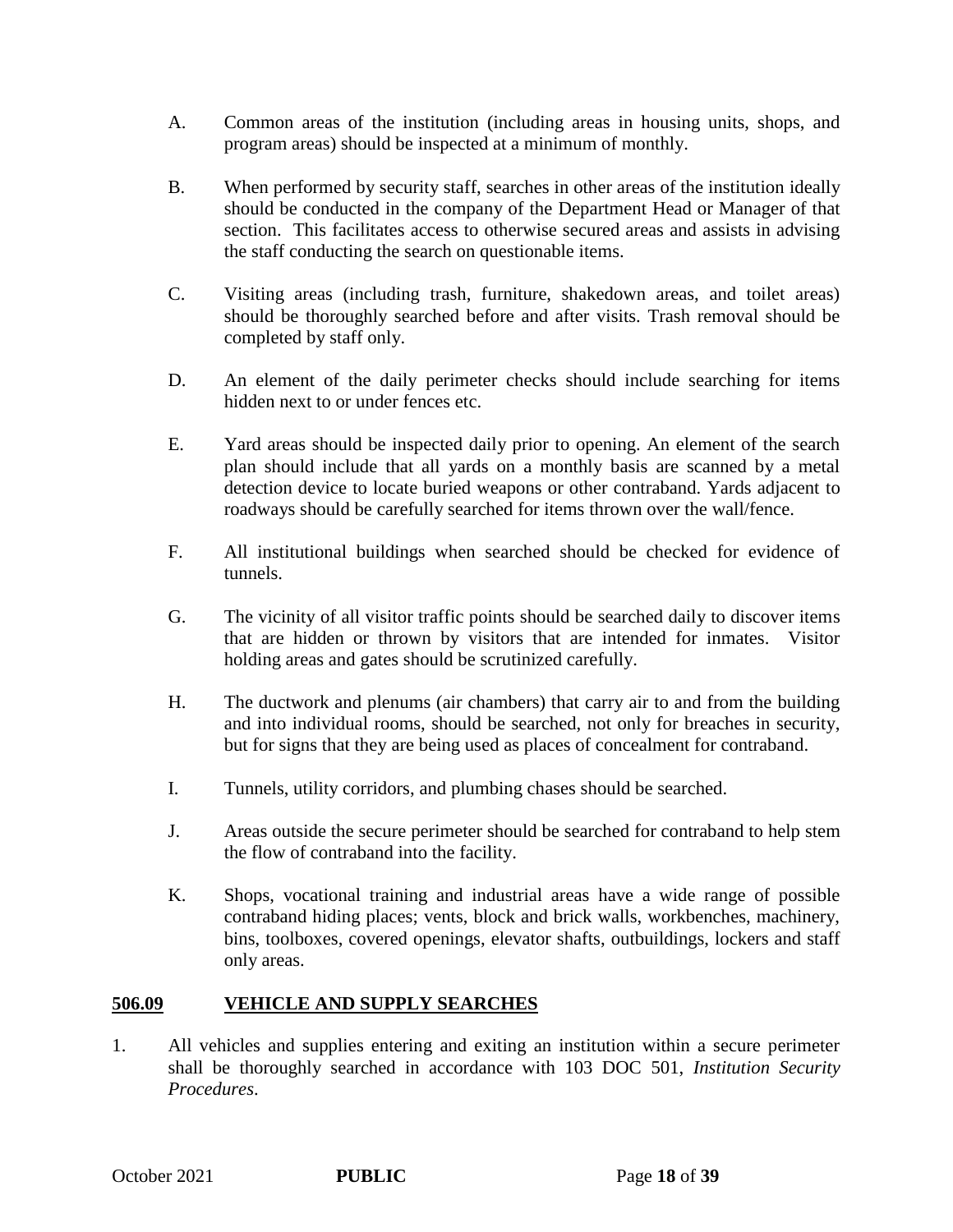- A. Common areas of the institution (including areas in housing units, shops, and program areas) should be inspected at a minimum of monthly.
- B. When performed by security staff, searches in other areas of the institution ideally should be conducted in the company of the Department Head or Manager of that section. This facilitates access to otherwise secured areas and assists in advising the staff conducting the search on questionable items.
- C. Visiting areas (including trash, furniture, shakedown areas, and toilet areas) should be thoroughly searched before and after visits. Trash removal should be completed by staff only.
- D. An element of the daily perimeter checks should include searching for items hidden next to or under fences etc.
- E. Yard areas should be inspected daily prior to opening. An element of the search plan should include that all yards on a monthly basis are scanned by a metal detection device to locate buried weapons or other contraband. Yards adjacent to roadways should be carefully searched for items thrown over the wall/fence.
- F. All institutional buildings when searched should be checked for evidence of tunnels.
- G. The vicinity of all visitor traffic points should be searched daily to discover items that are hidden or thrown by visitors that are intended for inmates. Visitor holding areas and gates should be scrutinized carefully.
- H. The ductwork and plenums (air chambers) that carry air to and from the building and into individual rooms, should be searched, not only for breaches in security, but for signs that they are being used as places of concealment for contraband.
- I. Tunnels, utility corridors, and plumbing chases should be searched.
- J. Areas outside the secure perimeter should be searched for contraband to help stem the flow of contraband into the facility.
- K. Shops, vocational training and industrial areas have a wide range of possible contraband hiding places; vents, block and brick walls, workbenches, machinery, bins, toolboxes, covered openings, elevator shafts, outbuildings, lockers and staff only areas.

### **506.09 VEHICLE AND SUPPLY SEARCHES**

1. All vehicles and supplies entering and exiting an institution within a secure perimeter shall be thoroughly searched in accordance with 103 DOC 501, *Institution Security Procedures*.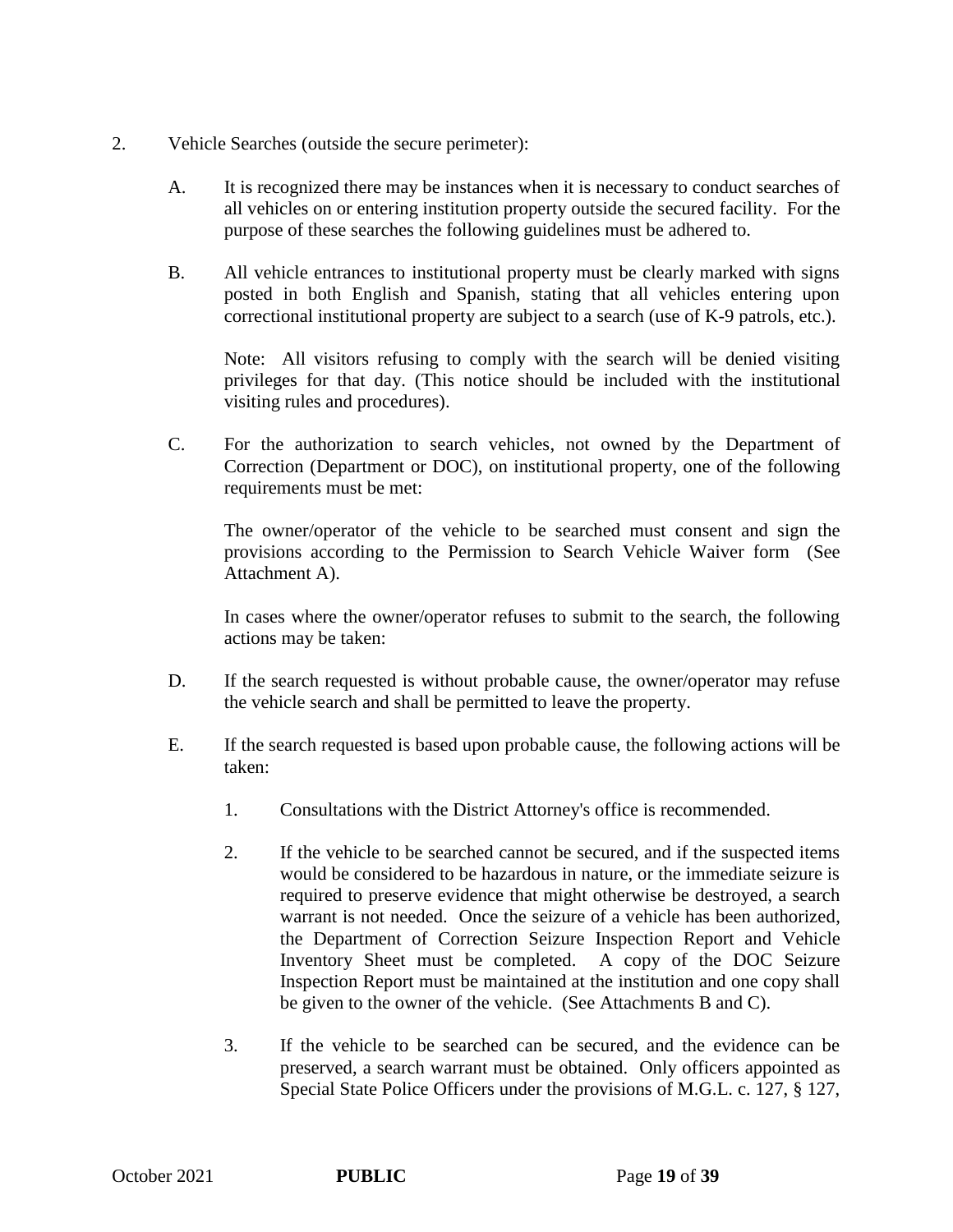- 2. Vehicle Searches (outside the secure perimeter):
	- A. It is recognized there may be instances when it is necessary to conduct searches of all vehicles on or entering institution property outside the secured facility. For the purpose of these searches the following guidelines must be adhered to.
	- B. All vehicle entrances to institutional property must be clearly marked with signs posted in both English and Spanish, stating that all vehicles entering upon correctional institutional property are subject to a search (use of K-9 patrols, etc.).

Note: All visitors refusing to comply with the search will be denied visiting privileges for that day. (This notice should be included with the institutional visiting rules and procedures).

C. For the authorization to search vehicles, not owned by the Department of Correction (Department or DOC), on institutional property, one of the following requirements must be met:

The owner/operator of the vehicle to be searched must consent and sign the provisions according to the Permission to Search Vehicle Waiver form (See Attachment A).

In cases where the owner/operator refuses to submit to the search, the following actions may be taken:

- D. If the search requested is without probable cause, the owner/operator may refuse the vehicle search and shall be permitted to leave the property.
- E. If the search requested is based upon probable cause, the following actions will be taken:
	- 1. Consultations with the District Attorney's office is recommended.
	- 2. If the vehicle to be searched cannot be secured, and if the suspected items would be considered to be hazardous in nature, or the immediate seizure is required to preserve evidence that might otherwise be destroyed, a search warrant is not needed. Once the seizure of a vehicle has been authorized, the Department of Correction Seizure Inspection Report and Vehicle Inventory Sheet must be completed. A copy of the DOC Seizure Inspection Report must be maintained at the institution and one copy shall be given to the owner of the vehicle. (See Attachments B and C).
	- 3. If the vehicle to be searched can be secured, and the evidence can be preserved, a search warrant must be obtained. Only officers appointed as Special State Police Officers under the provisions of M.G.L. c. 127, § 127,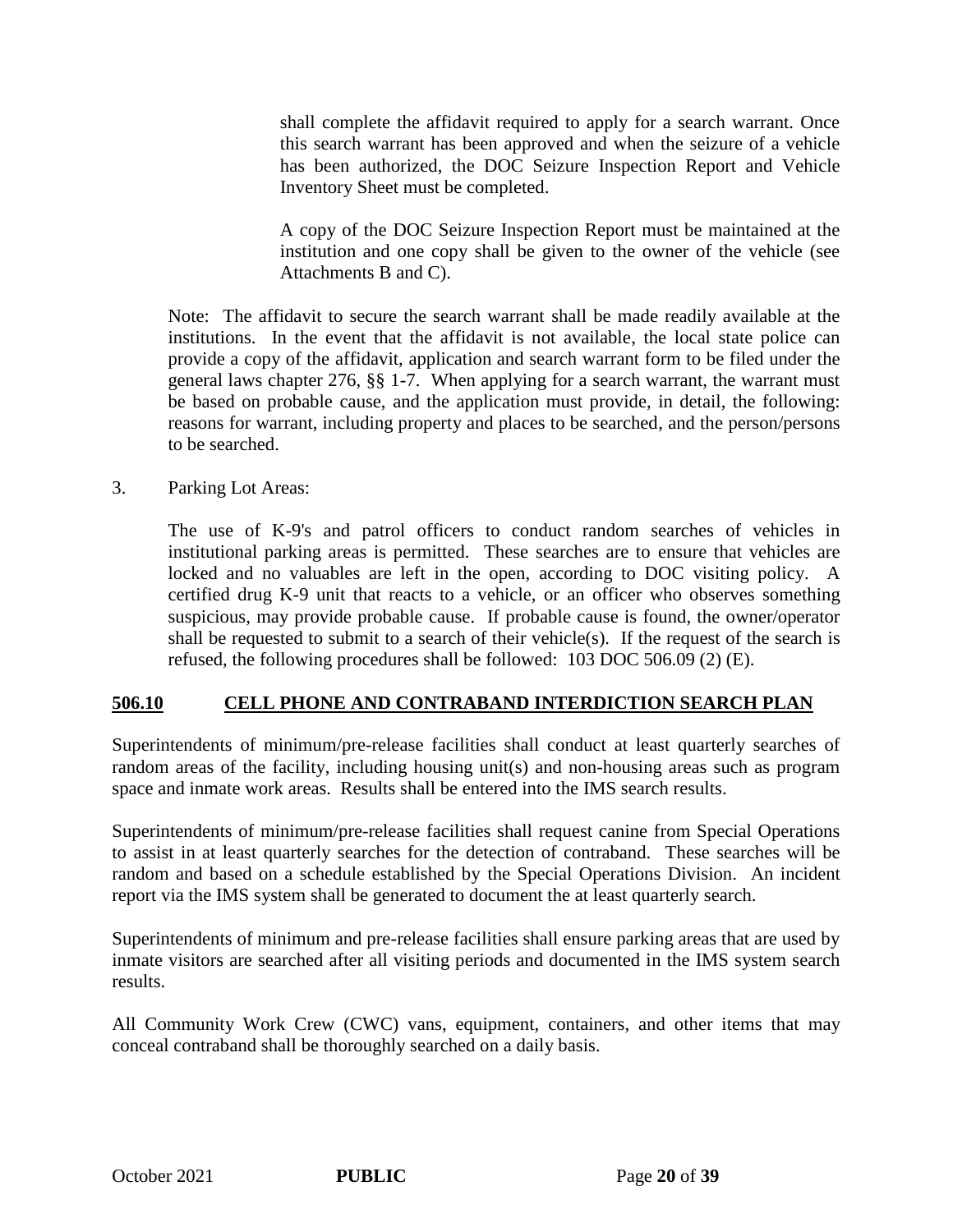shall complete the affidavit required to apply for a search warrant. Once this search warrant has been approved and when the seizure of a vehicle has been authorized, the DOC Seizure Inspection Report and Vehicle Inventory Sheet must be completed.

A copy of the DOC Seizure Inspection Report must be maintained at the institution and one copy shall be given to the owner of the vehicle (see Attachments B and C).

Note: The affidavit to secure the search warrant shall be made readily available at the institutions. In the event that the affidavit is not available, the local state police can provide a copy of the affidavit, application and search warrant form to be filed under the general laws chapter 276, §§ 1-7. When applying for a search warrant, the warrant must be based on probable cause, and the application must provide, in detail, the following: reasons for warrant, including property and places to be searched, and the person/persons to be searched.

### 3. Parking Lot Areas:

The use of K-9's and patrol officers to conduct random searches of vehicles in institutional parking areas is permitted. These searches are to ensure that vehicles are locked and no valuables are left in the open, according to DOC visiting policy. A certified drug K-9 unit that reacts to a vehicle, or an officer who observes something suspicious, may provide probable cause. If probable cause is found, the owner/operator shall be requested to submit to a search of their vehicle(s). If the request of the search is refused, the following procedures shall be followed: 103 DOC 506.09 (2) (E).

### **506.10 CELL PHONE AND CONTRABAND INTERDICTION SEARCH PLAN**

Superintendents of minimum/pre-release facilities shall conduct at least quarterly searches of random areas of the facility, including housing unit(s) and non-housing areas such as program space and inmate work areas. Results shall be entered into the IMS search results.

Superintendents of minimum/pre-release facilities shall request canine from Special Operations to assist in at least quarterly searches for the detection of contraband. These searches will be random and based on a schedule established by the Special Operations Division. An incident report via the IMS system shall be generated to document the at least quarterly search.

Superintendents of minimum and pre-release facilities shall ensure parking areas that are used by inmate visitors are searched after all visiting periods and documented in the IMS system search results.

All Community Work Crew (CWC) vans, equipment, containers, and other items that may conceal contraband shall be thoroughly searched on a daily basis.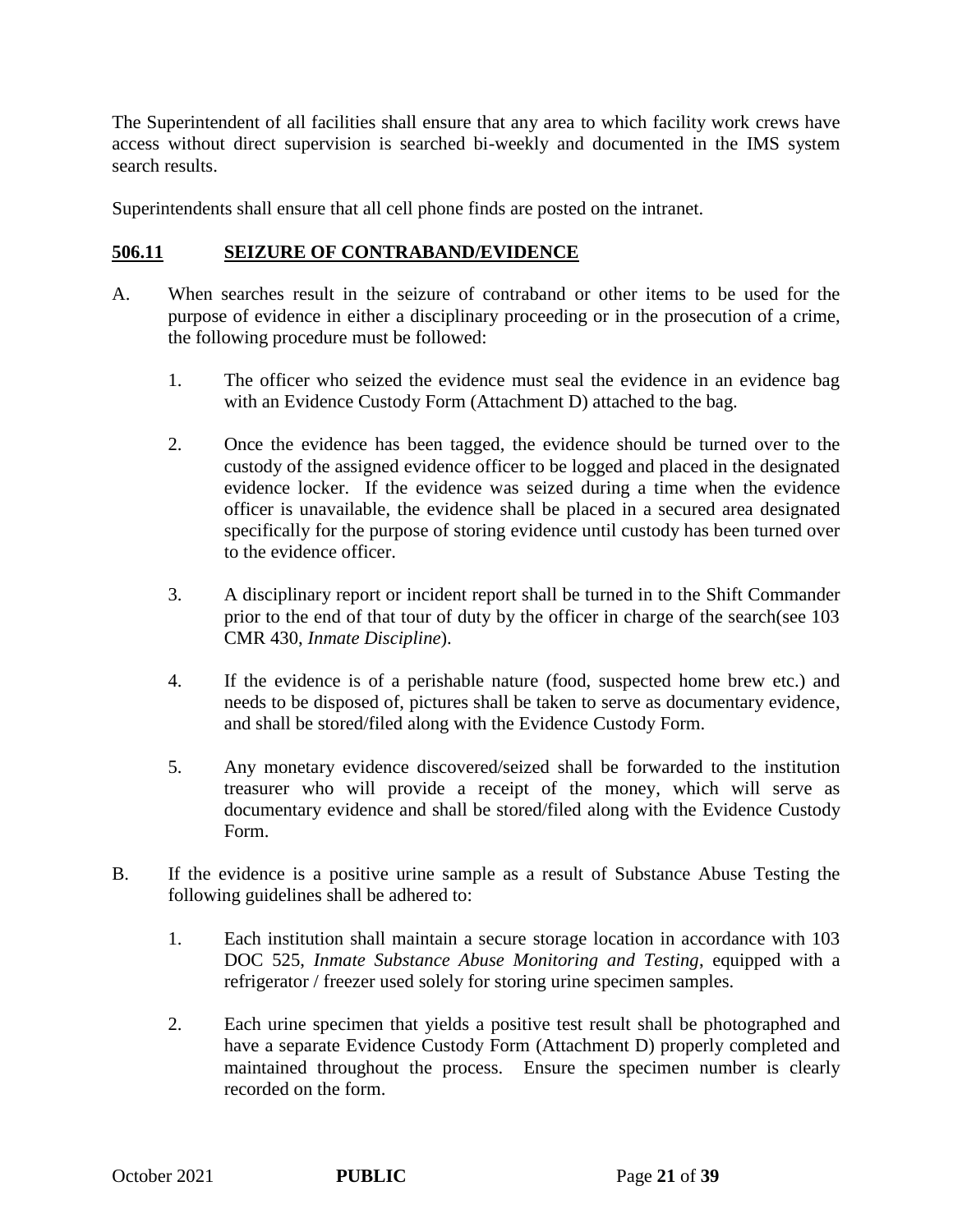The Superintendent of all facilities shall ensure that any area to which facility work crews have access without direct supervision is searched bi-weekly and documented in the IMS system search results.

Superintendents shall ensure that all cell phone finds are posted on the intranet.

### **506.11 SEIZURE OF CONTRABAND/EVIDENCE**

- A. When searches result in the seizure of contraband or other items to be used for the purpose of evidence in either a disciplinary proceeding or in the prosecution of a crime, the following procedure must be followed:
	- 1. The officer who seized the evidence must seal the evidence in an evidence bag with an Evidence Custody Form (Attachment D) attached to the bag.
	- 2. Once the evidence has been tagged, the evidence should be turned over to the custody of the assigned evidence officer to be logged and placed in the designated evidence locker. If the evidence was seized during a time when the evidence officer is unavailable, the evidence shall be placed in a secured area designated specifically for the purpose of storing evidence until custody has been turned over to the evidence officer.
	- 3. A disciplinary report or incident report shall be turned in to the Shift Commander prior to the end of that tour of duty by the officer in charge of the search(see 103 CMR 430, *Inmate Discipline*).
	- 4. If the evidence is of a perishable nature (food, suspected home brew etc.) and needs to be disposed of, pictures shall be taken to serve as documentary evidence, and shall be stored/filed along with the Evidence Custody Form.
	- 5. Any monetary evidence discovered/seized shall be forwarded to the institution treasurer who will provide a receipt of the money, which will serve as documentary evidence and shall be stored/filed along with the Evidence Custody Form.
- B. If the evidence is a positive urine sample as a result of Substance Abuse Testing the following guidelines shall be adhered to:
	- 1. Each institution shall maintain a secure storage location in accordance with 103 DOC 525, *Inmate Substance Abuse Monitoring and Testing*, equipped with a refrigerator / freezer used solely for storing urine specimen samples.
	- 2. Each urine specimen that yields a positive test result shall be photographed and have a separate Evidence Custody Form (Attachment D) properly completed and maintained throughout the process. Ensure the specimen number is clearly recorded on the form.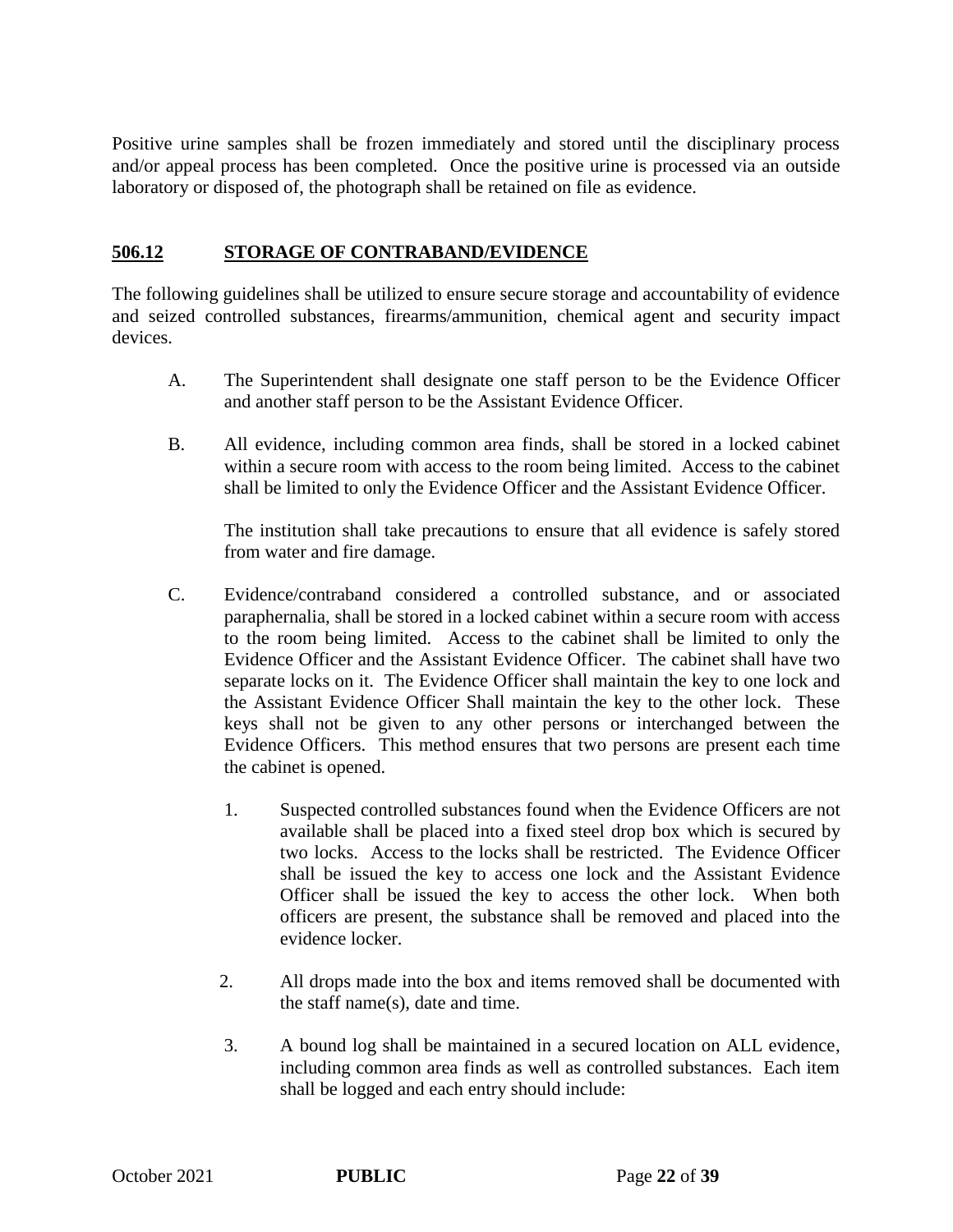Positive urine samples shall be frozen immediately and stored until the disciplinary process and/or appeal process has been completed. Once the positive urine is processed via an outside laboratory or disposed of, the photograph shall be retained on file as evidence.

### **506.12 STORAGE OF CONTRABAND/EVIDENCE**

The following guidelines shall be utilized to ensure secure storage and accountability of evidence and seized controlled substances, firearms/ammunition, chemical agent and security impact devices.

- A. The Superintendent shall designate one staff person to be the Evidence Officer and another staff person to be the Assistant Evidence Officer.
- B. All evidence, including common area finds, shall be stored in a locked cabinet within a secure room with access to the room being limited. Access to the cabinet shall be limited to only the Evidence Officer and the Assistant Evidence Officer.

The institution shall take precautions to ensure that all evidence is safely stored from water and fire damage.

- C. Evidence/contraband considered a controlled substance, and or associated paraphernalia, shall be stored in a locked cabinet within a secure room with access to the room being limited. Access to the cabinet shall be limited to only the Evidence Officer and the Assistant Evidence Officer. The cabinet shall have two separate locks on it. The Evidence Officer shall maintain the key to one lock and the Assistant Evidence Officer Shall maintain the key to the other lock. These keys shall not be given to any other persons or interchanged between the Evidence Officers. This method ensures that two persons are present each time the cabinet is opened.
	- 1. Suspected controlled substances found when the Evidence Officers are not available shall be placed into a fixed steel drop box which is secured by two locks. Access to the locks shall be restricted. The Evidence Officer shall be issued the key to access one lock and the Assistant Evidence Officer shall be issued the key to access the other lock. When both officers are present, the substance shall be removed and placed into the evidence locker.
	- 2. All drops made into the box and items removed shall be documented with the staff name(s), date and time.
	- 3. A bound log shall be maintained in a secured location on ALL evidence, including common area finds as well as controlled substances. Each item shall be logged and each entry should include: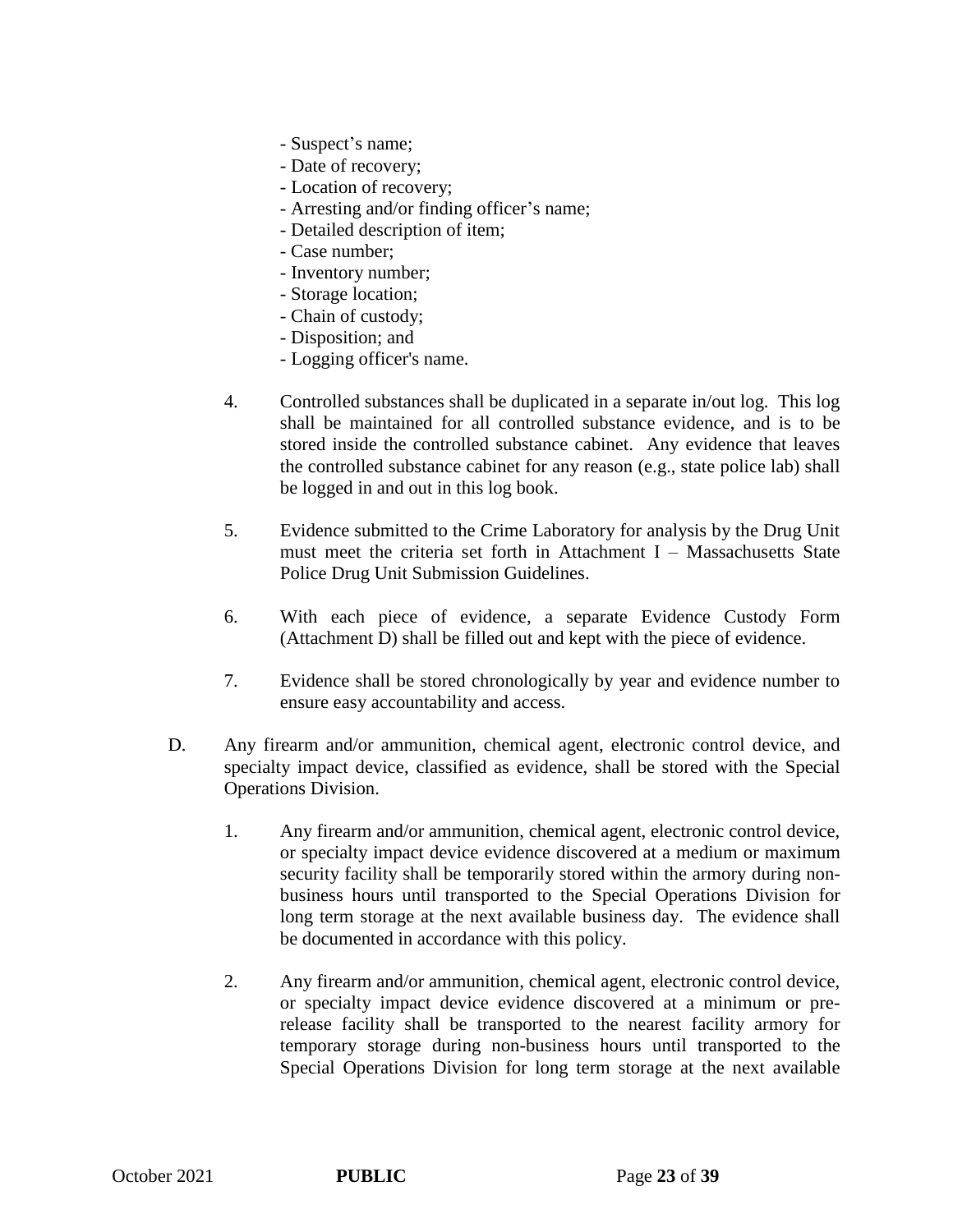- Suspect's name;
- Date of recovery;
- Location of recovery;
- Arresting and/or finding officer's name;
- Detailed description of item;
- Case number;
- Inventory number;
- Storage location;
- Chain of custody;
- Disposition; and
- Logging officer's name.
- 4. Controlled substances shall be duplicated in a separate in/out log. This log shall be maintained for all controlled substance evidence, and is to be stored inside the controlled substance cabinet. Any evidence that leaves the controlled substance cabinet for any reason (e.g., state police lab) shall be logged in and out in this log book.
- 5. Evidence submitted to the Crime Laboratory for analysis by the Drug Unit must meet the criteria set forth in Attachment I – Massachusetts State Police Drug Unit Submission Guidelines.
- 6. With each piece of evidence, a separate Evidence Custody Form (Attachment D) shall be filled out and kept with the piece of evidence.
- 7. Evidence shall be stored chronologically by year and evidence number to ensure easy accountability and access.
- D. Any firearm and/or ammunition, chemical agent, electronic control device, and specialty impact device, classified as evidence, shall be stored with the Special Operations Division.
	- 1. Any firearm and/or ammunition, chemical agent, electronic control device, or specialty impact device evidence discovered at a medium or maximum security facility shall be temporarily stored within the armory during nonbusiness hours until transported to the Special Operations Division for long term storage at the next available business day. The evidence shall be documented in accordance with this policy.
	- 2. Any firearm and/or ammunition, chemical agent, electronic control device, or specialty impact device evidence discovered at a minimum or prerelease facility shall be transported to the nearest facility armory for temporary storage during non-business hours until transported to the Special Operations Division for long term storage at the next available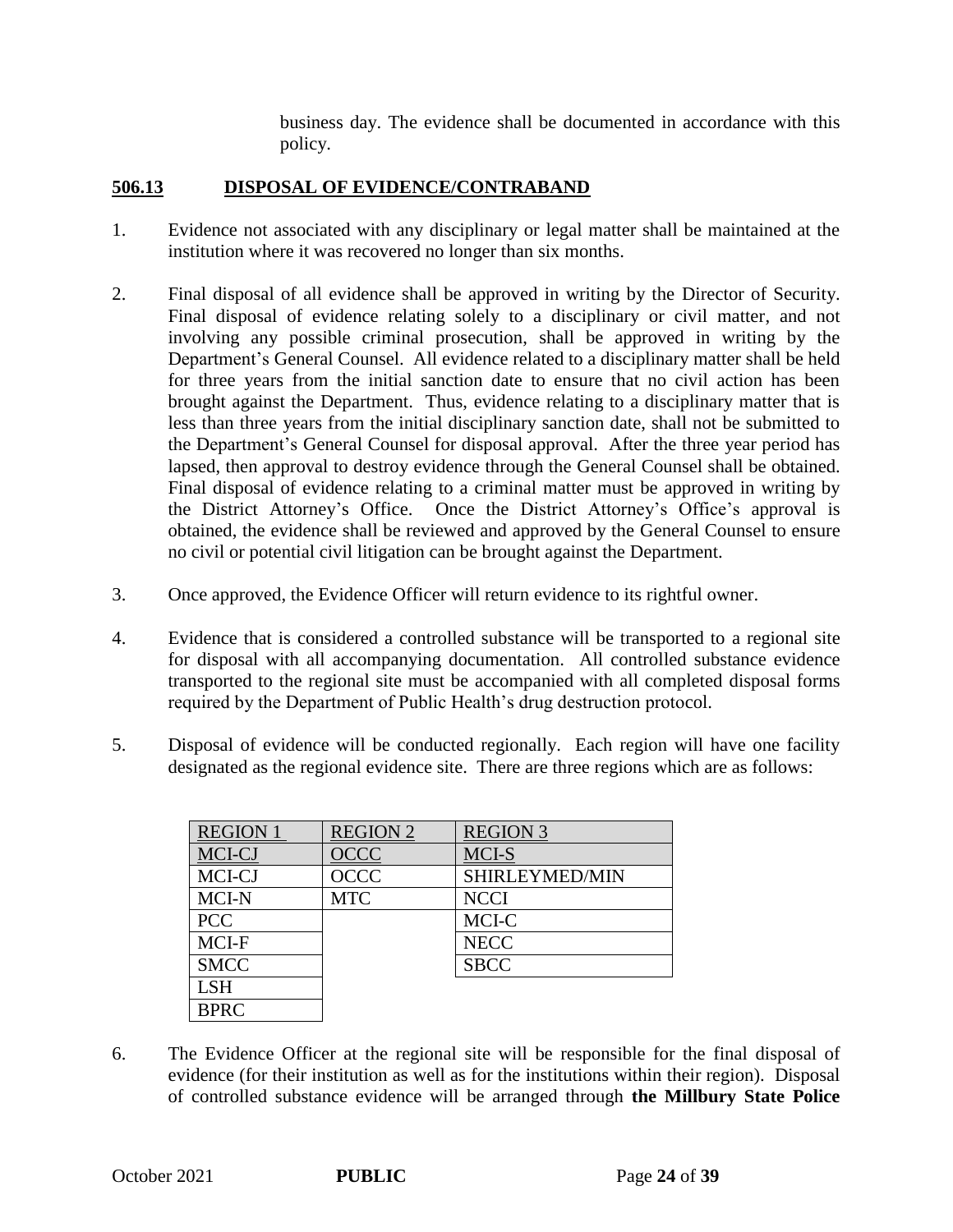business day. The evidence shall be documented in accordance with this policy.

### **506.13 DISPOSAL OF EVIDENCE/CONTRABAND**

- 1. Evidence not associated with any disciplinary or legal matter shall be maintained at the institution where it was recovered no longer than six months.
- 2. Final disposal of all evidence shall be approved in writing by the Director of Security. Final disposal of evidence relating solely to a disciplinary or civil matter, and not involving any possible criminal prosecution, shall be approved in writing by the Department's General Counsel. All evidence related to a disciplinary matter shall be held for three years from the initial sanction date to ensure that no civil action has been brought against the Department. Thus, evidence relating to a disciplinary matter that is less than three years from the initial disciplinary sanction date, shall not be submitted to the Department's General Counsel for disposal approval. After the three year period has lapsed, then approval to destroy evidence through the General Counsel shall be obtained. Final disposal of evidence relating to a criminal matter must be approved in writing by the District Attorney's Office. Once the District Attorney's Office's approval is obtained, the evidence shall be reviewed and approved by the General Counsel to ensure no civil or potential civil litigation can be brought against the Department.
- 3. Once approved, the Evidence Officer will return evidence to its rightful owner.
- 4. Evidence that is considered a controlled substance will be transported to a regional site for disposal with all accompanying documentation. All controlled substance evidence transported to the regional site must be accompanied with all completed disposal forms required by the Department of Public Health's drug destruction protocol.
- 5. Disposal of evidence will be conducted regionally. Each region will have one facility designated as the regional evidence site. There are three regions which are as follows:

| <b>REGION 1</b> | <b>REGION 2</b> | <b>REGION 3</b> |
|-----------------|-----------------|-----------------|
| MCI-CJ          | OCCC            | MCI-S           |
| MCI-CJ          | <b>OCCC</b>     | SHIRLEYMED/MIN  |
| MCI-N           | <b>MTC</b>      | <b>NCCI</b>     |
| <b>PCC</b>      |                 | MCI-C           |
| MCI-F           |                 | <b>NECC</b>     |
| <b>SMCC</b>     |                 | <b>SBCC</b>     |
| <b>LSH</b>      |                 |                 |
| <b>BPRC</b>     |                 |                 |

6. The Evidence Officer at the regional site will be responsible for the final disposal of evidence (for their institution as well as for the institutions within their region). Disposal of controlled substance evidence will be arranged through **the Millbury State Police**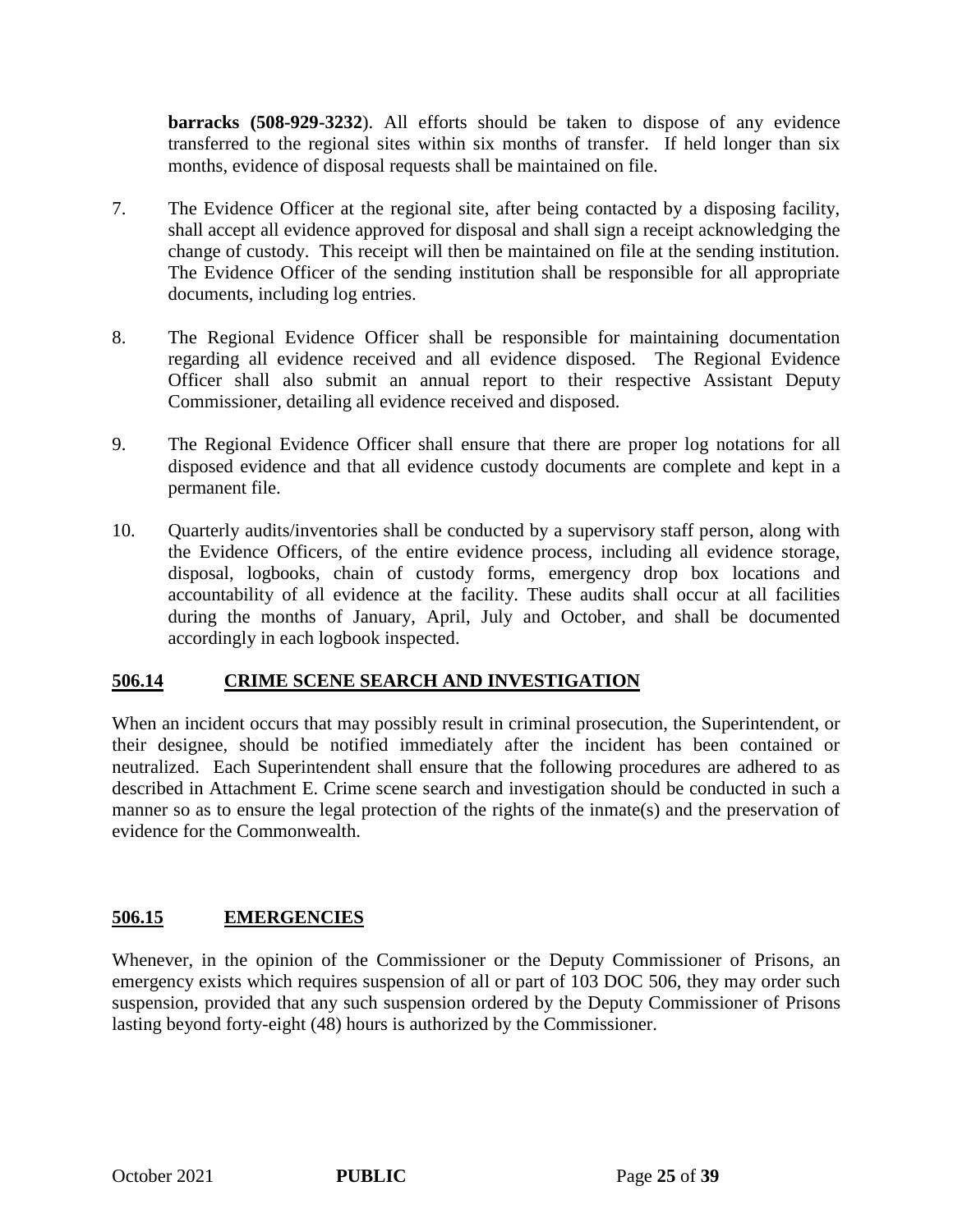**barracks (508-929-3232**). All efforts should be taken to dispose of any evidence transferred to the regional sites within six months of transfer. If held longer than six months, evidence of disposal requests shall be maintained on file.

- 7. The Evidence Officer at the regional site, after being contacted by a disposing facility, shall accept all evidence approved for disposal and shall sign a receipt acknowledging the change of custody. This receipt will then be maintained on file at the sending institution. The Evidence Officer of the sending institution shall be responsible for all appropriate documents, including log entries.
- 8. The Regional Evidence Officer shall be responsible for maintaining documentation regarding all evidence received and all evidence disposed. The Regional Evidence Officer shall also submit an annual report to their respective Assistant Deputy Commissioner, detailing all evidence received and disposed.
- 9. The Regional Evidence Officer shall ensure that there are proper log notations for all disposed evidence and that all evidence custody documents are complete and kept in a permanent file.
- 10. Quarterly audits/inventories shall be conducted by a supervisory staff person, along with the Evidence Officers, of the entire evidence process, including all evidence storage, disposal, logbooks, chain of custody forms, emergency drop box locations and accountability of all evidence at the facility. These audits shall occur at all facilities during the months of January, April, July and October, and shall be documented accordingly in each logbook inspected.

# **506.14 CRIME SCENE SEARCH AND INVESTIGATION**

When an incident occurs that may possibly result in criminal prosecution, the Superintendent, or their designee, should be notified immediately after the incident has been contained or neutralized. Each Superintendent shall ensure that the following procedures are adhered to as described in Attachment E. Crime scene search and investigation should be conducted in such a manner so as to ensure the legal protection of the rights of the inmate(s) and the preservation of evidence for the Commonwealth.

### **506.15 EMERGENCIES**

Whenever, in the opinion of the Commissioner or the Deputy Commissioner of Prisons, an emergency exists which requires suspension of all or part of 103 DOC 506, they may order such suspension, provided that any such suspension ordered by the Deputy Commissioner of Prisons lasting beyond forty-eight (48) hours is authorized by the Commissioner.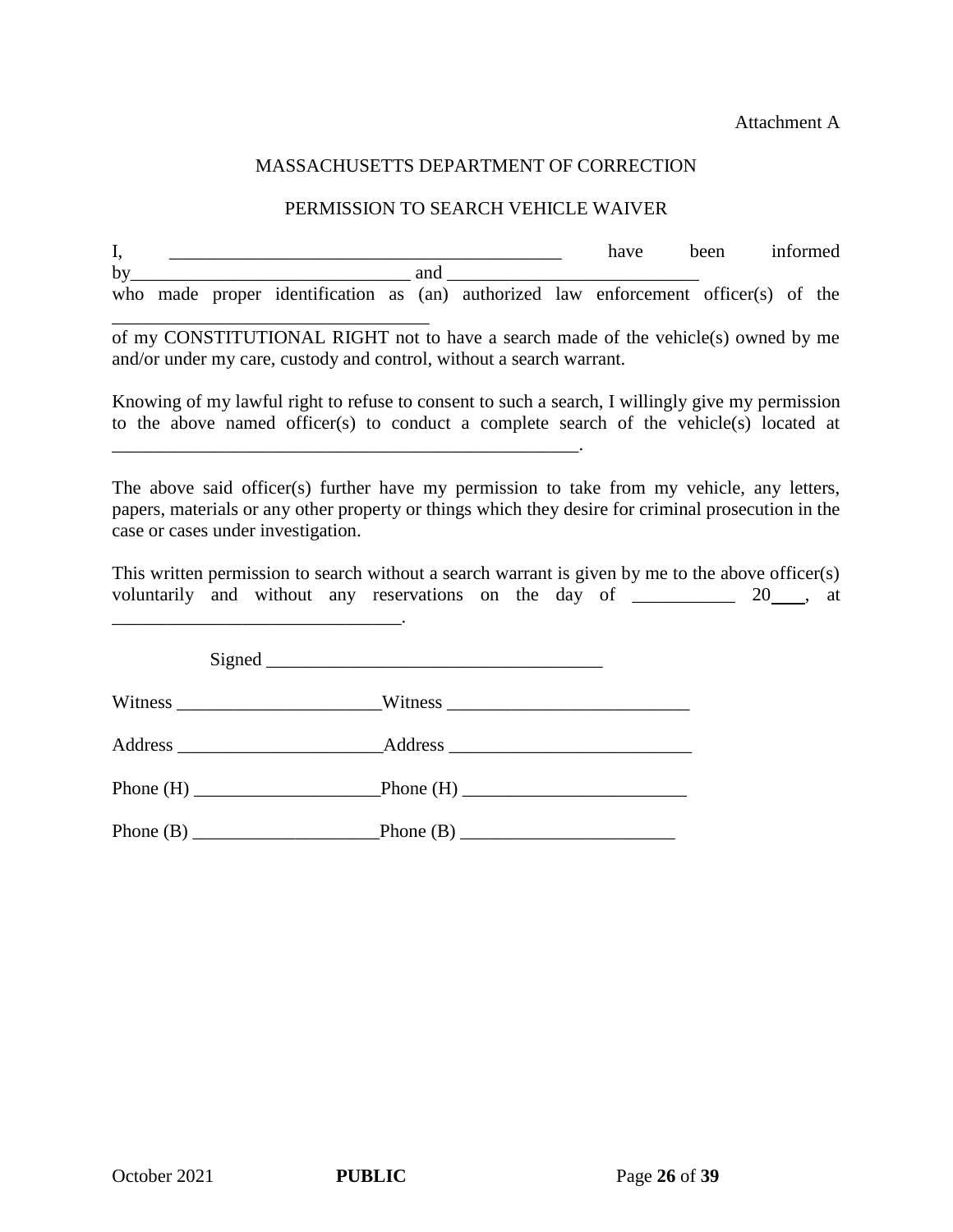Attachment A

### MASSACHUSETTS DEPARTMENT OF CORRECTION

### PERMISSION TO SEARCH VEHICLE WAIVER

I, \_\_\_\_\_\_\_\_\_\_\_\_\_\_\_\_\_\_\_\_\_\_\_\_\_\_\_\_\_\_\_\_\_\_\_\_\_\_\_\_\_\_ have been informed by and  $\Box$ who made proper identification as (an) authorized law enforcement officer(s) of the

\_\_\_\_\_\_\_\_\_\_\_\_\_\_\_\_\_\_\_\_\_\_\_\_\_\_\_\_\_\_\_\_\_\_ of my CONSTITUTIONAL RIGHT not to have a search made of the vehicle(s) owned by me and/or under my care, custody and control, without a search warrant.

Knowing of my lawful right to refuse to consent to such a search, I willingly give my permission to the above named officer(s) to conduct a complete search of the vehicle(s) located at

The above said officer(s) further have my permission to take from my vehicle, any letters, papers, materials or any other property or things which they desire for criminal prosecution in the case or cases under investigation.

This written permission to search without a search warrant is given by me to the above officer(s) voluntarily and without any reservations on the day of \_\_\_\_\_\_\_\_\_ 20\_\_, at

| Address _______________________________Address _________________________________ |
|----------------------------------------------------------------------------------|
| Phone $(H)$ Phone $(H)$ Phone $(H)$ Phone $(H)$                                  |
|                                                                                  |

\_\_\_\_\_\_\_\_\_\_\_\_\_\_\_\_\_\_\_\_\_\_\_\_\_\_\_\_\_\_\_\_\_\_\_\_\_\_\_\_\_\_\_\_\_\_\_\_\_\_.

\_\_\_\_\_\_\_\_\_\_\_\_\_\_\_\_\_\_\_\_\_\_\_\_\_\_\_\_\_\_\_.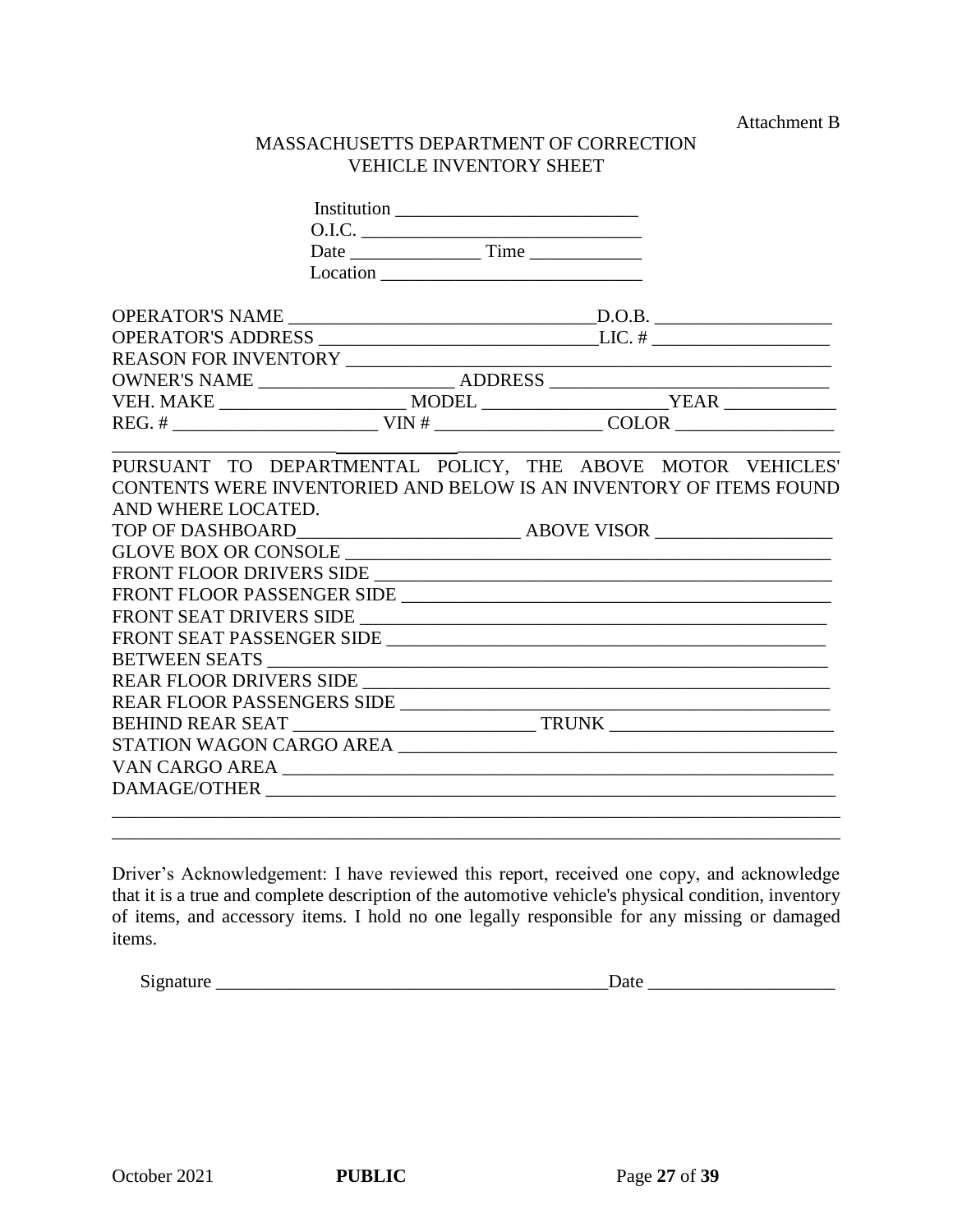Attachment B

### MASSACHUSETTS DEPARTMENT OF CORRECTION VEHICLE INVENTORY SHEET

| 0.I.C.             |                                                                    |  |  |  |  |  |
|--------------------|--------------------------------------------------------------------|--|--|--|--|--|
|                    |                                                                    |  |  |  |  |  |
|                    | Location                                                           |  |  |  |  |  |
|                    |                                                                    |  |  |  |  |  |
|                    |                                                                    |  |  |  |  |  |
|                    |                                                                    |  |  |  |  |  |
|                    |                                                                    |  |  |  |  |  |
|                    |                                                                    |  |  |  |  |  |
|                    |                                                                    |  |  |  |  |  |
|                    |                                                                    |  |  |  |  |  |
|                    | PURSUANT TO DEPARTMENTAL POLICY, THE ABOVE MOTOR VEHICLES'         |  |  |  |  |  |
|                    | CONTENTS WERE INVENTORIED AND BELOW IS AN INVENTORY OF ITEMS FOUND |  |  |  |  |  |
| AND WHERE LOCATED. |                                                                    |  |  |  |  |  |
|                    |                                                                    |  |  |  |  |  |
|                    |                                                                    |  |  |  |  |  |
|                    | FRONT FLOOR DRIVERS SIDE                                           |  |  |  |  |  |
|                    |                                                                    |  |  |  |  |  |
|                    | FRONT SEAT DRIVERS SIDE                                            |  |  |  |  |  |
|                    |                                                                    |  |  |  |  |  |
|                    |                                                                    |  |  |  |  |  |
|                    |                                                                    |  |  |  |  |  |
|                    | REAR FLOOR PASSENGERS SIDE                                         |  |  |  |  |  |
|                    |                                                                    |  |  |  |  |  |
|                    | STATION WAGON CARGO AREA                                           |  |  |  |  |  |
|                    | VAN CARGO AREA                                                     |  |  |  |  |  |
|                    |                                                                    |  |  |  |  |  |
|                    |                                                                    |  |  |  |  |  |
|                    |                                                                    |  |  |  |  |  |

Driver's Acknowledgement: I have reviewed this report, received one copy, and acknowledge that it is a true and complete description of the automotive vehicle's physical condition, inventory of items, and accessory items. I hold no one legally responsible for any missing or damaged items.

Signature \_\_\_\_\_\_\_\_\_\_\_\_\_\_\_\_\_\_\_\_\_\_\_\_\_\_\_\_\_\_\_\_\_\_\_\_\_\_\_\_\_\_Date \_\_\_\_\_\_\_\_\_\_\_\_\_\_\_\_\_\_\_\_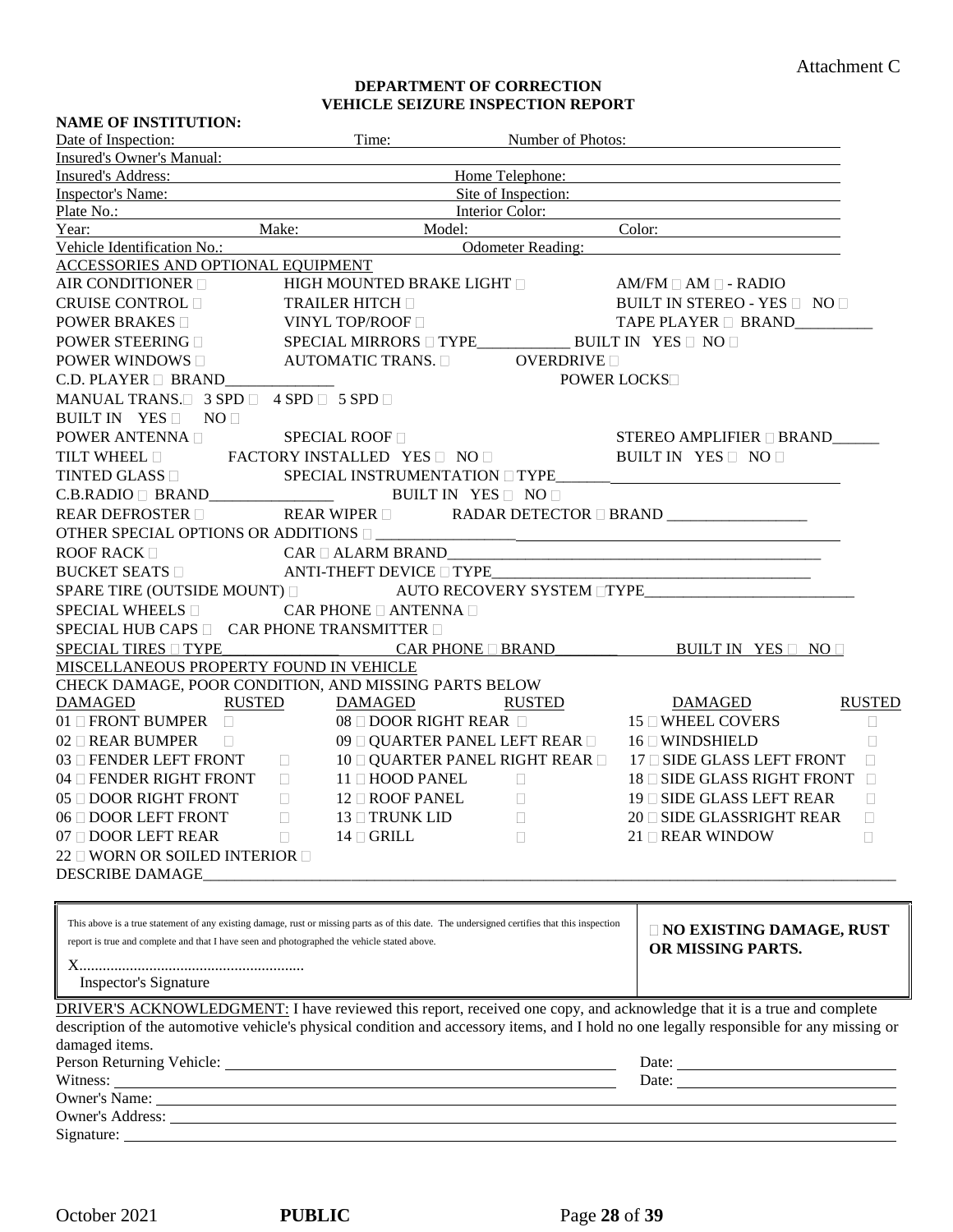#### **DEPARTMENT OF CORRECTION VEHICLE SEIZURE INSPECTION REPORT**

| <b>NAME OF INSTITUTION:</b>                                                                                                                                                                                                                                                                                     |                                                                                                                                                                                                                                |                                   |                                            |                                                                                                                                          |               |
|-----------------------------------------------------------------------------------------------------------------------------------------------------------------------------------------------------------------------------------------------------------------------------------------------------------------|--------------------------------------------------------------------------------------------------------------------------------------------------------------------------------------------------------------------------------|-----------------------------------|--------------------------------------------|------------------------------------------------------------------------------------------------------------------------------------------|---------------|
| Date of Inspection:                                                                                                                                                                                                                                                                                             |                                                                                                                                                                                                                                | Time:                             | Number of Photos:                          |                                                                                                                                          |               |
| <b>Insured's Owner's Manual:</b>                                                                                                                                                                                                                                                                                |                                                                                                                                                                                                                                |                                   |                                            |                                                                                                                                          |               |
| Insured's Address:                                                                                                                                                                                                                                                                                              |                                                                                                                                                                                                                                |                                   | Home Telephone:                            |                                                                                                                                          |               |
| Inspector's Name:                                                                                                                                                                                                                                                                                               |                                                                                                                                                                                                                                |                                   |                                            | Site of Inspection:                                                                                                                      |               |
| Plate No.: Interior Color:                                                                                                                                                                                                                                                                                      |                                                                                                                                                                                                                                |                                   |                                            |                                                                                                                                          |               |
| Year:                                                                                                                                                                                                                                                                                                           |                                                                                                                                                                                                                                |                                   |                                            | Make: Model: Color:                                                                                                                      |               |
| Vehicle Identification No.:                                                                                                                                                                                                                                                                                     |                                                                                                                                                                                                                                |                                   | Odometer Reading:                          |                                                                                                                                          |               |
| ACCESSORIES AND OPTIONAL EQUIPMENT                                                                                                                                                                                                                                                                              |                                                                                                                                                                                                                                |                                   |                                            |                                                                                                                                          |               |
| AIR CONDITIONER                                                                                                                                                                                                                                                                                                 |                                                                                                                                                                                                                                |                                   |                                            | HIGH MOUNTED BRAKE LIGHT □ AM/FM □ AM □ - RADIO                                                                                          |               |
| CRUISE CONTROL □                                                                                                                                                                                                                                                                                                | TRAILER HITCH<br>BUILT IN STEREO - YES $\Box$ NO $\Box$                                                                                                                                                                        |                                   |                                            |                                                                                                                                          |               |
| POWER BRAKES □ VINYL TOP/ROOF □                                                                                                                                                                                                                                                                                 |                                                                                                                                                                                                                                |                                   |                                            | TAPE PLAYER D BRAND__________                                                                                                            |               |
|                                                                                                                                                                                                                                                                                                                 |                                                                                                                                                                                                                                |                                   |                                            |                                                                                                                                          |               |
| POWER WINDOWS $\Box$ AUTOMATIC TRANS. $\Box$ OVERDRIVE $\Box$                                                                                                                                                                                                                                                   |                                                                                                                                                                                                                                |                                   |                                            |                                                                                                                                          |               |
| C.D. PLAYER $\Box$ BRAND                                                                                                                                                                                                                                                                                        |                                                                                                                                                                                                                                |                                   | <b>POWER LOCKS</b>                         |                                                                                                                                          |               |
| MANUAL TRANS. 3 SPD 4 SPD 5 SPD                                                                                                                                                                                                                                                                                 |                                                                                                                                                                                                                                |                                   |                                            |                                                                                                                                          |               |
| BUILT IN YES NO                                                                                                                                                                                                                                                                                                 |                                                                                                                                                                                                                                |                                   |                                            |                                                                                                                                          |               |
| POWER ANTENNA □<br>TILT WHEEL □ FACTORY INSTALLED YES □ NO □                                                                                                                                                                                                                                                    |                                                                                                                                                                                                                                |                                   |                                            | STEREO AMPLIFIER <b>BRAND</b>                                                                                                            |               |
|                                                                                                                                                                                                                                                                                                                 |                                                                                                                                                                                                                                |                                   |                                            | BUILT IN YES NO                                                                                                                          |               |
| $\begin{tabular}{l c c c} \multicolumn{2}{c}{\textbf{TINTED GLASS $\square$}} & \multicolumn{2}{c}{\textbf{SPECIAL INSTRUMENTATION $\square$ TYPE$\_} \\ \multicolumn{2}{c}{\textbf{C.B.RADIO $\square$ BRAND$\_$}} & \multicolumn{2}{c}{\textbf{SPECIAL IN STRUMENTATION $\square$ TYPE$\_$} \\ \end{tabular}$ |                                                                                                                                                                                                                                |                                   |                                            | ${\tt SPECIAL}\ {\tt INSTRUMENTATION} \ \Box\ {\tt TYPE}\_\_\_\_\_\_\_\_\_\_\_\_\_\_\_\_\_\_\_ \_ \_ \_$                                 |               |
|                                                                                                                                                                                                                                                                                                                 |                                                                                                                                                                                                                                |                                   |                                            |                                                                                                                                          |               |
| <b>REAR DEFROSTER</b>                                                                                                                                                                                                                                                                                           |                                                                                                                                                                                                                                |                                   |                                            | REAR WIPER □ RADAR DETECTOR □ BRAND _________________                                                                                    |               |
|                                                                                                                                                                                                                                                                                                                 |                                                                                                                                                                                                                                |                                   |                                            | OTHER SPECIAL OPTIONS OR ADDITIONS $\Box$                                                                                                |               |
| ROOF RACK $\square$                                                                                                                                                                                                                                                                                             |                                                                                                                                                                                                                                |                                   |                                            | $CAR \Box ALARM BRAND$                                                                                                                   |               |
|                                                                                                                                                                                                                                                                                                                 |                                                                                                                                                                                                                                |                                   |                                            | BUCKET SEATS DENITION ANTI-THEFT DEVICE DITYPE__________________________________                                                         |               |
|                                                                                                                                                                                                                                                                                                                 |                                                                                                                                                                                                                                |                                   |                                            | SPARE TIRE (OUTSIDE MOUNT) DAUTO RECOVERY SYSTEM TYPE PLACE AND TYPE                                                                     |               |
| SPECIAL WHEELS                                                                                                                                                                                                                                                                                                  |                                                                                                                                                                                                                                | CAR PHONE $\Box$ ANTENNA $\Box$   |                                            |                                                                                                                                          |               |
| SPECIAL HUB CAPS D CAR PHONE TRANSMITTER D                                                                                                                                                                                                                                                                      |                                                                                                                                                                                                                                |                                   |                                            |                                                                                                                                          |               |
|                                                                                                                                                                                                                                                                                                                 |                                                                                                                                                                                                                                |                                   |                                            |                                                                                                                                          |               |
| MISCELLANEOUS PROPERTY FOUND IN VEHICLE                                                                                                                                                                                                                                                                         |                                                                                                                                                                                                                                |                                   |                                            |                                                                                                                                          |               |
| CHECK DAMAGE, POOR CONDITION, AND MISSING PARTS BELOW                                                                                                                                                                                                                                                           |                                                                                                                                                                                                                                |                                   |                                            |                                                                                                                                          |               |
| DAMAGED                                                                                                                                                                                                                                                                                                         | RUSTED DAMAGED                                                                                                                                                                                                                 |                                   |                                            | RUSTED DAMAGED                                                                                                                           | <b>RUSTED</b> |
| 01 □ FRONT BUMPER □                                                                                                                                                                                                                                                                                             |                                                                                                                                                                                                                                | $08 \Box$ DOOR RIGHT REAR $\Box$  |                                            | $15 \Box$ WHEEL COVERS                                                                                                                   | $\Box$        |
| 02 O REAR BUMPER $\Box$ 09 O QUARTER PANEL LEFT REAR $\Box$ 16 O WINDSHIELD                                                                                                                                                                                                                                     |                                                                                                                                                                                                                                |                                   |                                            |                                                                                                                                          | $\Box$        |
|                                                                                                                                                                                                                                                                                                                 |                                                                                                                                                                                                                                |                                   |                                            | 03 $\Box$ FENDER LEFT FRONT $\Box$ 10 $\Box$ QUARTER PANEL RIGHT REAR $\Box$ 17 $\Box$ SIDE GLASS LEFT FRONT                             | $\Box$        |
| 04 □ FENDER RIGHT FRONT □ 11 □ HOOD PANEL                                                                                                                                                                                                                                                                       |                                                                                                                                                                                                                                |                                   | $\mathcal{L} \subset \mathcal{L}$ . $\Box$ | 18 SIDE GLASS RIGHT FRONT                                                                                                                |               |
| 05 □ DOOR RIGHT FRONT □                                                                                                                                                                                                                                                                                         |                                                                                                                                                                                                                                | $12 \square$ ROOF PANEL $\square$ |                                            | 19 □ SIDE GLASS LEFT REAR                                                                                                                | $\Box$        |
| 06 □ DOOR LEFT FRONT                                                                                                                                                                                                                                                                                            | L                                                                                                                                                                                                                              | 13 □ TRUNK LID                    | L.                                         | 20 □ SIDE GLASSRIGHT REAR<br>$\Box$                                                                                                      |               |
| 07 DOOR LEFT REAR                                                                                                                                                                                                                                                                                               | П                                                                                                                                                                                                                              | $14 \square$ GRILL                |                                            | $21 \Box$ REAR WINDOW<br>L                                                                                                               |               |
| 22 □ WORN OR SOILED INTERIOR □                                                                                                                                                                                                                                                                                  |                                                                                                                                                                                                                                |                                   |                                            |                                                                                                                                          |               |
|                                                                                                                                                                                                                                                                                                                 |                                                                                                                                                                                                                                |                                   |                                            |                                                                                                                                          |               |
|                                                                                                                                                                                                                                                                                                                 |                                                                                                                                                                                                                                |                                   |                                            |                                                                                                                                          |               |
|                                                                                                                                                                                                                                                                                                                 |                                                                                                                                                                                                                                |                                   |                                            |                                                                                                                                          |               |
| This above is a true statement of any existing damage, rust or missing parts as of this date. The undersigned certifies that this inspection                                                                                                                                                                    |                                                                                                                                                                                                                                |                                   |                                            | <b>NO EXISTING DAMAGE, RUST</b>                                                                                                          |               |
| report is true and complete and that I have seen and photographed the vehicle stated above.                                                                                                                                                                                                                     |                                                                                                                                                                                                                                |                                   |                                            | OR MISSING PARTS.                                                                                                                        |               |
|                                                                                                                                                                                                                                                                                                                 |                                                                                                                                                                                                                                |                                   |                                            |                                                                                                                                          |               |
| <b>Inspector's Signature</b>                                                                                                                                                                                                                                                                                    |                                                                                                                                                                                                                                |                                   |                                            |                                                                                                                                          |               |
|                                                                                                                                                                                                                                                                                                                 |                                                                                                                                                                                                                                |                                   |                                            | DRIVER'S ACKNOWLEDGMENT: I have reviewed this report, received one copy, and acknowledge that it is a true and complete                  |               |
|                                                                                                                                                                                                                                                                                                                 |                                                                                                                                                                                                                                |                                   |                                            | description of the automotive vehicle's physical condition and accessory items, and I hold no one legally responsible for any missing or |               |
| damaged items.                                                                                                                                                                                                                                                                                                  |                                                                                                                                                                                                                                |                                   |                                            |                                                                                                                                          |               |
|                                                                                                                                                                                                                                                                                                                 |                                                                                                                                                                                                                                |                                   |                                            |                                                                                                                                          |               |
|                                                                                                                                                                                                                                                                                                                 | Witness: Witness and the contract of the contract of the contract of the contract of the contract of the contract of the contract of the contract of the contract of the contract of the contract of the contract of the contr |                                   |                                            |                                                                                                                                          |               |
|                                                                                                                                                                                                                                                                                                                 |                                                                                                                                                                                                                                |                                   |                                            |                                                                                                                                          |               |
|                                                                                                                                                                                                                                                                                                                 |                                                                                                                                                                                                                                |                                   |                                            |                                                                                                                                          |               |
|                                                                                                                                                                                                                                                                                                                 |                                                                                                                                                                                                                                |                                   |                                            |                                                                                                                                          |               |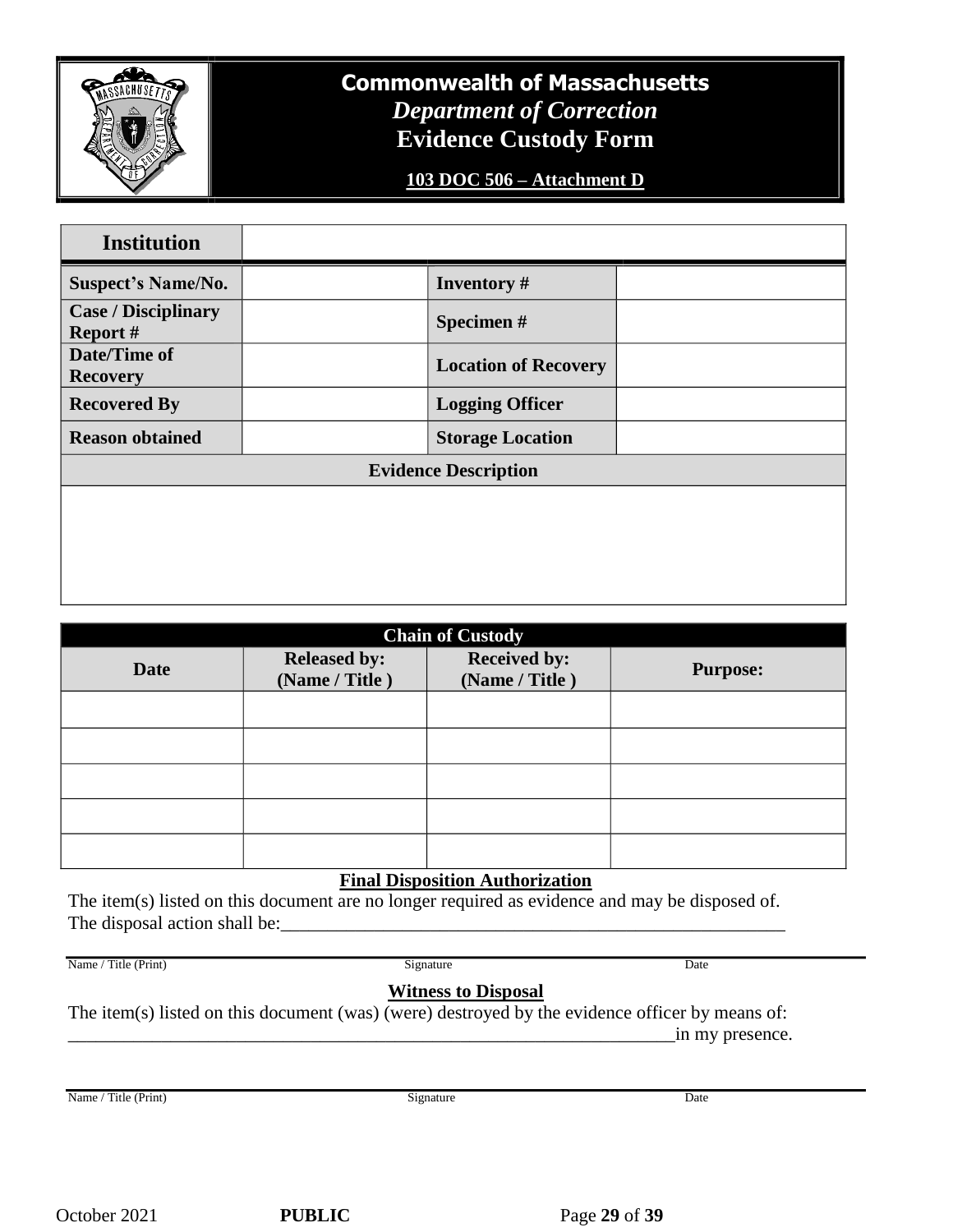

# **Commonwealth of Massachusetts** *Department of Correction* **Evidence Custody Form**

**103 DOC 506 – Attachment D**

| <b>Institution</b>                            |                             |  |
|-----------------------------------------------|-----------------------------|--|
| <b>Suspect's Name/No.</b>                     | <b>Inventory</b> #          |  |
| <b>Case / Disciplinary</b><br><b>Report #</b> | Specimen#                   |  |
| Date/Time of<br><b>Recovery</b>               | <b>Location of Recovery</b> |  |
| <b>Recovered By</b>                           | <b>Logging Officer</b>      |  |
| <b>Reason obtained</b>                        | <b>Storage Location</b>     |  |
|                                               | <b>Evidence Description</b> |  |
|                                               |                             |  |
|                                               |                             |  |
|                                               |                             |  |
|                                               |                             |  |

| <b>Chain of Custody</b> |                                       |                 |  |  |  |  |  |
|-------------------------|---------------------------------------|-----------------|--|--|--|--|--|
| Date                    | <b>Released by:</b><br>(Name / Title) | <b>Purpose:</b> |  |  |  |  |  |
|                         |                                       |                 |  |  |  |  |  |
|                         |                                       |                 |  |  |  |  |  |
|                         |                                       |                 |  |  |  |  |  |
|                         |                                       |                 |  |  |  |  |  |
|                         |                                       |                 |  |  |  |  |  |

### **Final Disposition Authorization**

The item(s) listed on this document are no longer required as evidence and may be disposed of. The disposal action shall be:

Name / Title (Print) Signature Date Communication Signature Date Date Date Date

# **Witness to Disposal**

The item(s) listed on this document (was) (were) destroyed by the evidence officer by means of: \_\_\_\_\_\_\_\_\_\_\_\_\_\_\_\_\_\_\_\_\_\_\_\_\_\_\_\_\_\_\_\_\_\_\_\_\_\_\_\_\_\_\_\_\_\_\_\_\_\_\_\_\_\_\_\_\_\_\_\_\_\_\_\_\_in my presence.

Name / Title (Print) Signature Date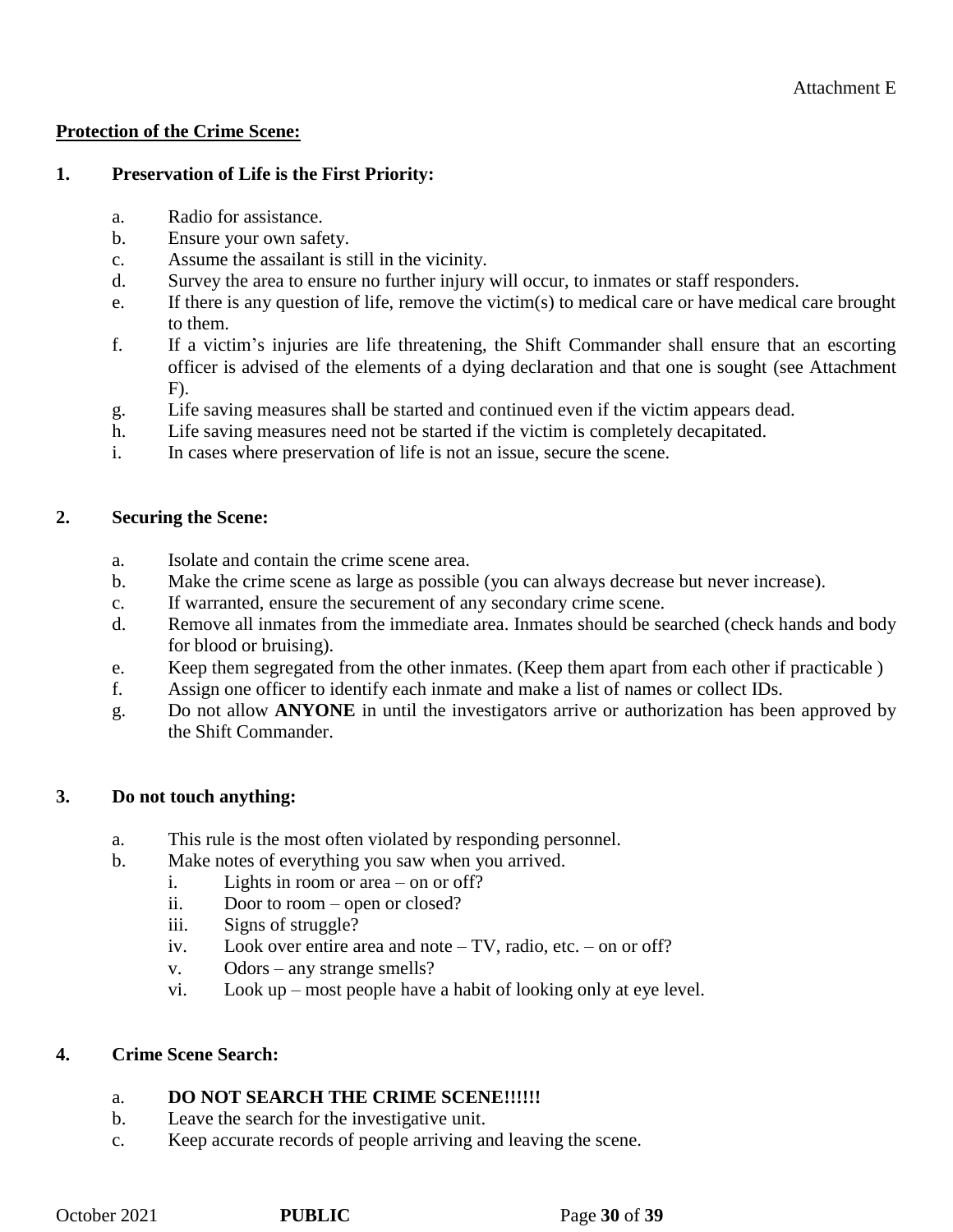### **Protection of the Crime Scene:**

# **1. Preservation of Life is the First Priority:**

- a. Radio for assistance.
- b. Ensure your own safety.
- c. Assume the assailant is still in the vicinity.
- d. Survey the area to ensure no further injury will occur, to inmates or staff responders.
- e. If there is any question of life, remove the victim(s) to medical care or have medical care brought to them.
- f. If a victim's injuries are life threatening, the Shift Commander shall ensure that an escorting officer is advised of the elements of a dying declaration and that one is sought (see Attachment F).
- g. Life saving measures shall be started and continued even if the victim appears dead.
- h. Life saving measures need not be started if the victim is completely decapitated.
- i. In cases where preservation of life is not an issue, secure the scene.

# **2. Securing the Scene:**

- a. Isolate and contain the crime scene area.
- b. Make the crime scene as large as possible (you can always decrease but never increase).
- c. If warranted, ensure the securement of any secondary crime scene.
- d. Remove all inmates from the immediate area. Inmates should be searched (check hands and body for blood or bruising).
- e. Keep them segregated from the other inmates. (Keep them apart from each other if practicable )
- f. Assign one officer to identify each inmate and make a list of names or collect IDs.
- g. Do not allow **ANYONE** in until the investigators arrive or authorization has been approved by the Shift Commander.

# **3. Do not touch anything:**

- a. This rule is the most often violated by responding personnel.
- b. Make notes of everything you saw when you arrived.
	- i. Lights in room or area on or off?
	- ii. Door to room open or closed?
	- iii. Signs of struggle?
	- iv. Look over entire area and note TV, radio, etc. on or off?
	- v. Odors any strange smells?
	- vi. Look up most people have a habit of looking only at eye level.

# **4. Crime Scene Search:**

# a. **DO NOT SEARCH THE CRIME SCENE!!!!!!**

- b. Leave the search for the investigative unit.
- c. Keep accurate records of people arriving and leaving the scene.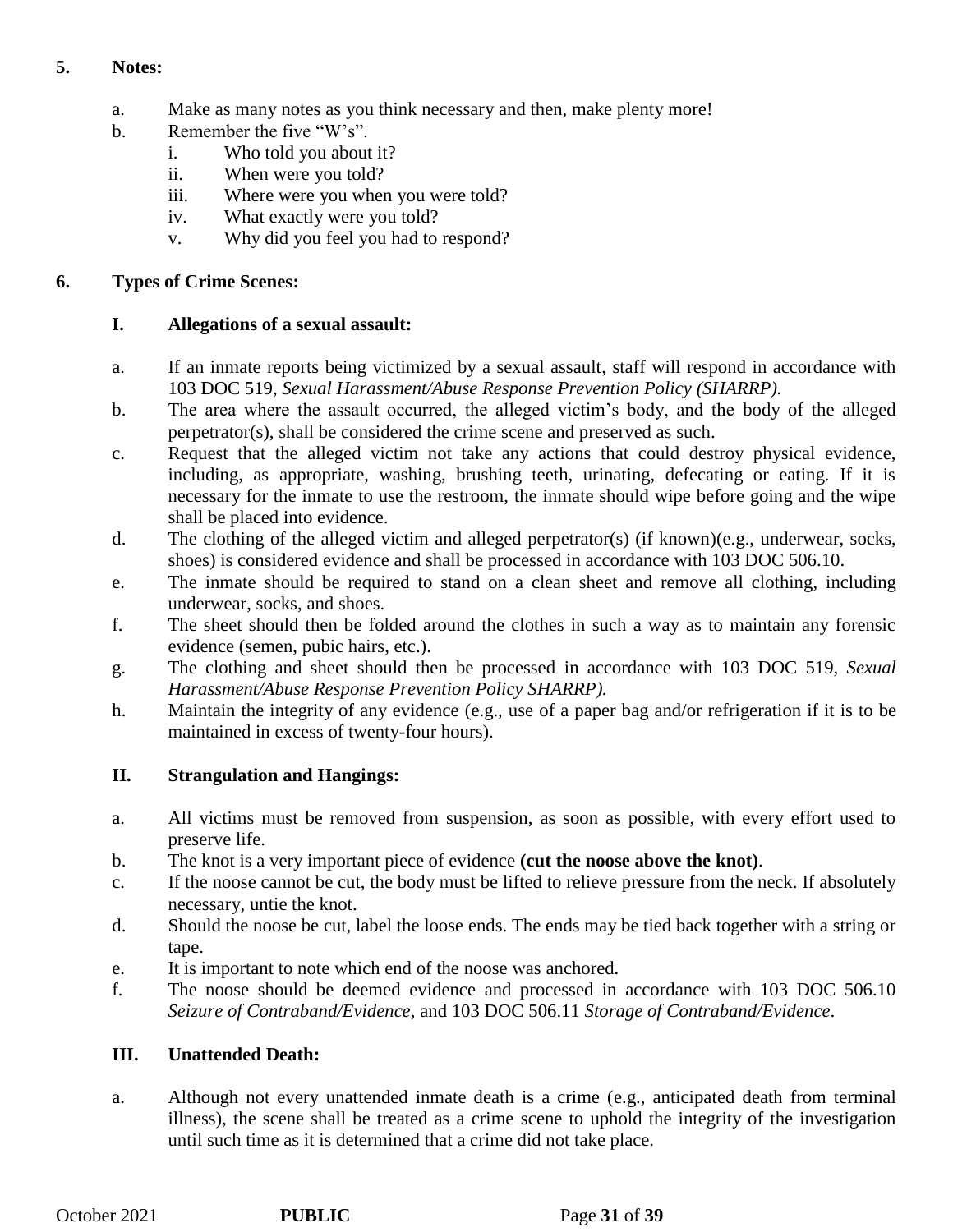# **5. Notes:**

- a. Make as many notes as you think necessary and then, make plenty more!
- b. Remember the five "W's".
	- i. Who told you about it?
	- ii. When were you told?
	- iii. Where were you when you were told?
	- iv. What exactly were you told?
	- v. Why did you feel you had to respond?

# **6. Types of Crime Scenes:**

# **I. Allegations of a sexual assault:**

- a. If an inmate reports being victimized by a sexual assault, staff will respond in accordance with 103 DOC 519, *Sexual Harassment/Abuse Response Prevention Policy (SHARRP).*
- b. The area where the assault occurred, the alleged victim's body, and the body of the alleged perpetrator(s), shall be considered the crime scene and preserved as such.
- c. Request that the alleged victim not take any actions that could destroy physical evidence, including, as appropriate, washing, brushing teeth, urinating, defecating or eating. If it is necessary for the inmate to use the restroom, the inmate should wipe before going and the wipe shall be placed into evidence.
- d. The clothing of the alleged victim and alleged perpetrator(s) (if known)(e.g., underwear, socks, shoes) is considered evidence and shall be processed in accordance with 103 DOC 506.10.
- e. The inmate should be required to stand on a clean sheet and remove all clothing, including underwear, socks, and shoes.
- f. The sheet should then be folded around the clothes in such a way as to maintain any forensic evidence (semen, pubic hairs, etc.).
- g. The clothing and sheet should then be processed in accordance with 103 DOC 519, *Sexual Harassment/Abuse Response Prevention Policy SHARRP).*
- h. Maintain the integrity of any evidence (e.g., use of a paper bag and/or refrigeration if it is to be maintained in excess of twenty-four hours).

# **II. Strangulation and Hangings:**

- a. All victims must be removed from suspension, as soon as possible, with every effort used to preserve life.
- b. The knot is a very important piece of evidence **(cut the noose above the knot)**.
- c. If the noose cannot be cut, the body must be lifted to relieve pressure from the neck. If absolutely necessary, untie the knot.
- d. Should the noose be cut, label the loose ends. The ends may be tied back together with a string or tape.
- e. It is important to note which end of the noose was anchored.
- f. The noose should be deemed evidence and processed in accordance with 103 DOC 506.10 *Seizure of Contraband/Evidence*, and 103 DOC 506.11 *Storage of Contraband/Evidence*.

# **III. Unattended Death:**

a. Although not every unattended inmate death is a crime (e.g., anticipated death from terminal illness), the scene shall be treated as a crime scene to uphold the integrity of the investigation until such time as it is determined that a crime did not take place.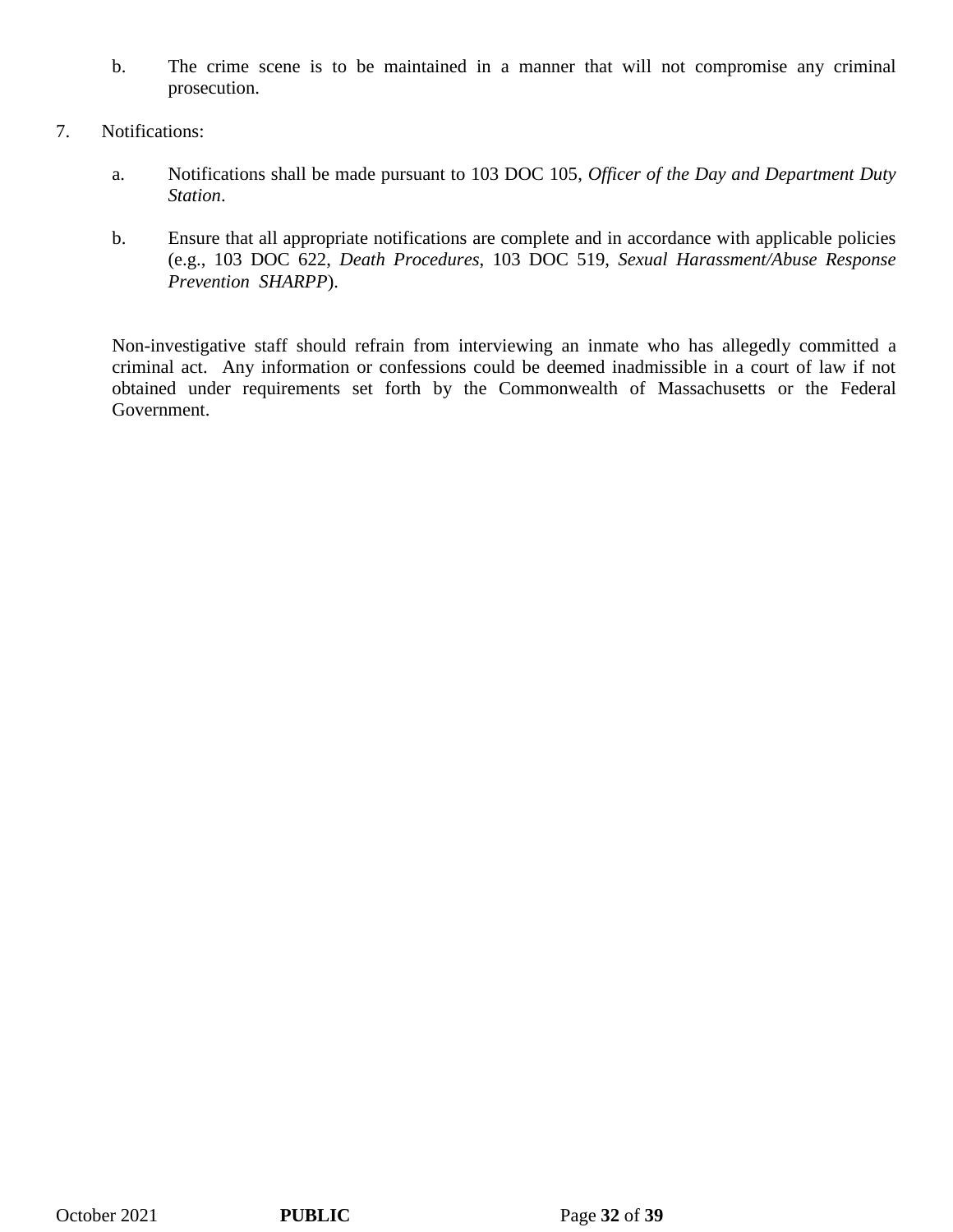- b. The crime scene is to be maintained in a manner that will not compromise any criminal prosecution.
- 7. Notifications:
	- a. Notifications shall be made pursuant to 103 DOC 105, *Officer of the Day and Department Duty Station*.
	- b. Ensure that all appropriate notifications are complete and in accordance with applicable policies (e.g., 103 DOC 622, *Death Procedures*, 103 DOC 519, *Sexual Harassment/Abuse Response Prevention SHARPP*).

Non-investigative staff should refrain from interviewing an inmate who has allegedly committed a criminal act. Any information or confessions could be deemed inadmissible in a court of law if not obtained under requirements set forth by the Commonwealth of Massachusetts or the Federal Government.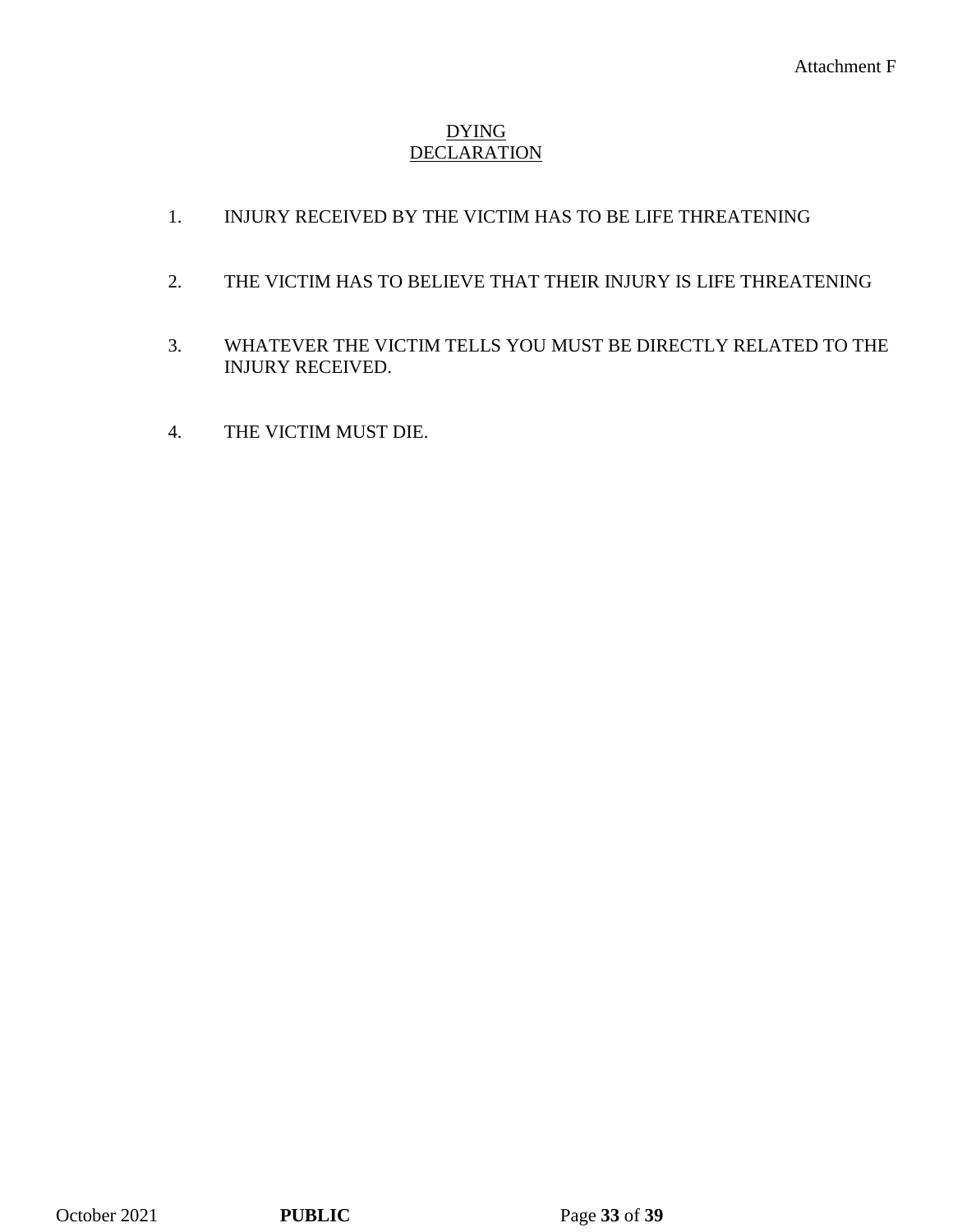## DYING **DECLARATION**

- 1. INJURY RECEIVED BY THE VICTIM HAS TO BE LIFE THREATENING
- 2. THE VICTIM HAS TO BELIEVE THAT THEIR INJURY IS LIFE THREATENING
- 3. WHATEVER THE VICTIM TELLS YOU MUST BE DIRECTLY RELATED TO THE INJURY RECEIVED.
- 4. THE VICTIM MUST DIE.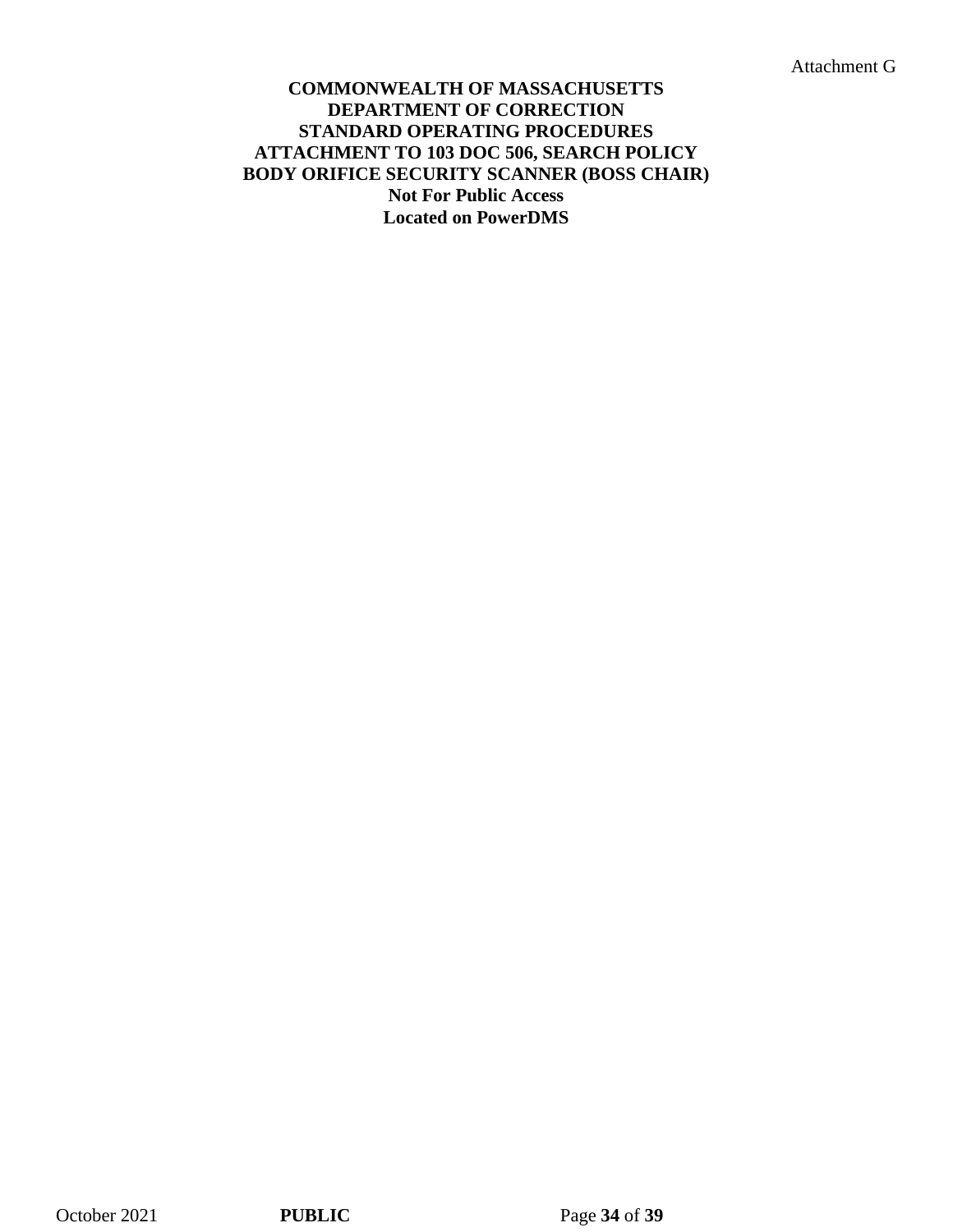Attachment G

### **COMMONWEALTH OF MASSACHUSETTS DEPARTMENT OF CORRECTION STANDARD OPERATING PROCEDURES ATTACHMENT TO 103 DOC 506, SEARCH POLICY BODY ORIFICE SECURITY SCANNER (BOSS CHAIR) Not For Public Access Located on PowerDMS**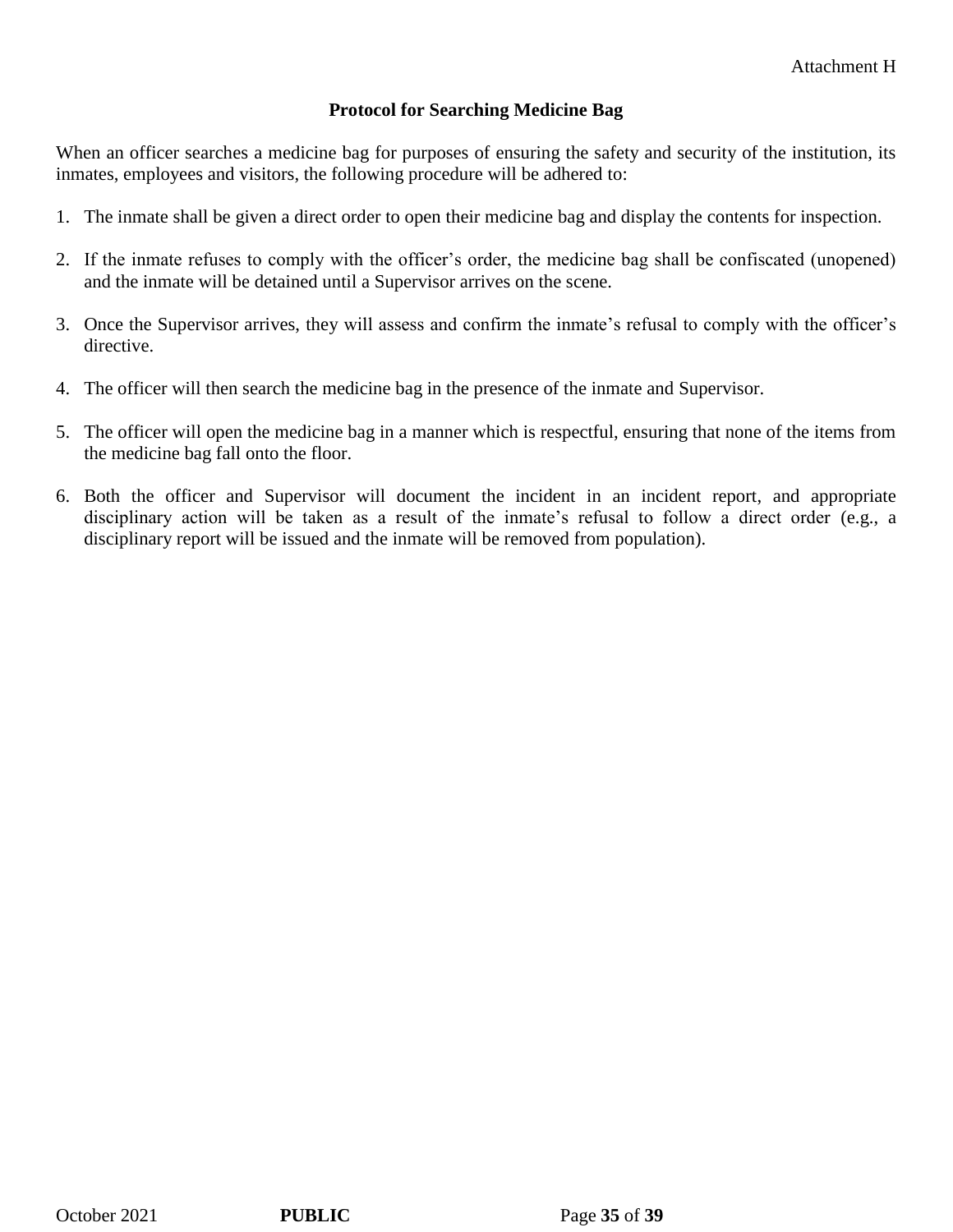### **Protocol for Searching Medicine Bag**

When an officer searches a medicine bag for purposes of ensuring the safety and security of the institution, its inmates, employees and visitors, the following procedure will be adhered to:

- 1. The inmate shall be given a direct order to open their medicine bag and display the contents for inspection.
- 2. If the inmate refuses to comply with the officer's order, the medicine bag shall be confiscated (unopened) and the inmate will be detained until a Supervisor arrives on the scene.
- 3. Once the Supervisor arrives, they will assess and confirm the inmate's refusal to comply with the officer's directive.
- 4. The officer will then search the medicine bag in the presence of the inmate and Supervisor.
- 5. The officer will open the medicine bag in a manner which is respectful, ensuring that none of the items from the medicine bag fall onto the floor.
- 6. Both the officer and Supervisor will document the incident in an incident report, and appropriate disciplinary action will be taken as a result of the inmate's refusal to follow a direct order (e.g., a disciplinary report will be issued and the inmate will be removed from population).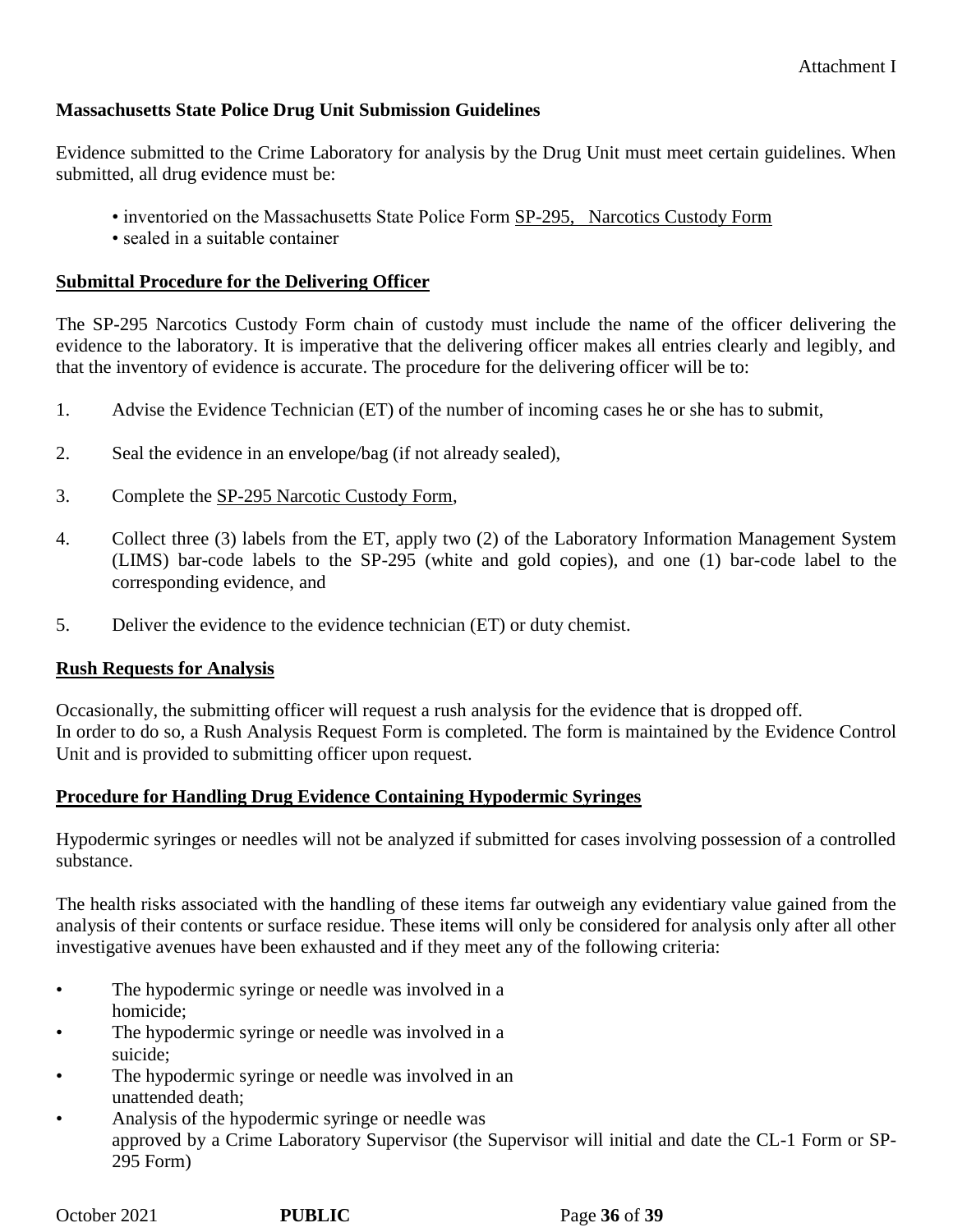### **Massachusetts State Police Drug Unit Submission Guidelines**

Evidence submitted to the Crime Laboratory for analysis by the Drug Unit must meet certain guidelines. When submitted, all drug evidence must be:

- inventoried on the Massachusetts State Police Form SP-295, Narcotics Custody Form
- sealed in a suitable container

### **Submittal Procedure for the Delivering Officer**

The SP-295 Narcotics Custody Form chain of custody must include the name of the officer delivering the evidence to the laboratory. It is imperative that the delivering officer makes all entries clearly and legibly, and that the inventory of evidence is accurate. The procedure for the delivering officer will be to:

- 1. Advise the Evidence Technician (ET) of the number of incoming cases he or she has to submit,
- 2. Seal the evidence in an envelope/bag (if not already sealed),
- 3. Complete the SP-295 Narcotic Custody Form,
- 4. Collect three (3) labels from the ET, apply two (2) of the Laboratory Information Management System (LIMS) bar-code labels to the SP-295 (white and gold copies), and one (1) bar-code label to the corresponding evidence, and
- 5. Deliver the evidence to the evidence technician (ET) or duty chemist.

# **Rush Requests for Analysis**

Occasionally, the submitting officer will request a rush analysis for the evidence that is dropped off. In order to do so, a Rush Analysis Request Form is completed. The form is maintained by the Evidence Control Unit and is provided to submitting officer upon request.

### **Procedure for Handling Drug Evidence Containing Hypodermic Syringes**

Hypodermic syringes or needles will not be analyzed if submitted for cases involving possession of a controlled substance.

The health risks associated with the handling of these items far outweigh any evidentiary value gained from the analysis of their contents or surface residue. These items will only be considered for analysis only after all other investigative avenues have been exhausted and if they meet any of the following criteria:

- The hypodermic syringe or needle was involved in a homicide;
- The hypodermic syringe or needle was involved in a suicide;
- The hypodermic syringe or needle was involved in an unattended death;
- Analysis of the hypodermic syringe or needle was approved by a Crime Laboratory Supervisor (the Supervisor will initial and date the CL-1 Form or SP-295 Form)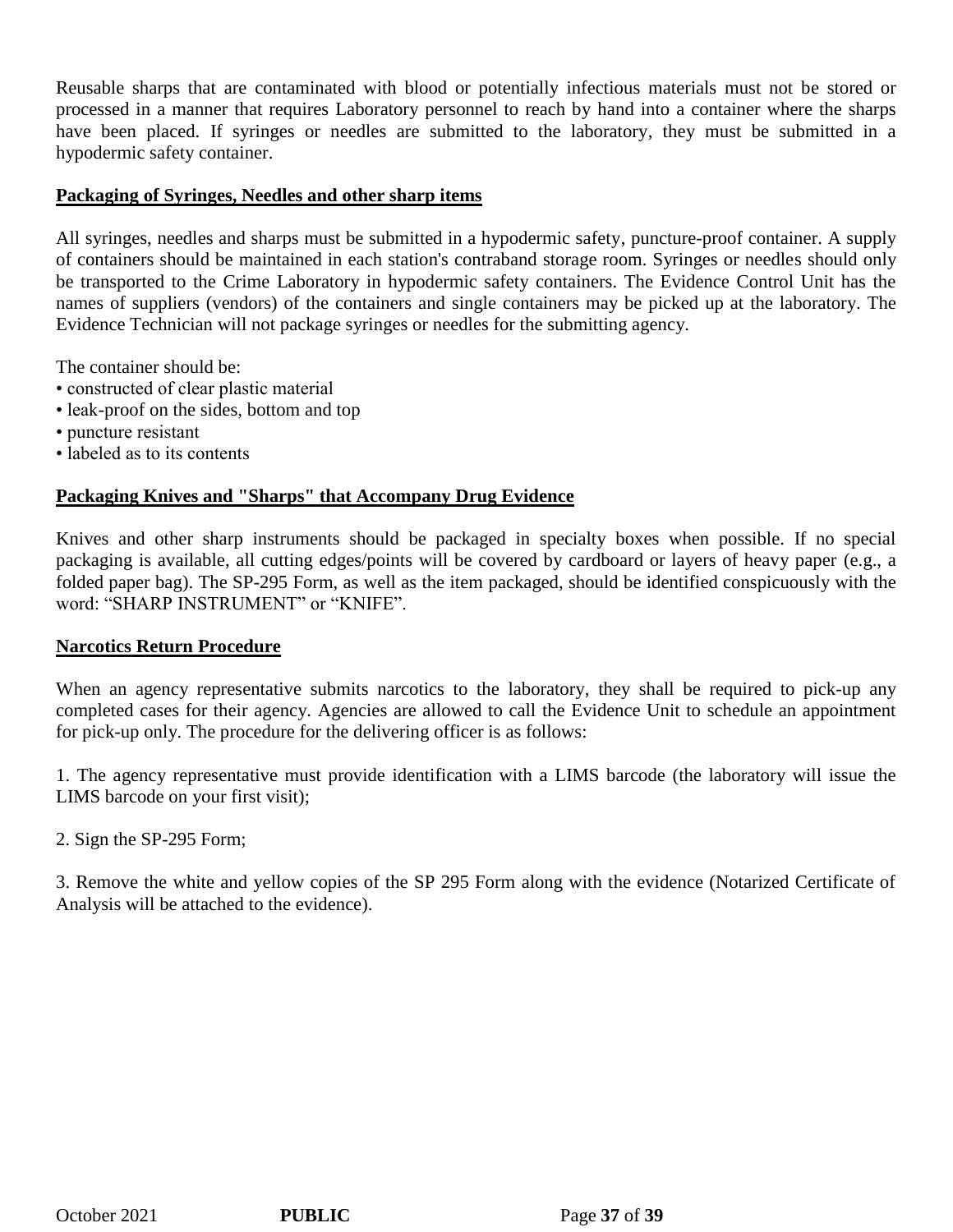Reusable sharps that are contaminated with blood or potentially infectious materials must not be stored or processed in a manner that requires Laboratory personnel to reach by hand into a container where the sharps have been placed. If syringes or needles are submitted to the laboratory, they must be submitted in a hypodermic safety container.

### **Packaging of Syringes, Needles and other sharp items**

All syringes, needles and sharps must be submitted in a hypodermic safety, puncture-proof container. A supply of containers should be maintained in each station's contraband storage room. Syringes or needles should only be transported to the Crime Laboratory in hypodermic safety containers. The Evidence Control Unit has the names of suppliers (vendors) of the containers and single containers may be picked up at the laboratory. The Evidence Technician will not package syringes or needles for the submitting agency.

The container should be:

- constructed of clear plastic material
- leak-proof on the sides, bottom and top
- puncture resistant
- labeled as to its contents

### **Packaging Knives and "Sharps" that Accompany Drug Evidence**

Knives and other sharp instruments should be packaged in specialty boxes when possible. If no special packaging is available, all cutting edges/points will be covered by cardboard or layers of heavy paper (e.g., a folded paper bag). The SP-295 Form, as well as the item packaged, should be identified conspicuously with the word: "SHARP INSTRUMENT" or "KNIFE".

### **Narcotics Return Procedure**

When an agency representative submits narcotics to the laboratory, they shall be required to pick-up any completed cases for their agency. Agencies are allowed to call the Evidence Unit to schedule an appointment for pick-up only. The procedure for the delivering officer is as follows:

1. The agency representative must provide identification with a LIMS barcode (the laboratory will issue the LIMS barcode on your first visit);

2. Sign the SP-295 Form;

3. Remove the white and yellow copies of the SP 295 Form along with the evidence (Notarized Certificate of Analysis will be attached to the evidence).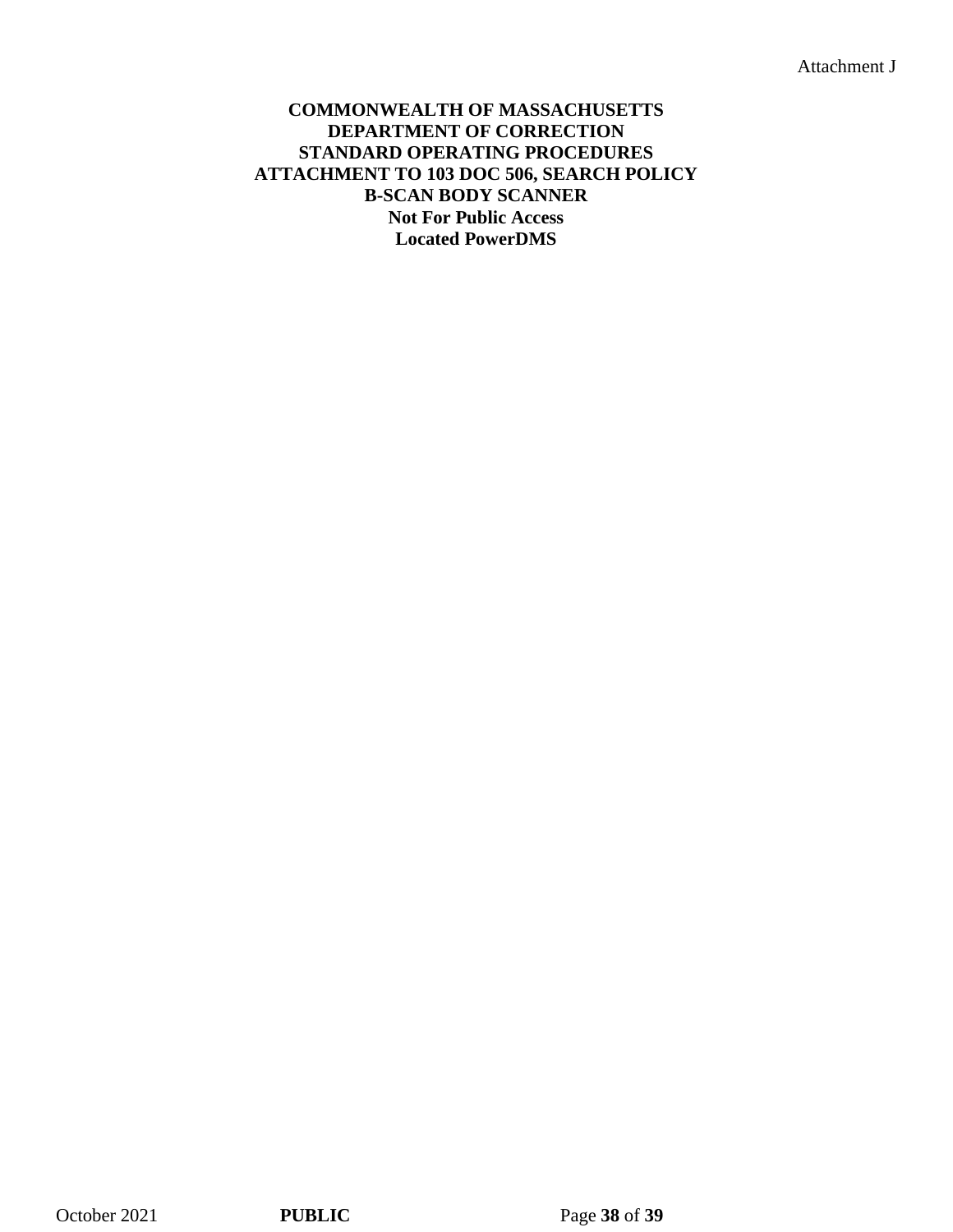Attachment J

### **COMMONWEALTH OF MASSACHUSETTS DEPARTMENT OF CORRECTION STANDARD OPERATING PROCEDURES ATTACHMENT TO 103 DOC 506, SEARCH POLICY B-SCAN BODY SCANNER Not For Public Access Located PowerDMS**